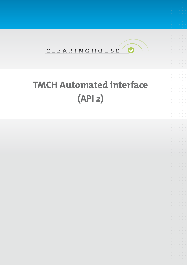

# **TMCH Automated interface (API 2)**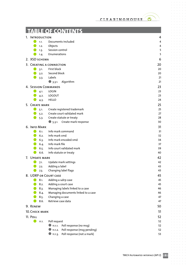$\bullet$ 

 $\alpha$  ,  $\alpha$  ,  $\alpha$  ,  $\alpha$  ,  $\alpha$  $\alpha = \alpha - \alpha - \alpha$ 

 $\sigma_{\rm c}$  ,  $\sigma_{\rm c}$  ,  $\sigma_{\rm c}$  ,  $\sigma_{\rm c}$  ,  $\sigma_{\rm c}$  $\alpha=\alpha-\alpha-\alpha-\alpha$  $\alpha=\alpha-\alpha-\alpha-\alpha$  $\alpha$  ,  $\alpha$  ,  $\alpha$  ,  $\alpha$  ,  $\alpha$  $\alpha$  ,  $\alpha$  ,  $\alpha$  ,  $\alpha$  ,  $\alpha$  $\alpha$  ,  $\alpha$  ,  $\alpha$  ,  $\alpha$  ,  $\alpha$  $\alpha=\alpha-\alpha-\alpha-\alpha-\alpha$  $\sigma$  ,  $\sigma$  ,  $\sigma$  ,  $\sigma$  ,  $\sigma$  $\alpha$  ,  $\alpha$  ,  $\alpha$  ,  $\alpha$  ,  $\alpha$  ,  $\alpha$  $\alpha$  ,  $\alpha$  ,  $\alpha$  ,  $\alpha$  ,  $\alpha$  ,  $\alpha$  $\alpha=\alpha-\alpha-\alpha-\alpha-\alpha$  $\alpha$  ,  $\alpha$  ,  $\alpha$  ,  $\alpha$  ,  $\alpha$  $\alpha$  ,  $\alpha$  ,  $\alpha$  ,  $\alpha$  ,  $\alpha$  ,  $\alpha$  $\alpha$  ,  $\alpha$  ,  $\alpha$  ,  $\alpha$  ,  $\alpha$  ,  $\alpha$  $\alpha$  ,  $\alpha$  ,  $\alpha$  ,  $\alpha$  ,  $\alpha$  ,  $\alpha$  $\sigma$  , and  $\sigma$  , and  $\sigma$  $\alpha=\alpha-\alpha-\alpha-\alpha$  $\alpha$  ,  $\alpha$  ,  $\alpha$  ,  $\alpha$  ,  $\alpha$  ,  $\alpha$  $\alpha$  ,  $\alpha$  ,  $\alpha$  ,  $\alpha$  ,  $\alpha$  $\alpha$  ,  $\alpha$  ,  $\alpha$  ,  $\alpha$  ,  $\alpha$  ,  $\alpha$  $\alpha$  ,  $\alpha$  ,  $\alpha$  ,  $\alpha$  ,  $\alpha$  $\alpha$  ,  $\alpha$  ,  $\alpha$  ,  $\alpha$  ,  $\alpha$  ,  $\alpha$  $\begin{array}{cccccccccc} . & . & . & . & . & . & . \end{array}$  $\alpha$  ,  $\alpha$  ,  $\alpha$  ,  $\alpha$  ,  $\alpha$  ,  $\alpha$ . . . . . . .<br>. . . . . .  $\label{eq:3.1} \begin{array}{lllllllllllllllllll} \alpha & \alpha & \alpha & \alpha & \alpha & \alpha \end{array}$  $\alpha$  ,  $\alpha$  ,  $\alpha$  ,  $\alpha$  ,  $\alpha$  ,  $\alpha$  $\alpha$  ,  $\alpha$  ,  $\alpha$  ,  $\alpha$  ,  $\alpha$  ,  $\alpha$  $\label{eq:3.1} \begin{array}{lllllllllllllllllllll} \alpha_{11} & \alpha_{22} & \alpha_{33} & \alpha_{44} & \alpha_{55} \\ \end{array}$ and a state

 $\bar{\phantom{a}}$  $\alpha = \alpha - \alpha - \alpha - \alpha$  $\alpha = \alpha - \alpha - \alpha = \alpha$  $\alpha$  ,  $\alpha$  ,  $\alpha$  ,  $\alpha$  ,  $\alpha$  ,  $\alpha$ 

|                            | <b>TABLE OF CONTENTS</b>                                                        |          |
|----------------------------|---------------------------------------------------------------------------------|----------|
| 1. INTRODUCTION            |                                                                                 | 4        |
| r e<br>1.1.                | Documents included                                                              | 4        |
| 1.2.                       | Objects                                                                         | 4        |
| 1.3.                       | Session control                                                                 | 5        |
| 1.4.                       | Enumerations                                                                    | 5        |
| 2. XSD SCHEMA              |                                                                                 | 6        |
|                            | 3. CREATING A CONNECTION                                                        | 20       |
| 3.1.                       | First block                                                                     | 20       |
| 3.2.                       | Second block                                                                    | 20       |
| 3.3.                       | Labels                                                                          | 21       |
|                            | $\bullet$ 3.3.1.<br>Algorithm                                                   | 21       |
| <b>4. SESSION COMMANDS</b> |                                                                                 | 23       |
| 4.1.                       | <b>LOGIN</b>                                                                    | 23       |
| 4.2.                       | LOGOUT                                                                          | 23       |
| 4.3.                       | <b>HELLO</b>                                                                    | 24       |
| 5. CREATE MARK             |                                                                                 | 25       |
| 5.1.                       | Create registered trademark                                                     | 25       |
| 5.2.                       | Create court validated mark                                                     | 27       |
| 5.3.                       | Create statute or treaty                                                        | 28       |
|                            | 5.3.1. Create mark response                                                     | 30       |
| <b>6. INFO MARK</b>        |                                                                                 | 31       |
| 6.1.                       | Info mark command                                                               | 31       |
| 6.2.                       | Info mark smd                                                                   | 32       |
| 6.3.                       | Info mark encoded smd                                                           | 34       |
| 6.4.                       | Info mark file                                                                  | 37       |
| 6.5.<br>6.6.               | Info court validated mark                                                       | 39<br>40 |
|                            | Info statute or treaty                                                          |          |
| 7. UPDATE MARK             |                                                                                 | 42       |
| 7.1.                       | Update mark settings<br>Adding a label                                          | 42<br>43 |
| 7.2.                       | Changing label flags                                                            | 43       |
| 7.3.                       |                                                                                 |          |
| 8. UDRP OR COURT CASE      |                                                                                 | 45       |
| 8.1.<br>8.2.               | Adding a udrp case<br>Adding a court case                                       | 45<br>45 |
| 8.3.                       | Managing labels linked to a case                                                | 46       |
| 8.4.                       | Managing documents linked to a case                                             | 46       |
| 8.5.                       | Changing a case                                                                 | 47       |
| 8.6.                       | Retrieve case data                                                              | 47       |
| 9. RENEW                   |                                                                                 | 50       |
| 10. CHECK MARK             |                                                                                 | 51       |
|                            |                                                                                 |          |
| 11. POLL                   |                                                                                 | 52       |
| 11.1.                      | Poll request                                                                    | 52       |
|                            | Poll response (no msg)<br>11.1.1.                                               | 52       |
|                            | Poll response (msg pending)<br>11.1.2.<br>Poll response (not a mark)<br>11.1.3. | 52<br>53 |
|                            |                                                                                 |          |

**2**

 $\bar{\rm o}$ 

 $\alpha$ 

 $\alpha$  ,  $\alpha$  ,  $\alpha$  ,  $\alpha$  ,  $\alpha$  ,  $\alpha$  $\alpha = \alpha = \alpha$  $\sim$  $\alpha$  ,  $\alpha$  ,  $\alpha$  ,  $\alpha$ 

 $\alpha$  ,  $\alpha$  ,  $\alpha$  ,  $\alpha$  ,  $\alpha$  $\sim 10^{-1}$  and  $\sim 10^{-1}$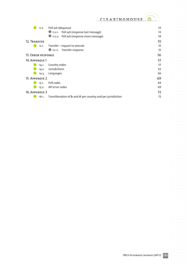$\bullet$ 

 $\alpha$  ,  $\alpha$  ,  $\alpha$  ,  $\alpha$  ,  $\alpha$  $\alpha = \alpha - \alpha - \alpha$ 

 $\sigma_{\rm c}$  ,  $\sigma_{\rm c}$  ,  $\sigma_{\rm c}$  ,  $\sigma_{\rm c}$  ,  $\sigma_{\rm c}$  $\alpha=\alpha-\alpha-\alpha-\alpha$  $\alpha=\alpha-\alpha-\alpha-\alpha$  $\alpha$  ,  $\alpha$  ,  $\alpha$  ,  $\alpha$  ,  $\alpha$  $\alpha$  ,  $\alpha$  ,  $\alpha$  ,  $\alpha$  ,  $\alpha$  $\alpha$  ,  $\alpha$  ,  $\alpha$  ,  $\alpha$  ,  $\alpha$  $\alpha=\alpha-\alpha-\alpha-\alpha-\alpha$  $\sigma$  ,  $\sigma$  ,  $\sigma$  ,  $\sigma$  ,  $\sigma$  $\alpha$  ,  $\alpha$  ,  $\alpha$  ,  $\alpha$  ,  $\alpha$  ,  $\alpha$  $\alpha$  ,  $\alpha$  ,  $\alpha$  ,  $\alpha$  ,  $\alpha$  ,  $\alpha$  $\alpha=\alpha-\alpha-\alpha-\alpha-\alpha$  $\alpha$  ,  $\alpha$  ,  $\alpha$  ,  $\alpha$  ,  $\alpha$  $\alpha$  ,  $\alpha$  ,  $\alpha$  ,  $\alpha$  ,  $\alpha$  ,  $\alpha$  $\alpha$  ,  $\alpha$  ,  $\alpha$  ,  $\alpha$  ,  $\alpha$  ,  $\alpha$  $\alpha$  ,  $\alpha$  ,  $\alpha$  ,  $\alpha$  ,  $\alpha$  ,  $\alpha$  $\sigma$  , and  $\sigma$  , and  $\sigma$  $\alpha=\alpha-\alpha-\alpha-\alpha$  $\alpha$  ,  $\alpha$  ,  $\alpha$  ,  $\alpha$  ,  $\alpha$  ,  $\alpha$  $\alpha$  ,  $\alpha$  ,  $\alpha$  ,  $\alpha$  ,  $\alpha$  $\alpha$  ,  $\alpha$  ,  $\alpha$  ,  $\alpha$  ,  $\alpha$  ,  $\alpha$  $\alpha$  ,  $\alpha$  ,  $\alpha$  ,  $\alpha$  ,  $\alpha$  $\alpha$  ,  $\alpha$  ,  $\alpha$  ,  $\alpha$  ,  $\alpha$  ,  $\alpha$  $\begin{array}{cccccccccc} . & . & . & . & . & . & . \end{array}$  $\alpha$  ,  $\alpha$  ,  $\alpha$  ,  $\alpha$  ,  $\alpha$  ,  $\alpha$ . . . . . . .<br>. . . . . .  $\label{eq:3.1} \begin{array}{lllllllllllllllllll} \alpha & \alpha & \alpha & \alpha & \alpha & \alpha \end{array}$  $\alpha$  ,  $\alpha$  ,  $\alpha$  ,  $\alpha$  ,  $\alpha$  ,  $\alpha$  $\alpha$  ,  $\alpha$  ,  $\alpha$  ,  $\alpha$  ,  $\alpha$  ,  $\alpha$  $\label{eq:3.1} \begin{array}{lllllllllllllllllll} \alpha & \alpha & \alpha & \alpha & \alpha & \alpha \end{array}$ and a state

 $\bar{\phantom{a}}$  $\alpha = \alpha - \alpha - \alpha - \alpha$  $\alpha = \alpha - \alpha - \alpha = \alpha$  $\alpha$  ,  $\alpha$  ,  $\alpha$  ,  $\alpha$  ,  $\alpha$  ,  $\alpha$ 

|                           | 11.2. | Poll ack (dequeue)                                           | 53 |
|---------------------------|-------|--------------------------------------------------------------|----|
|                           |       | 11.2.1. Poll ack (response last message)                     | 53 |
|                           |       | 11.2.2. Poll ack (response more message)                     | 54 |
| 12. TRANSFER              |       |                                                              | 55 |
|                           | 12.1. | Transfer – request to execute                                | 55 |
|                           |       | 12.1.1. Transfer response                                    | 55 |
| <b>13. ERROR RESPONSE</b> |       | 56                                                           |    |
| 14. APPENDIX 1            |       | 57                                                           |    |
|                           | 14.1. | Country codes                                                | 57 |
|                           | 14.2. | Jurisdictions                                                | 62 |
|                           | 14.3. | Languages                                                    | 66 |
| 15. APPENDIX 2            |       | 69                                                           |    |
|                           | 15.1. | Poll codes                                                   | 69 |
|                           | 15.2. | API error codes                                              | 69 |
| 16. APPENDIX 3            |       | 72                                                           |    |
|                           | 16.1. | Transliteration of & and @ per country and per jurisdiction. | 72 |
|                           |       |                                                              |    |

 $\bar{\theta}$ 

 $\bar{\theta}$  $\mathcal{L}$ 

 $\alpha$  ,  $\alpha$  ,  $\alpha$  ,  $\alpha$  ,  $\alpha$  ,  $\alpha$  $\alpha = \alpha - \alpha = \alpha$  $\alpha$  ,  $\alpha$  ,  $\alpha$  ,  $\alpha$ 

> $\alpha = \alpha - \alpha - \alpha$  $\sim 10^{-1}$  and  $\sim 10^{-1}$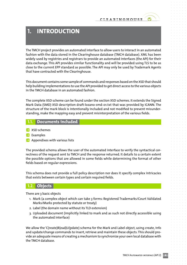# <span id="page-3-0"></span>**1. INTRODUCTION**

The TMCH project provides an automated interface to allow users to interact in an automated fashion with the data stored in the Clearinghouse database (TMCH database). XML has been widely used by registries and registrars to provide an automated interfaces (the API) for their data exchange. This API provides similar functionality and will be provided using TLS to be as close to the current EPP standard as possible. The API may only be used by Trademark Agents that have contracted with the Clearinghouse.

This document contains some sample of commands and responses based on the XSD that should help building implementations to use the API provided to get direct access to the various objects in the TMCH database in an automated fashion.

The complete XSD scheme can be found under the section XSD schemes. It extends the Signed Mark Data (SMD) XSD description draft-lozano-smd-01.txt that was provided by ICANN. The structure of the mark block is intentionally included and not modified to prevent misunderstanding, make the mapping easy and prevent misinterpretation of the various fields.

# **1.1. Documents included**

- **P** XSD schemes
- P Examples
- $\rightarrow$  Appendixes with various lists

The provided schema allows the user of the automated interface to verify the syntactical correctness of the request sent to TMCH and the response returned. It details to a certain extent the possible options that are allowed in some fields while determining the format of other fields based on regular expressions.

This schema does not provide a full policy description nor does it specify complex intricacies that exists between certain types and certain required fields.

# **1.2. Objects**

There are 3 basic objects

- 1. Mark (a complex object which can take 3 forms: Registered Trademarks/Court Validated Marks/Marks protected by statute or treaty)
- 2. Label (the domain name without its TLD extension)
- 3. Uploaded document (implicitly linked to mark and as such not directly accessible using the automated interface)

We allow the 'C(reate)R(ead)U(pdate) schema for the Mark and Label object, using create, info and update/change commands to insert, retrieve and maintain these objects. This should provide an adequate means of creating a mechanism to synchronize your own local database with the TMCH database.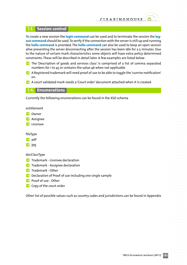# <span id="page-4-0"></span>**1.3. Session control**

To create a new session the **login command** can be used and to terminate the session the **logout command** should be used.To verify if the connection with the serveris still up and running the **hello command** is provided. The **hello command** can also be used to keep an open session alive preventing the server disconnecting after the session has been idle for a 5 minutes. Due to the nature of certain mark characteristics some objects will have extra policy determined constraints. These will be described in detail later. A few examples are listed below

- **P** The 'Description of goods and services class' is comprised of a list of comma separated numbers for 1 to 45 or contains the value 46 when not applicable.
- **P** A Registered trademark will need proof of use to be able to toggle the 'sunrise notification' on.
- $\blacktriangleright$  A court validated mark needs a 'Court order' document attached when it is created

### **1.4. Enumerations**

Currently the following enumerations can be found in the XSD schema

entitlement

- **P** Owner
- $\rightarrow$  Assignee
- **P** Licensee

fileType

- P pdf
- $\rightarrow$  jpg

docClassType

- $\rightarrow$  Trademark Licensee declaration
- $\rightarrow$  Trademark Assignee declaration
- **P** Trademark Other
- **P** Declaration of Proof of use including one single sample
- **P** Proof of use Other
- **P** Copy of the court order

Other list of possible values such as country codes and jurisdictions can be found in Appendix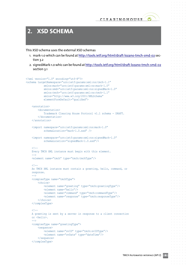

 $\alpha = \alpha = 0$ 

 $\alpha = \alpha = 0$ 

 $\alpha = -\alpha$  .  $\alpha = \alpha = \alpha$ 

 $\alpha = \alpha = \alpha$ 

 $\alpha = -\alpha = -\alpha$  $\alpha = \alpha$  $\alpha = \alpha$ 

 $\alpha = \alpha = \alpha$ 

 $\alpha = \alpha - \alpha$ 

# <span id="page-5-0"></span>**2. XSD SCHEMA**

This XSD schema uses the external XSD schemas

- 1. mark-1.0 which can be found at <http://tools.ietf.org/html/draft-lozano-tmch-smd-02> section 3.2
- 2. signedMark-1.0 whic can be found at <http://tools.ietf.org/html/draft-lozano-tmch-smd-02> section 3.1

```
<?xml version="1.0" encoding="utf-8"?>
<schema targetNamespace="urn:ietf:params:xml:ns:tmch-1.1"
             xmlns:mark="urn:ietf:params:xml:ns:mark-1.0"
             xmlns:smd="urn:ietf:params:xml:ns:signedMark-1.0"
             xmlns:tmch="urn:ietf:params:xml:ns:tmch-1.1"
             xmlns="http://www.w3.org/2001/XMLSchema"
             elementFormDefault="qualified">
     <annotation>
         <documentation>
             Trademark Clearing House Protocol v1.1 schema - DRAFT.
         </documentation>
     </annotation>
     <import namespace="urn:ietf:params:xml:ns:mark-1.0"
             schemaLocation="mark-1.0.xsd" />
     <import namespace="urn:ietf:params:xml:ns:signedMark-1.0"
             schemaLocation="signedMark-1.0.xsd"/>
    21 - - Every TMCH XML instance must begin with this element.
    - <element name="tmch" type="tmch:tmchType"/>
    21 - - An TMCH XML instance must contain a greeting, hello, command, or
     response.
    --&> <complexType name="tmchType">
         <choice>
             <element name="greeting" type="tmch:greetingType"/>
             <element name="hello"/>
             <element name="command" type="tmch:commandType"/>
             <element name="response" type="tmch:responseType"/>
         </choice>
     </complexType>
    21 - - A greeting is sent by a server in response to a client connection
     or <hello>.
     -->
     <complexType name="greetingType">
         <sequence>
             <element name="svID" type="tmch:svIDType"/>
             <element name="svDate" type="dateTime"/>
         </sequence>
     </complexType>
```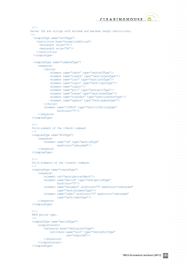```
21 - - Server IDs are strings with minimum and maximum length restrictions.
 -->
  <simpleType name="svIDType">
     <restriction base="normalizedString">
      <minLength value="3"/>
      <maxLength value="64"/>
    </restriction>
  </simpleType>
  <complexType name="commandType">
      <sequence>
          <choice>
              <element name="check" type="tmch:mIDType"/>
              <element name="create" type="tmch:createType"/>
              <element name="info" type="tmch:infoType"/>
              <element name="login" type="tmch:loginType"/>
              <element name="logout"/>
              <element name="poll" type="tmch:pollType"/>
              <element name="renew" type="tmch:renewType"/>
              <element name="transfer" type="tmch:transferType"/>
              <element name="update" type="tmch:updateType"/>
          </choice>
          <element name="clTRID" type="tmch:trIDStringType"
                   minOccurs="0"/>
      </sequence>
  </complexType>
 <! -- Child element of the <check> command
  -->
  <complexType name="mIDType">
      <sequence>
          <element name="id" type="mark:idType"
                  maxOccurs="unbounded"/>
      </sequence>
 </complexType>
 < 1 - - Child elements of the <create> command.
 --&> <complexType name="createType">
      <sequence>
          <element ref="mark:abstractMark"/>
          <element name="period" type="tmch:periodType"
                   minOccurs="0"/>
          <element name="document" minOccurs="0" maxOccurs="unbounded"
                   type="tmch:documentType"/>
          <element name="label" minOccurs="0" maxOccurs="unbounded"
                   type="tmch:labelType"/>
      </sequence>
 </complexType>
 <! -- TMCH period type.
  -->
  <complexType name="periodType">
      <simpleContent>
          <extension base="tmch:pLimitType">
              <attribute name="unit" type="tmch:pUnitType"
                         use="required"/>
          </extension>
      </simpleContent>
  </complexType>
```
 $\alpha = \alpha = \alpha$  $\alpha = \alpha = 0$ 

 $\alpha = \alpha - \alpha$  $\alpha$  ,  $\alpha$  ,  $\alpha$  $\alpha = \alpha = \alpha$  $\alpha = \alpha = 0$ 

 $\alpha = \alpha = 0$  $\alpha = \alpha = \alpha = \alpha$  $\alpha = \alpha = 0$ 

 $\alpha = \alpha = 0$  $\alpha = \alpha = 0$  $\alpha = \alpha = 1$ **State Street**  $\alpha$  .  $\alpha$  ,  $\alpha$  $\alpha = \alpha - \alpha = \alpha$  $\alpha = \alpha = 0$  $\alpha = \alpha - \alpha$  $\alpha = \alpha = \alpha = \alpha$  $\alpha = \alpha = \alpha$  $\sim 10^{-1}$  .  $\alpha = \alpha = \alpha$  $\alpha = \alpha = 1$  $\alpha = \alpha = \alpha$  $\alpha = \alpha = \alpha$  $\alpha = \alpha = 1$  $\alpha = \alpha = \alpha$  $\alpha = \alpha = \alpha$ 

> $\alpha = \alpha = \alpha$  $\alpha = \alpha = \alpha$

 $\alpha = \alpha = \alpha$  $\alpha = \alpha = \alpha$ 

 $\alpha = \alpha = \alpha$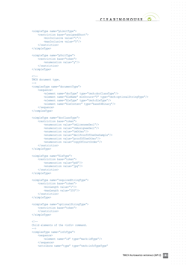$\alpha = \alpha - \alpha = \alpha$ 

 $\label{eq:2.1} \begin{array}{cccccccccccccc} \alpha & \alpha & \alpha & \alpha & \alpha & \alpha & \alpha & \alpha \end{array}$  $\alpha = \alpha - \alpha - \alpha - \alpha$  $\alpha = \alpha = 0$  $\hat{\sigma}$  ,  $\hat{\sigma}$  ,  $\hat{\sigma}$  ,  $\hat{\sigma}$  ,  $\hat{\sigma}$ and a state  $\alpha = \alpha = \alpha = \alpha$ **Service**  $\alpha = \alpha - \alpha - \alpha - \alpha$  $\alpha = \alpha - \alpha - \alpha - \alpha$ **Contractor**  $\label{eq:3.1} \alpha = \alpha - \alpha - \alpha - \alpha - \alpha$ and a state  $\mathbf{a} = \mathbf{a} - \mathbf{a} - \mathbf{a} - \mathbf{a}$  .  $\alpha = \alpha = \alpha$  $\alpha$  ,  $\alpha$  ,  $\alpha$  $\alpha = \alpha = \alpha = \alpha$  . and a state  $\alpha$  .  $\alpha$  ,  $\alpha$  ,  $\alpha$  $\alpha$  ,  $\alpha$  ,  $\alpha$  ,  $\alpha$  $\alpha = \alpha - \alpha = \alpha$  $\alpha$  ,  $\alpha$  ,  $\alpha$  ,  $\alpha$  $\alpha$  , and  $\alpha$  , and  $\alpha$  $\alpha$  ,  $\alpha$  ,  $\alpha$  ,  $\alpha$  ,  $\alpha$ **Service State**  $\alpha = \alpha = \alpha = \alpha$ **Service** State  $\label{eq:3.1} \alpha = \alpha - \alpha - \alpha - \alpha - \alpha$  $\alpha = \alpha = \alpha$  $\alpha$  ,  $\alpha$  ,  $\alpha$  ,  $\alpha$  ,  $\alpha$ and a state  $\alpha = \alpha - \alpha = \alpha$  $\sim$  100  $\pm$  100  $\pm$  $\alpha$  , and  $\alpha$  , and  $\alpha$  $\alpha$  ,  $\alpha$  ,  $\alpha$  ,  $\alpha$  ,  $\alpha$ and a state  $\alpha = \alpha - \alpha = \alpha - \alpha$ and a state of  $\alpha = \alpha - \alpha - \alpha - \alpha$  .  $\alpha = \alpha - \alpha$  $\alpha$  ,  $\alpha$  ,  $\alpha$  ,  $\alpha$  ,  $\alpha$  $\alpha$  ,  $\alpha$  ,  $\alpha$  ,  $\alpha$  $\alpha$  ,  $\alpha$  ,  $\alpha$  ,  $\alpha$  ,  $\alpha$  $\alpha = \alpha = \alpha = \alpha = \alpha$  $\alpha = \alpha - \alpha$  $\sim$  $\alpha = \alpha - \alpha - \alpha - \alpha$  $\alpha$  , and  $\alpha$  , and  $\alpha$  $\alpha = \alpha - \alpha - \alpha$ **Service**  $\alpha = \alpha - \alpha - \alpha - \alpha$  $\label{eq:3.1} \alpha = \alpha - \alpha - \alpha - \alpha - \alpha$ **Service** State  $\alpha$  ,  $\alpha$  ,  $\alpha$  ,  $\alpha$  $\alpha = \alpha - \alpha = \alpha - \alpha$ **Contract Contract**  $\alpha$  ,  $\alpha$  ,  $\alpha$  ,  $\alpha$  $\alpha = \alpha - \alpha = \alpha$ 

```
 <simpleType name="pLimitType">
     <restriction base="unsignedShort">
         <minInclusive value="1"/>
         <maxInclusive value="5"/>
    \langle/restriction>
 </simpleType>
 <simpleType name="pUnitType">
     <restriction base="token">
         <enumeration value="y"/>
    \langle /restriction>
 </simpleType>
<! -- TMCH document type.
--& <complexType name="documentType">
     <sequence>
         <element name="docType" type="tmch:docClassType"/>
         <element name="fileName" minOccurs="0" type="tmch:optionalStringType"/>
         <element name="fileType" type="tmch:fileType"/>
         <element name="fileContent" type="base64Binary"/>
     </sequence>
 </complexType>
 <simpleType name="docClassType">
     <restriction base="token">
         <enumeration value="tmLicenseeDecl"/>
         <enumeration value="tmAssigneeDecl"/>
         <enumeration value="tmOther"/>
         <enumeration value="declProofOfUseOneSample"/>
         <enumeration value="proofOfUseOther"/>
         <enumeration value="copyOfCourtOrder"/>
    \langle/restriction>
 </simpleType>
 <simpleType name="fileType">
     <restriction base="token">
         <enumeration value="pdf"/>
         <enumeration value="jpg"/>
    </restriction>
 </simpleType>
 <simpleType name="requiredStringType">
     <restriction base="token">
         <minLength value="1"/>
         <maxLength value="255"/>
    \langle/restriction>
 </simpleType>
 <simpleType name="optionalStringType">
     <restriction base="token">
    </restriction>
 </simpleType>
< 1 - -Child elements of the <info> command.
-5 <complexType name="infoType">
     <sequence>
         <element name="id" type="mark:idType"/>
     </sequence>
     <attribute name="type" type="tmch:infoTypeType"
```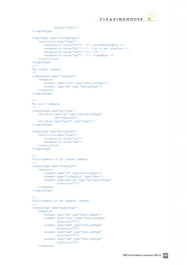

 $\alpha = \alpha = 0$  $\alpha = \alpha = \alpha$ 

 $\alpha = \alpha - \alpha$  $\sim$  100  $\sim$  $\alpha = \alpha = \alpha$  $\alpha = \alpha = \alpha = \alpha$  $\sim$  100  $\sim$  $\alpha = \alpha = 0$  $\alpha = \alpha - \alpha$  $\alpha=\alpha=\alpha=\alpha$  $\alpha = \alpha = \alpha$ and a state  $\alpha = \alpha = \alpha = \alpha$  $\sim$  100  $\sim$  $\alpha$  ,  $\alpha$  ,  $\alpha$  ,  $\alpha$  $\alpha$  ,  $\alpha$  ,  $\alpha$  ,  $\alpha$  $\alpha = \alpha = \alpha$  $\sim 100$ and a state of  $\alpha$  ,  $\alpha$  ,  $\alpha$  ,  $\alpha$  $\alpha = \alpha = 0$  $\alpha$  ,  $\alpha$  ,  $\alpha$  $\alpha=\alpha=\alpha=\alpha$  $\sim$  100  $\sim$  $\alpha = \alpha - \alpha = \alpha$ **Service** State  $\alpha = \alpha - \alpha = \alpha$  $\alpha = \alpha - \alpha$  $\alpha$  ,  $\alpha$  ,  $\alpha$  ,  $\alpha$  $\alpha$  ,  $\alpha$  ,  $\alpha$  ,  $\alpha$  $\alpha = \alpha - \alpha$  $\alpha$  ,  $\alpha$  ,  $\alpha$  ,  $\alpha$  $\alpha=\alpha-\alpha-\alpha$  $\alpha = \alpha = \alpha$  $\alpha = \alpha - \alpha$  $\alpha = \alpha = \alpha$  $\alpha = \alpha = \alpha$  $\alpha = \alpha = \alpha$  $\alpha = \alpha = \alpha$  $\sim$  100  $\sim$  $\alpha = \alpha - \alpha$  $\alpha = \alpha = \alpha$ 

> $\alpha = \alpha = \alpha$  $\alpha = \alpha = \alpha$

```
 default="info"/>
 </complexType>
 <simpleType name="infoTypeType">
     <restriction base="token">
         <enumeration value="enc"/> <!-- encodedSignedMark -->
        \epsilon <enumeration value="file"/> \epsilon!-- like in web interface -->
         <enumeration value="info"/> <!-- info -->
         <enumeration value="smd"/> <!-- signedMark -->
    </restriction>
 </simpleType>
21 - -The <login> command.
--&> <complexType name="loginType">
     <sequence>
         <element name="clID" type="tmch:clIDType"/>
         <element name="pw" type="tmch:pwType"/>
     </sequence>
 </complexType>
21 - -The <poll> command.
 -->
 <complexType name="pollType">
     <attribute name="op" type="tmch:pollOpType"
                use="required"/>
     <attribute name="msgID" type="token"/>
 </complexType>
 <simpleType name="pollOpType">
     <restriction base="token">
         <enumeration value="ack"/>
         <enumeration value="req"/>
    </restriction>
 </simpleType>
21 - -Child elements of the <renew> command.
 -->
 <complexType name="renewType">
     <sequence>
         <element name="id" type="mark:idType"/>
         <element name="curExpDate" type="date"/>
         <element name="period" type="tmch:periodType"
                  minOccurs="0"/>
     </sequence>
 </complexType>
21 - -Child elements of the <update> command.
 -->
 <complexType name="updateType">
     <sequence>
         <element name="id" type="mark:idType"/>
         <element name="case" type="tmch:caseType"
                 minOccurs="0"/>
         <element name="add" type="tmch:addType"
                 minOccurs="0"/>
         <element name="rem" type="tmch:remType"
                 minOccurs="0"/>
         <element name="chg" type="tmch:chgType"
                  minOccurs="0"/>
```
</sequence>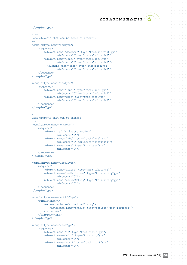

 $\alpha = \alpha - \alpha = \alpha$  $\alpha = \alpha = \alpha$  $\alpha = \alpha - \alpha$  $\alpha = \alpha = \alpha$  $\alpha$  ,  $\alpha$  ,  $\alpha$  $\alpha = \alpha = \alpha$  $\alpha = \alpha = \alpha = \alpha$  $\sim$  100  $\sim$  $\alpha = \alpha = \alpha = \alpha$  $\alpha=\alpha=\alpha=\alpha$  $\alpha = \alpha = \alpha$  $\alpha$  ,  $\alpha$  ,  $\alpha$  $\alpha = \alpha - \alpha = \alpha$ and a state  $\alpha$  .  $\alpha$  ,  $\alpha$  ,  $\alpha$  $\alpha$  ,  $\alpha$  ,  $\alpha$  ,  $\alpha$  $\alpha = \alpha - \alpha$ **State Street** and a state of  $\alpha$  ,  $\alpha$  ,  $\alpha$  ,  $\alpha$  $\alpha = \alpha = 0$  $\alpha$  ,  $\alpha$  ,  $\alpha$  $\alpha=\alpha=\alpha=\alpha$  $\sim$  100  $\sim$  $\alpha = \alpha = \alpha$ and a state  $\alpha = \alpha = \alpha$  $\alpha = \alpha - \alpha$  $\alpha = \alpha = \alpha = \alpha$  $\alpha = \alpha - \alpha - \alpha$  $\alpha = \alpha = 1$  $\alpha = \alpha = \alpha$  $\alpha=\alpha-\alpha-\alpha$  $\alpha = \alpha = \alpha$  $\alpha = \alpha - \alpha$  $\alpha = \alpha = \alpha$  $\alpha = \alpha = 0$  $\alpha = \alpha = \alpha$  $\alpha = \alpha = \alpha$  $\sim$  10  $\sim$  $\alpha = \alpha = \alpha$  $\alpha = \alpha = \alpha = \alpha$ 

> $\alpha = \alpha = 0$  $\alpha = \alpha = \alpha$

```
 </complexType>
   21 - - Data elements that can be added or removed.
   --&> <complexType name="addType">
         <sequence>
             <element name="document" type="tmch:documentType"
                     minOccurs="0" maxOccurs="unbounded"/>
             <element name="label" type="tmch:labelType"
                     minOccurs="0" maxOccurs="unbounded"/>
               <element name="case" type="tmch:caseType"
                     minOccurs="0" maxOccurs="unbounded"/>
         </sequence>
    </complexType>
    <complexType name="remType">
         <sequence>
             <element name="label" type="tmch:labelType"
                     minOccurs="0" maxOccurs="unbounded"/>
<element name="case" type="tmch:caseType"
 minOccurs="0" maxOccurs="unbounded"/>
         </sequence>
    </complexType>
   <! -- Data elements that can be changed.
   --\rightarrow <complexType name="chgType">
        <sequence>
            <element ref="mark:abstractMark"
                  minOccurs="0"/>
            <element name="label" type="tmch:labelType"
                   minOccurs="0" maxOccurs="unbounded"/>
             <element name="case" type="tmch:caseType"
                     minOccurs="0"/>
         </sequence>
    </complexType>
    <complexType name="labelType">
        <sequence>
             <element name="aLabel" type="mark:labelType"/>
             <element name="smdInclusion" type="tmch:notifyType"
                     minOccurs="0"/>
             <element name="claimsNotify" type="tmch:notifyType"
                      minOccurs="0"/>
         </sequence>
    </complexType>
    <complexType name="notifyType">
        <simpleContent>
             <extension base="normalizedString">
                 <attribute name="enable" type="boolean" use="required"/>
            </extension>
         </simpleContent>
    </complexType>
    <complexType name="caseType">
        <sequence>
             <element name="id" type="tmch:caseIdType"/>
             <element name="udrp" type="tmch:udrpType"
                     minOccurs="0"/>
             <element name="court" type="tmch:courtType"
                     minOccurs="0"/>
```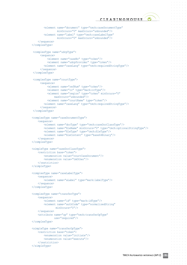CLEARINGHOUSE<sup>O</sup>

 $\alpha = \alpha - \alpha = \alpha$  $\alpha = \alpha = \alpha$ and a state  $\alpha$  ,  $\alpha$  ,  $\alpha$  ,  $\alpha$  $\alpha$  ,  $\alpha$  ,  $\alpha$  $\alpha=\alpha=\alpha=\alpha$  $\alpha = \alpha - \alpha = \alpha - \alpha$  $\sim$  100  $\sim$  $\alpha = \alpha = \alpha = \alpha$  $\alpha=\alpha-\alpha-\alpha$  $\alpha = \alpha = \alpha$  $\alpha$  ,  $\alpha$  ,  $\alpha$  $\alpha = \alpha = \alpha = \alpha$  $\alpha = \alpha = 0$  $\alpha = \alpha - \alpha$ **State State**  $\alpha$  .  $\alpha$  ,  $\alpha$  $\alpha = \alpha = \alpha$ 

 $\alpha=\alpha=\alpha=\alpha$  $\alpha = \alpha = \alpha = \alpha$ **Service** State  $\alpha = \alpha - \alpha = \alpha$  $\alpha = \alpha = 0$  $\alpha$  ,  $\alpha$  ,  $\alpha$  ,  $\alpha$  ,  $\alpha$  $\alpha$  , and  $\alpha$  , and  $\alpha$  $\alpha$  ,  $\alpha$  ,  $\alpha$  ,  $\alpha$  $\alpha$  ,  $\alpha$  ,  $\alpha$  ,  $\alpha$  $\alpha = \alpha - \alpha - \alpha - \alpha$  $\alpha = \alpha = \alpha = \alpha$ **Service State**  $\alpha = \alpha - \alpha - \alpha$  $\alpha = \alpha - \alpha = \alpha$  $\alpha = \alpha - \alpha = \alpha$ 

> $\alpha = \alpha - \alpha = \alpha$  $\alpha=\alpha=\alpha=\alpha$

 $\alpha = \alpha - \alpha = \alpha$ 

```
 <element name="document" type="tmch:caseDocumentType"
                 minOccurs="0" maxOccurs="unbounded"/>
         <element name="label" type="tmch:caseLabelType"
                 minOccurs="0" maxOccurs="unbounded"/>
     </sequence>
 </complexType>
<complexType name="udrpType">
      <sequence>
           <element name="caseNo" type="token"/>
           <element name="udrpProvider" type="token"/>
         <element name="caseLang" type="tmch:requiredStringType"/>
      </sequence>
</complexType>
<complexType name="courtType">
      <sequence>
           <element name="refNum" type="token"/>
           <element name="cc" type="mark:ccType"/>
           <element name="region" type="token" minOccurs="0"
                maxOccurs="unbounded"/>
           <element name="courtName" type="token"/>
         <element name="caseLang" type="tmch:requiredStringType"/>
      </sequence>
</complexType>
 <complexType name="caseDocumentType">
    <sequence>
         <element name="docType" type="tmch:caseDocClassType"/>
         <element name="fileName" minOccurs="0" type="tmch:optionalStringType"/>
         <element name="fileType" type="tmch:fileType"/>
         <element name="fileContent" type="base64Binary"/>
     </sequence>
 </complexType>
 <simpleType name="caseDocClassType">
    <restriction base="token">
        <enumeration value="courtCaseDocument"/>
         <enumeration value="tmOther"/>
   </restriction>
 </simpleType>
 <complexType name="caseLabelType">
     <sequence>
         <element name="aLabel" type="mark:labelType"/>
    </sequence>
 </complexType>
 <complexType name="transferType">
    <sequence>
         <element name="id" type="mark:idType"/>
         <element name="authCode" type="normalizedString"
               minOccurs="0"/>
     </sequence>
     <attribute name="op" type="tmch:transferOpType"
               use="required"/>
 </complexType>
 <simpleType name="transferOpType">
    <restriction base="token">
        <enumeration value="initiate"/>
         <enumeration value="execute"/>
    </restriction>
 </simpleType>
```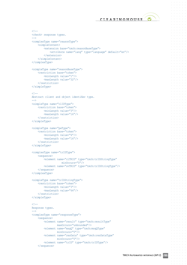$\alpha = \alpha - \alpha = \alpha$  $\alpha = \alpha = 1$ and a state and a state  $\sim$  100  $\sim$  $\alpha = \alpha - \alpha - \alpha - \alpha$  $\alpha = \alpha - \alpha = \alpha - \alpha$ **Service**  $\label{eq:3.1} \alpha = \alpha - \alpha - \alpha - \alpha - \alpha$ and a state  $\label{eq:3.1} \alpha_{\alpha} = \alpha_{\alpha} = \alpha_{\alpha} = \alpha_{\alpha} = \alpha_{\alpha}$  $\alpha$  ,  $\alpha$  ,  $\alpha$  ,  $\alpha$  $\alpha$  ,  $\alpha$  ,  $\alpha$  ,  $\alpha$  $\alpha = \alpha = \alpha = \alpha$ **Service**  $\alpha$  ,  $\alpha$  ,  $\alpha$  ,  $\alpha$  ,  $\alpha$  $\alpha$  .  $\alpha$  ,  $\alpha$  ,  $\alpha$  $\alpha$  ,  $\alpha$  ,  $\alpha$  ,  $\alpha$  $\alpha$  ,  $\alpha$  ,  $\alpha$  ,  $\alpha$  $\alpha$  , and  $\alpha$  , and  $\alpha$  $\alpha$  ,  $\alpha$  ,  $\alpha$  ,  $\alpha$  ,  $\alpha$ and a state  $\alpha = \alpha = \alpha = \alpha$ **Service** State  $\label{eq:3.1} \alpha_{\alpha\beta} = \alpha_{\alpha\beta} = \alpha_{\alpha\beta} = \alpha_{\alpha\beta} = \alpha_{\beta}$  $\alpha = \alpha = \alpha$  $\alpha$  ,  $\alpha$  ,  $\alpha$  ,  $\alpha$  ,  $\alpha$ **Contractor**  $\alpha = \alpha - \alpha = \alpha$  $\alpha$  ,  $\alpha$  ,  $\alpha$  $\alpha$  , and  $\alpha$  , and  $\alpha$  $\alpha$  ,  $\alpha$  ,  $\alpha$  ,  $\alpha$  ,  $\alpha$ and a state and a state of  $\alpha$  .  $\alpha$  ,  $\alpha$  $\alpha = \alpha - \alpha - \alpha - \alpha$  $\alpha = \alpha = \alpha = \alpha$  $\alpha$  ,  $\alpha$  ,  $\alpha$  ,  $\alpha$  $\alpha = \alpha - \alpha - \alpha$  $\alpha = \alpha = \alpha$  $\alpha$  ,  $\alpha$  ,  $\alpha$  ,  $\alpha$  ,  $\alpha$  $\alpha$  ,  $\alpha$  ,  $\alpha$  ,  $\alpha$  $\alpha = \alpha = \alpha$ **Service State**  $\alpha = \alpha - \alpha - \alpha - \alpha$  $\alpha=\alpha=\alpha=\alpha$ 

> $\alpha$  .  $\alpha$  ,  $\alpha$  $\alpha = \alpha - \alpha = \alpha$  $\alpha = \alpha = \alpha$

> > $\alpha = \alpha = \alpha$

```
\lt!! - <check> response types.
 -->
 <complexType name="reasonType">
    <simpleContent>
         <extension base="tmch:reasonBaseType">
             <attribute name="lang" type="language" default="en"/>
         </extension>
     </simpleContent>
 </complexType>
 <simpleType name="reasonBaseType">
     <restriction base="token">
         <minLength value="1"/>
         <maxLength value="32"/>
    </restriction>
 </simpleType>
21 - - Abstract client and object identifier type.
-- <simpleType name="clIDType">
     <restriction base="token">
         <minLength value="3"/>
         <maxLength value="16"/>
    \langle /restriction>
 </simpleType>
 <simpleType name="pwType">
     <restriction base="token">
         <minLength value="6"/>
         <maxLength value="16"/>
    \langle restriction>
 </simpleType>
 <complexType name="trIDType">
     <sequence>
         <element name="clTRID" type="tmch:trIDStringType"
                    minOccurs="0"/>
         <element name="svTRID" type="tmch:trIDStringType"/>
     </sequence>
 </complexType>
 <simpleType name="trIDStringType">
     <restriction base="token">
         <minLength value="3"/>
         <maxLength value="64"/>
    </restriction>
 </simpleType>
<! -- Response types.
 -->
 <complexType name="responseType">
     <sequence>
         <element name="result" type="tmch:resultType"
                maxOccurs="unbounded"/>
         <element name="msgQ" type="tmch:msgQType"
                minOccurs="0"/>
         <element name="resData" type="tmch:resDataType"
                minOccurs="0"/>
         <element name="trID" type="tmch:trIDType"/>
     </sequence>
```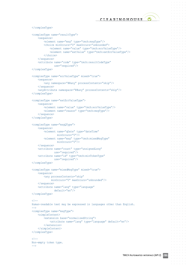$\alpha = \alpha - \alpha = \alpha$  $\alpha = \alpha = \alpha$ **Service State**  $\alpha$  ,  $\alpha$  ,  $\alpha$  ,  $\alpha$  $\alpha$  ,  $\alpha$  ,  $\alpha$  $\alpha = \alpha = \alpha = \alpha$  $\alpha = \alpha = \alpha = \alpha$  $\sim$  100  $\sim$  $\alpha = \alpha - \alpha = \alpha$  $\label{eq:3.1} \alpha_{\alpha} = \alpha_{\alpha} = \alpha_{\alpha} = \alpha_{\alpha} = \alpha_{\alpha}$  $\alpha = \alpha = \alpha$ **Service** State  $\alpha = \alpha = \alpha = \alpha$ and a state  $\alpha$  ,  $\alpha$  ,  $\alpha$  ,  $\alpha$  $\alpha$  ,  $\alpha$  ,  $\alpha$  ,  $\alpha$  $\alpha = \alpha - \alpha = \alpha$ **Service State**  $\alpha$  , and  $\alpha$  , and  $\alpha$  $\alpha = \alpha - \alpha - \alpha - \alpha$ and a state and a state  $\alpha$  , and  $\alpha$  , and  $\alpha$  $\alpha = \alpha = \alpha$  $\alpha = \alpha - \alpha = \alpha$ **Service** State  $\alpha = \alpha - \alpha = \alpha$  $\alpha = \alpha - \alpha$  $\alpha$  ,  $\alpha$  ,  $\alpha$  ,  $\alpha$  ,  $\alpha$  $\alpha$  , and  $\alpha$  , and  $\alpha$  $\alpha$  ,  $\alpha$  ,  $\alpha$  ,  $\alpha$  $\alpha$  ,  $\alpha$  ,  $\alpha$  ,  $\alpha$  $\alpha = \alpha - \alpha - \alpha - \alpha$  $\alpha = \alpha - \alpha = \alpha$ and a state  $\alpha$  ,  $\alpha$  ,  $\alpha$  ,  $\alpha$  $\alpha = \alpha = \alpha$  $\alpha = \alpha - \alpha = \alpha$  $\alpha = \alpha = \alpha$  $\sim$  10  $\sim$ and a state of  $\alpha=\alpha=\alpha=\alpha$ 

> $\alpha = \alpha = \alpha = \alpha$ and a state of

```
 </complexType>
 <complexType name="resultType">
     <sequence>
         <element name="msg" type="tmch:msgType"/>
         <choice minOccurs="0" maxOccurs="unbounded">
             <element name="value" type="tmch:errValueType"/>
             <element name="extValue" type="tmch:extErrValueType"/>
         </choice>
     </sequence>
     <attribute name="code" type="tmch:resultCodeType"
               use="required"/>
 </complexType>
 <complexType name="errValueType" mixed="true">
     <sequence>
         <any namespace="##any" processContents="skip"/>
     </sequence>
     <anyAttribute namespace="##any" processContents="skip"/>
 </complexType>
 <complexType name="extErrValueType">
     <sequence>
         <element name="value" type="tmch:errValueType"/>
         <element name="reason" type="tmch:msgType"/>
     </sequence>
 </complexType>
 <complexType name="msgQType">
     <sequence>
         <element name="qDate" type="dateTime"
             minOccurs="0"/>
         <element name="msg" type="tmch:mixedMsgType"
                  minOccurs="0"/>
     </sequence>
     <attribute name="count" type="unsignedLong"
               use="required"/>
     <attribute name="id" type="tmch:minTokenType"
               use="required"/>
 </complexType>
 <complexType name="mixedMsgType" mixed="true">
     <sequence>
         <any processContents="skip"
              minOccurs="0" maxOccurs="unbounded"/>
     </sequence>
     <attribute name="lang" type="language"
                default="en"/>
 </complexType>
<! -- Human-readable text may be expressed in languages other than English.
--\rightarrow <complexType name="msgType">
     <simpleContent>
         <extension base="normalizedString">
             <attribute name="lang" type="language" default="en"/>
         </extension>
     </simpleContent>
 </complexType>
\lt 1 - Non-empty token type.
--&
```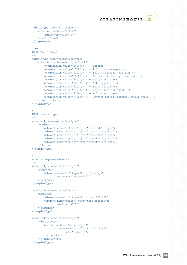

 $\alpha = \alpha - \alpha = \alpha$  $\alpha = \alpha = \alpha$ 

> $\alpha = \alpha = 0$  $\alpha = \alpha = 0$

> $\alpha = \alpha = 0$

 $\alpha = \alpha = 0$ 

**State State** and a state  $\alpha=\alpha=\alpha=\alpha$  $\alpha = \alpha = 0$  $\alpha = \alpha - \alpha$  $\alpha=\alpha=\alpha=\alpha$  $\alpha = \alpha = \alpha$  $\sim 10^{-11}$  $\alpha = \alpha = \alpha$  $\alpha = \alpha = 0$  $\alpha$  ,  $\alpha$  ,  $\alpha$  ,  $\alpha$  $\alpha$  ,  $\alpha$  ,  $\alpha$  ,  $\alpha$  $\alpha = \alpha = 1$  $\alpha$  ,  $\alpha$  ,  $\alpha$  ,  $\alpha$  $\alpha=\alpha-\alpha-\alpha$  $\alpha = \alpha = \alpha$  $\alpha = \alpha - \alpha$  $\alpha = \alpha = \alpha$  $\alpha = \alpha = \alpha$  $\alpha = \alpha = \alpha$ 

> $\alpha = \alpha = \alpha$  $\alpha = \alpha = \alpha$

 $\alpha = \alpha = \alpha = \alpha$ 

```
 <simpleType name="minTokenType">
     <restriction base="token">
         <minLength value="1"/>
    \langle/restriction>
 </simpleType>
<! -- TMCH result codes.
 -->
 <simpleType name="resultCodeType">
     <restriction base="unsignedShort">
         <enumeration value="1000"/> <!-- Success -->
         <enumeration value="1300"/> <!-- Poll : no messages -->
         <enumeration value="1301"/> <!-- Poll : messages (use ack) -->
         <enumeration value="1500"/> <!-- Success & closing connection -->
         <enumeration value="2001"/> <!-- Syntax error -->
         <enumeration value="2201"/> <!-- Not logged in -->
         <enumeration value="2202"/> <!-- Login failed -->
         <enumeration value="2303"/> <!-- Object does not exist -->
         <enumeration value="2306"/> <!-- Policy error -->
         <enumeration value="2400"/> <!-- Command failed (internal server error) -->
     </restriction>
 </simpleType>
<sub>1</sub> --</sub>
 TMCH resData type
 -->
 <complexType name="resDataType">
     <choice>
         <element name="chkData" type="tmch:chkDataType"/>
         <element name="creData" type="tmch:creDataType"/>
         <element name="infData" type="tmch:infDataType"/>
         <element name="renData" type="tmch:renDataType"/>
         <element name="trnData" type="tmch:trnDataType"/>
     </choice>
 </complexType>
< 1 - - <check> response elements.
 -->
 <complexType name="chkDataType">
     <sequence>
         <element name="cd" type="tmch:checkType"
                  maxOccurs="unbounded"/>
     </sequence>
 </complexType>
 <complexType name="checkType">
     <sequence>
         <element name="id" type="tmch:checkIdType"/>
         <element name="reason" type="tmch:reasonType"
                  minOccurs="0"/>
     </sequence>
 </complexType>
 <complexType name="checkIdType">
     <simpleContent>
         <extension base="mark:idType">
             <attribute name="avail" type="boolean"
                        use="required"/>
         </extension>
     </simpleContent>
 </complexType>
```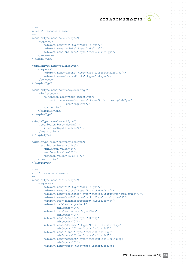$\alpha = \alpha = \alpha$  $\alpha = \alpha = 0$ 

 $\alpha = \alpha = \alpha$  $\alpha = \alpha = \alpha$  $\alpha = \alpha = 0$ 

 $\alpha = \alpha = 0$  $\alpha=\alpha=\alpha=\alpha$ 

> $\alpha = \alpha = 0$  $\alpha = \alpha = 0$

**State State** and a state  $\alpha=\alpha=\alpha=\alpha$ 

 $\alpha=\alpha=\alpha=\alpha$  $\alpha = \alpha = \alpha$ and a state  $\alpha = \alpha - \alpha = \alpha$  $\alpha = \alpha = 0$  $\alpha = \alpha = \alpha = \alpha$  $\alpha = \alpha - \alpha - \alpha$ 

 $\alpha$  ,  $\alpha$  ,  $\alpha$  ,  $\alpha$  $\alpha = \alpha - \alpha - \alpha$ 

> $\alpha = \alpha - \alpha$  $\alpha = \alpha = \alpha$

> $\alpha = \alpha = \alpha$

 $\alpha = \alpha = \alpha$ 

```
21 - - <create> response elements.
-- <complexType name="creDataType">
     <sequence>
         <element name="id" type="mark:idType"/>
         <element name="crDate" type="dateTime"/>
         <element name="balance" type="tmch:balanceType"/>
     </sequence>
 </complexType>
 <complexType name="balanceType">
     <sequence>
         <element name="amount" type="tmch:currencyAmountType"/>
         <element name="statusPoints" type="integer"/>
     </sequence>
 </complexType>
 <complexType name="currencyAmountType">
     <simpleContent>
         <extension base="tmch:amountType">
             <attribute name="currency" type="tmch:currencyCodeType"
                        use="required"/>
         </extension>
     </simpleContent>
 </complexType>
 <simpleType name="amountType">
     <restriction base="decimal">
         <fractionDigits value="2"/>
    </restriction>
 </simpleType>
 <simpleType name="currencyCodeType">
     <restriction base="string">
         <minLength value="3"/>
         <maxLength value="3"/>
         <pattern value="[A-Z]{3}"/>
    </restriction>
 </simpleType>
< 1 - - <info> response elements.
 -->
 <complexType name="infDataType">
     <sequence>
         <element name="id" type="mark:idType"/>
         <element name="status" type="tmch:statusType"/>
         <element name="pouStatus" type="tmch:pouStatusType" minOccurs="0"/>
         <element name="smdId" type="mark:idType" minOccurs="0"/>
         <element ref="mark:abstractMark" minOccurs="0"/>
         <element ref="smd:signedMark"
                 minOccurs="0"/>
         <element ref="smd:encodedSignedMark"
                 minOccurs="0"/>
         <element name="encFile" type="string"
                 minOccurs="0"/>
         <element name="document" type="tmch:infDocumentType"
                 minOccurs="0" maxOccurs="unbounded"/>
         <element name="label" type="tmch:infLabelType"
                 minOccurs="0" maxOccurs="unbounded"/>
         <element name="comment" type="tmch:optionalStringType"
                minOccurs="0"/>
         <element name="case" type="tmch:infMarkCaseType"
```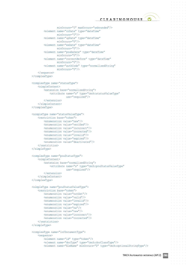$\alpha = \alpha = \alpha$  $\alpha = \alpha = \alpha$  $\alpha = \alpha = \alpha$  $\alpha = \alpha - \alpha$  $\alpha$  ,  $\alpha$  ,  $\alpha$  $\alpha = \alpha = \alpha$  $\alpha = \alpha = \alpha = \alpha$  $\sim$  100  $\sim$  $\alpha = \alpha = 0$  $\alpha=\alpha=\alpha=\alpha$  $\alpha = \alpha = \alpha$  $\alpha$  .  $\alpha$  ,  $\alpha$  $\alpha = \alpha = \alpha = \alpha$  . and a state  $\alpha$  ,  $\alpha$  ,  $\alpha$  ,  $\alpha$  $\alpha$  ,  $\alpha$  ,  $\alpha$  ,  $\alpha$  $\alpha = \alpha = \alpha$ **State State**  $\alpha$  ,  $\alpha$  ,  $\alpha$  ,  $\alpha$  $\alpha = \alpha = \alpha = \alpha$  $\alpha = \alpha = 0$  $\alpha = \alpha - \alpha$  $\alpha=\alpha=\alpha=\alpha$  $\alpha = \alpha = \alpha$  $\alpha = \alpha = \alpha$ and a state  $\alpha = \alpha = \alpha$  $\alpha = \alpha = 0$  $\alpha$  ,  $\alpha$  ,  $\alpha$  ,  $\alpha$  $\alpha = \alpha - \alpha = \alpha$  $\alpha = \alpha = 1$  $\alpha$  ,  $\alpha$  ,  $\alpha$  ,  $\alpha$  $\alpha=\alpha-\alpha-\alpha$  $\alpha = \alpha = \alpha$ **Service**  $\alpha = \alpha = \alpha = \alpha$  .  $\alpha = \alpha = \alpha$  $\alpha$  ,  $\alpha$  ,  $\alpha$  ,  $\alpha$  $\alpha = \alpha - \alpha = \alpha$  $\sim$  100  $\sim$  $\alpha = \alpha - \alpha$  $\alpha = \alpha = \alpha = \alpha$ 

 $\alpha = \alpha = \alpha$ 

```
 minOccurs="0" maxOccurs="unbounded"/>
         <element name="crDate" type="dateTime"
                 minOccurs="0"/>
         <element name="upDate" type="dateTime"
                 minOccurs="0"/>
         <element name="exDate" type="dateTime"
                  minOccurs="0"/>
         <element name="pouExDate" type="dateTime"
                 minOccurs="0"/>
         <element name="correctBefore" type="dateTime"
                 minOccurs="0"/>
         <element name="authCode" type="normalizedString"
                  minOccurs="0"/>
     </sequence>
 </complexType>
 <complexType name="statusType">
     <simpleContent>
         <extension base="normalizedString">
             <attribute name="s" type="tmch:statusValueType"
                        use="required"/>
        \langle/\rhoytension\rangle </simpleContent>
 </complexType>
 <simpleType name="statusValueType">
     <restriction base="token">
         <enumeration value="new"/>
         <enumeration value="verified"/>
         <enumeration value="incorrect"/>
         <enumeration value="corrected"/>
         <enumeration value="invalid"/>
         <enumeration value="expired"/>
         <enumeration value="deactivated"/>
    </restriction>
 </simpleType>
 <complexType name="pouStatusType">
     <simpleContent>
         <extension base="normalizedString">
             <attribute name="s" type="tmch:pouStatusValueType"
                        use="required"/>
         </extension>
     </simpleContent>
 </complexType>
 <simpleType name="pouStatusValueType">
     <restriction base="token">
         <enumeration value="notSet"/>
         <enumeration value="valid"/>
         <enumeration value="invalid"/>
         <enumeration value="expired"/>
         <enumeration value="na"/>
         <enumeration value="new"/>
         <enumeration value="incorrect"/>
         <enumeration value="corrected"/>
     </restriction>
 </simpleType>
 <complexType name="infDocumentType">
     <sequence>
         <element name="id" type="token"/>
         <element name="docType" type="tmch:docClassType"/>
         <element name="fileName" minOccurs="0" type="tmch:optionalStringType"/>
```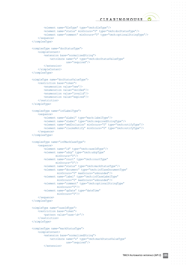$\alpha = \alpha - \alpha = \alpha$  $\alpha = \alpha = \alpha$  $\alpha = \alpha - \alpha$  $\alpha = 0$  .  $\alpha$  $\alpha$  ,  $\alpha$  ,  $\alpha$  $\alpha = \alpha - \alpha = \alpha$  $\alpha = \alpha = \alpha = \alpha$  $\sim$  100  $\sim$  $\alpha = \alpha = \alpha = \alpha$  $\alpha=\alpha=\alpha=\alpha$  $\alpha = \alpha = \alpha$ and a state  $\alpha = \alpha - \alpha = \alpha$ and a state  $\alpha = \alpha - \alpha = 0$  $\alpha = \alpha = \alpha$ **State State**  $\alpha$  .  $\alpha$  ,  $\alpha$  $\alpha = \alpha = \alpha$ 

 $\alpha = \alpha = \alpha = \alpha$  $\alpha = \alpha = \alpha$  $\sim$  100  $\sim$  $\alpha = \alpha = \alpha$  $\alpha = \alpha = 0$  $\alpha = \alpha = \alpha = \alpha$  $\alpha = \alpha - \alpha - \alpha$  $\alpha = \alpha = 1$ and a state of  $\alpha=\alpha-\alpha-\alpha$  $\alpha = \alpha = \alpha$ **Service**  $\alpha = \alpha = \alpha = \alpha$  $\alpha = \alpha - \alpha = \alpha$  $\alpha = \alpha - \alpha = \alpha$  $\sim$  10  $\sim$  10  $\sim$ and a state  $\alpha=\alpha=\alpha=\alpha$ 

 $\alpha = \alpha = \alpha = \alpha$ 

```
 <element name="fileType" type="tmch:fileType"/>
         <element name="status" minOccurs="0" type="tmch:docStatusType"/>
         <element name="comment" minOccurs="0" type="tmch:optionalStringType"/>
     </sequence>
 </complexType>
 <complexType name="docStatusType">
    <simpleContent>
         <extension base="normalizedString">
             <attribute name="s" type="tmch:docStatusValueType"
                        use="required"/>
         </extension>
     </simpleContent>
 </complexType>
 <simpleType name="docStatusValueType">
     <restriction base="token">
         <enumeration value="new"/>
         <enumeration value="verified"/>
         <enumeration value="invalid"/>
         <enumeration value="expired"/>
     </restriction>
 </simpleType>
 <complexType name="infLabelType">
    <sequence>
         <element name="aLabel" type="mark:labelType"/>
         <element name="uLabel" type="tmch:requiredStringType"/>
         <element name="smdInclusion" minOccurs="0" type="tmch:notifyType"/>
         <element name="claimsNotify" minOccurs="0" type="tmch:notifyType"/>
     </sequence>
 </complexType>
 <complexType name="infMarkCaseType">
    <sequence>
         <element name="id" type="tmch:caseIdType"/>
         <element name="udrp" type="tmch:udrpType"
                minOccurs="0"/>
         <element name="court" type="tmch:courtType"
                minOccurs="0"/>
         <element name="status" type="tmch:markStatusType"/>
         <element name="document" type="tmch:infCaseDocumentType"
                 minOccurs="0" maxOccurs="unbounded"/>
         <element name="label" type="tmch:infCaseLabelType"
                 minOccurs="0" maxOccurs="unbounded"/>
         <element name="comment" type="tmch:optionalStringType"
                 minOccurs="0"/>
         <element name="upDate" type="dateTime"
                  minOccurs="0"/>
     </sequence>
 </complexType>
 <simpleType name="caseIdType">
     <restriction base="token">
         <pattern value="case-\d+"/>
     </restriction>
 </simpleType>
 <complexType name="markStatusType">
     <simpleContent>
         <extension base="normalizedString">
             <attribute name="s" type="tmch:markStatusValueType"
                        use="required"/>
         </extension>
```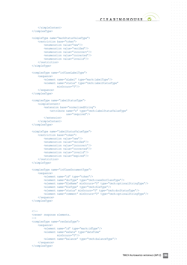

 $\alpha = \alpha - \alpha = \alpha$  $\alpha = \alpha = \alpha$ **Service** State  $\alpha$  ,  $\alpha$  ,  $\alpha$  ,  $\alpha$  $\sim$  100  $\sim$  $\alpha=\alpha=\alpha=\alpha$  $\alpha = \alpha = \alpha = \alpha$  $\sim$  100  $\sim$  $\alpha = \alpha = 0$  $\alpha=\alpha=\alpha=\alpha$  $\alpha = \alpha = \alpha$  $\alpha$  ,  $\alpha$  ,  $\alpha$  $\alpha = \alpha = \alpha = \alpha$  $\sim$  100  $\sim$  $\alpha = \alpha = 0$  $\alpha$  ,  $\alpha$  ,  $\alpha$  ,  $\alpha$  $\alpha = \alpha = \alpha$ **State State** and a state of  $\alpha = \alpha = \alpha = \alpha$  $\alpha = \alpha = 0$  $\alpha = \alpha - \alpha$  $\alpha=\alpha=\alpha=\alpha$  $\sim$  100  $\sim$  $\alpha = \alpha = \alpha$ and a state  $\alpha = \alpha = \alpha$  $\alpha = \alpha - \alpha$  $\alpha = \alpha = \alpha = \alpha$  $\alpha = \alpha - \alpha - \alpha$ 

 $\alpha = \alpha = \alpha$ 

 $\alpha = \alpha = \alpha$  $\alpha = \alpha = 1$ 

 $\alpha = \alpha = \alpha$  $\alpha = \alpha = \alpha = \alpha$ 

 $\alpha = \alpha = \alpha$ 

```
 </simpleContent>
 </complexType>
 <simpleType name="markStatusValueType">
     <restriction base="token">
         <enumeration value="new"/>
         <enumeration value="verified"/>
         <enumeration value="incorrect"/>
         <enumeration value="corrected"/>
         <enumeration value="invalid"/>
     </restriction>
 </simpleType>
 <complexType name="infCaseLabelType">
     <sequence>
         <element name="aLabel" type="mark:labelType"/>
         <element name="status" type="tmch:labelStatusType"
                  minOccurs="0"/>
     </sequence>
 </complexType>
 <complexType name="labelStatusType">
     <simpleContent>
         <extension base="normalizedString">
             <attribute name="s" type="tmch:labelStatusValueType"
                        use="required"/>
         </extension>
     </simpleContent>
 </complexType>
 <simpleType name="labelStatusValueType">
     <restriction base="token">
         <enumeration value="new"/>
         <enumeration value="verified"/>
         <enumeration value="incorrect"/>
         <enumeration value="corrected"/>
         <enumeration value="invalid"/>
         <enumeration value="expired"/>
    </restriction>
 </simpleType>
 <complexType name="infCaseDocumentType">
     <sequence>
         <element name="id" type="token"/>
         <element name="docType" type="tmch:caseDocClassType"/>
         <element name="fileName" minOccurs="0" type="tmch:optionalStringType"/>
         <element name="fileType" type="tmch:fileType"/>
         <element name="status" minOccurs="0" type="tmch:docStatusType"/>
         <element name="comment" minOccurs="0" type="tmch:optionalStringType"/>
     </sequence>
 </complexType>
<! -- <renew> response elements.
-- <complexType name="renDataType">
     <sequence>
         <element name="id" type="mark:idType"/>
         <element name="exDate" type="dateTime"
                 minOccurs="0"/>
         <element name="balance" type="tmch:balanceType"/>
     </sequence>
 </complexType>
```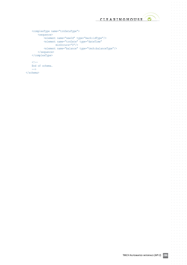

 $\bullet$ 

 $\alpha = \alpha = \alpha$  $\sim$  $\ddot{\phantom{a}}$  $\sim$  $\alpha = \alpha = \alpha$  $\alpha = \alpha$  $\alpha = \alpha = \alpha$ 

 $\alpha = \alpha = 0$  $\alpha$  .  $\alpha$  ,  $\alpha$  $\alpha = \alpha - \alpha - \alpha - \alpha$ 

 $\sim$  $\alpha=\alpha=\alpha$  $\alpha$  , and  $\alpha$  , and  $\alpha$ and a state of  $\sigma_{\rm{eff}}$  and  $\sigma_{\rm{eff}}$  and  $\sigma_{\rm{eff}}$  $\alpha = \alpha = 0$  $\hat{\mathbf{r}}$  ,  $\hat{\mathbf{r}}$  ,  $\hat{\mathbf{r}}$  ,  $\hat{\mathbf{r}}$  ,  $\hat{\mathbf{r}}$  $\alpha = \alpha = \alpha = \alpha$  $\alpha$  ,  $\alpha$  ,  $\alpha$  ,  $\alpha$  ,  $\alpha$  $\frac{1}{2}$  ,  $\frac{1}{2}$  ,  $\frac{1}{2}$  ,  $\frac{1}{2}$  ,  $\frac{1}{2}$  $\alpha = \alpha - \alpha - \alpha - \alpha$  .  $\alpha=\alpha=\alpha-\alpha$  $\alpha$  ,  $\alpha$  ,  $\alpha$  ,  $\alpha$  ,  $\alpha$  $\alpha$  ,  $\alpha$  ,  $\alpha$  ,  $\alpha$  $\alpha$  ,  $\alpha$  ,  $\alpha$  ,  $\alpha$  ,  $\alpha$  $\frac{1}{2}$  ,  $\frac{1}{2}$  ,  $\frac{1}{2}$  ,  $\frac{1}{2}$  ,  $\frac{1}{2}$  $\label{eq:3.1} \sigma_{\alpha\beta}(\sigma_{\alpha\beta}(\sigma_{\beta})-\sigma_{\beta\beta}(\sigma_{\beta})-\sigma_{\beta\beta}(\sigma_{\beta})-\sigma_{\beta\beta})$  $\alpha = \alpha - \alpha = \alpha$  $\hat{a}$  ,  $\hat{a}$  ,  $\hat{a}$  ,  $\hat{a}$  ,  $\hat{a}$  $\alpha$  ,  $\alpha$  ,  $\alpha$  ,  $\alpha$  ,  $\alpha$  $\mathcal{L}^{\mathcal{L}}$  , where  $\mathcal{L}^{\mathcal{L}}$  $\alpha = \alpha - \alpha - \alpha - \alpha$  .  $\alpha = \alpha = \alpha = \alpha$  $\alpha$  ,  $\alpha$  ,  $\alpha$  ,  $\alpha$  ,  $\alpha$  $\alpha=\alpha-\alpha-\alpha$  $\alpha$  ,  $\alpha$  ,  $\alpha$  ,  $\alpha$  ,  $\alpha$  $\sigma_{\rm{eff}}$  and  $\sigma_{\rm{eff}}$  and  $\sigma_{\rm{eff}}$  $\alpha$  , and  $\alpha$  , and  $\alpha$  $\alpha$  , and  $\alpha$  , and  $\alpha$  $\alpha$  ,  $\alpha$  ,  $\alpha$  $\epsilon$  ,  $\epsilon$  ,  $\epsilon$  ,  $\epsilon$  ,  $\epsilon$  $\alpha$  ,  $\alpha$  ,  $\alpha$  ,  $\alpha$  ,  $\alpha$  ,  $\alpha$  $\alpha = \alpha = \alpha = \alpha$  $\alpha$  ,  $\alpha$  ,  $\alpha$  ,  $\alpha$  ,  $\alpha$  $\alpha=\alpha=\alpha=\alpha$  $\alpha$  ,  $\alpha$  ,  $\alpha$  ,  $\alpha$  ,  $\alpha$  $\alpha$  ,  $\alpha$  ,  $\alpha$  ,  $\alpha$  ,  $\alpha$  $\alpha=\alpha=\alpha=\alpha$  $\alpha$  ,  $\alpha$  ,  $\alpha$  ,  $\alpha$  ,  $\alpha$  $\alpha$  ,  $\alpha$  ,  $\alpha$  ,  $\alpha$  $\mathcal{L}^{\pm}$  and  $\mathcal{L}^{\pm}$  and  $\mathcal{L}^{\pm}$  $\alpha$  ,  $\alpha$  ,  $\alpha$  ,  $\alpha$  ,  $\alpha$  ,  $\alpha$  $\alpha = \alpha - \alpha = \alpha$  $\alpha$  ,  $\alpha$  ,  $\alpha$  ,  $\alpha$  ,  $\alpha$  $\alpha$  ,  $\alpha$  ,  $\alpha$  ,  $\alpha$  ,  $\alpha$  $\hat{a}$  ,  $\hat{a}$  ,  $\hat{a}$  ,  $\hat{a}$  ,  $\hat{a}$  $\alpha = \alpha - \alpha - \alpha - \alpha$  .  $\alpha = \alpha = \alpha = \alpha$  $\alpha = \alpha - \alpha - \alpha - \alpha$  .  $\alpha$  ,  $\alpha$  ,  $\alpha$  ,  $\alpha$  $\mathcal{L}^{\pm}$  and  $\mathcal{L}^{\pm}$  and  $\mathcal{L}^{\pm}$  $\alpha$  ,  $\alpha$  ,  $\alpha$  ,  $\alpha$  ,  $\alpha$ and a state of  $\sigma_{\rm{eff}}$  and  $\sigma_{\rm{eff}}$  and  $\sigma_{\rm{eff}}$  $\alpha = \alpha = \alpha$  $\hat{a}$  ,  $\hat{a}$  ,  $\hat{a}$  ,  $\hat{a}$  ,  $\hat{a}$  $\alpha$  ,  $\alpha$  ,  $\alpha$  ,  $\alpha$  ,  $\alpha$  $\mathcal{L}^{\pm}$  and  $\mathcal{L}^{\pm}$  and  $\mathcal{L}^{\pm}$  $\alpha$  ,  $\alpha$  ,  $\alpha$  ,  $\alpha$  ,  $\alpha$  ,  $\alpha$  $\sim$  $\alpha = \alpha = \alpha$  $\alpha = \alpha - \alpha - \alpha - \alpha$ and a state  $\alpha$  ,  $\alpha$  ,  $\alpha$  ,  $\alpha$  ,  $\alpha$  ,  $\alpha$  $\label{eq:2.1} \alpha_{\alpha} = \alpha_{\alpha} - \alpha_{\alpha} - \alpha_{\alpha} - \alpha_{\alpha} - \alpha_{\alpha}$ and a state  $\alpha$  ,  $\alpha$  ,  $\alpha$  ,  $\alpha$ 

```
 <complexType name="trnDataType">
     <sequence>
         <element name="newId" type="mark:idType"/>
         <element name="trnDate" type="dateTime"
             minOccurs="0"/>
         <element name="balance" type="tmch:balanceType"/>
     </sequence>
 </complexType>
\leq! --
 End of schema.
\rightarrow
```
</schema>

 $\alpha$  $\alpha$  $\sim$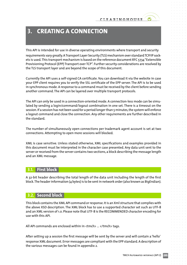# <span id="page-19-0"></span>**3. CREATING A CONNECTION**

This API is intended for use in diverse operating environments where transport and security requirements vary greatly. A Transport Layer Security (TLS) mechanism over standard TCP/IP sockets is used.This transport mechanism is based on the reference document RFC 5734"Extensible Provisioning Protocol (EPP) Transport over TCP". Further security considerations are resolved by the TLS transport layer and are beyond the scope of this document.

Currently the API uses a self-signed CA certificate. You can download it via the website in case your EPP client requires you to verify the SSL certificate of the EPP server. The API is to be used in synchronous mode.A response to a command must be received by the client before sending another command. The API can be layered over multiple transport protocols.

The API can only be used in a connection-oriented mode. A connection-less mode can be simulated by sending a login/command/logout combination in one set. There is a timeout on the session. If a session has not been used for a period longer than 5 minutes, the system will enforce a logout command and close the connection. Any other requirements are further described in the standard.

The number of simultaneously open connections per trademark agent account is set at two connections. Attempting to open more sessions will blocked.

XML is case sensitive. Unless stated otherwise, XML specifications and examples provided in this document must be interpreted in the character case presented. Any data unit sent to the server orreceived from the server contains two sections,a block describing the message length and an XML message.

# **3.1. First block**

A 32-bit header describing the total length of the data unit including the length of the first block.The headerinformation (4 bytes) is to be sentin network order(also known as BigEndian).

# **3.2. Second block**

This block contains the XML API command or response. It is an Xml structure that complies with the above XSD description. The XML block has to use a supported character set such as UTF-8 and an XML version of 1.0. Please note that UTF-8 is the RECOMMENDED character encoding for use with this API.

All API commands are enclosed within in <tmch> ... </tmch> tags.

After setting up a session the first message will be sent by the server and will contain a 'hello' response XML document. Error messages are compliant with the EPP standard.A description of the various messages can be found in appendix 2.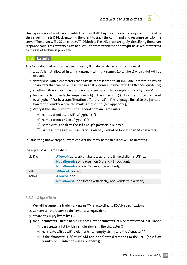<span id="page-20-0"></span>During a session it is always possible to add a clTRID tag.This block will always be mimicked by the server in the trID block enabling the client to track the command and response send by the server. The server will add an extra svTRID block to the trID block uniquely identifying the server response code. This reference can be useful to trace problems and might be asked or referred to in case of technical problems.

# **3.3. Labels**

The following method can be used to verify if a label matches a name of a mark

- 1. a dot  $\dot{\cdot}$  is not allowed in a mark name all mark names (and labels) with a dot will be rejected.
- 2. determine which characters that can be represented in an IDN label determine which characters that can be represented in an IDN domain name (refer to IDN 2008 guideline)
- 3. all other IDN non permissable characters can be omitted or replaced by a hyphen'-'
- 4. in case the character is the ampersand  $(8)$  or the atpersand  $(@)$  it can be omitted, replaced by a hyphen '-' or by a transliteration of'and' or'at' in the language linked to the jurisdiction or the country where the mark is registered. (see appendix 3)
- 5. Verify if the label is conform the general domain name rules
	- $\Theta$  name cannot start with a hyphen ('-')
	- $\Theta$  name cannot end in a hypen ('-')
	- $\Theta$  name with a dash on the 3rd and 4th position is rejected
	- $\Theta$  name and its ascii representation (a-label) cannot be longer than 63 characters

If using the 5 above steps allow to convert the mark name in a label will be accepted.

| ab & c  | <b>Allowed:</b> ab-c, ab-c, abandc, ab-and-c (if jursdiction is US), |
|---------|----------------------------------------------------------------------|
|         | <b>Not allowed:</b> ab---c (dash on 3rd and 4th position),           |
|         | <b>Not allowed:</b> a-and-c (b cannot be omitted),                   |
| $a+b$   | <b>Allowed:</b> ab, a-b                                              |
| $+abc+$ | Allowed: abc                                                         |
|         | Not allowed: -abc (starts with dash), abc- (ends with a dash),       |

### Examples Mark name Labels

# **3.3.1.**  *Algorithm*

- 1. We will assume the trademark name TM is according to ICANN specifications
- 2. Convert all characters to the lower case equivalent
- 3. create an empty list of lists A
- 4. for all characters C in the name TM check if the character C can be represented in IDN2008
	- $\Theta$  yes : create a list L with a single element, the character C
	- $\Theta$  no: create a list L with 2 elements : an empty string and the character'-'
	- $\Theta$  if the character is '&' or '@' add additional transliterations to the list L (based on country or jurisdiction – see appendix 3)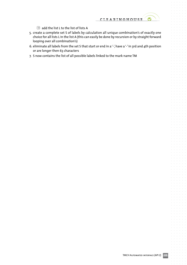$\bullet$ 

- $\Theta$  add the list L to the list of lists A
- 5. create a complete set S of labels by calculation all unique combination's of exactly one choice for all lists L in the list A (this can easily be done by recursion or by straight forward looping over all combination's)
- 6. eliminate all labels from the set S that start or end in a '-', have a '-' in 3rd and 4th position or are longer then 63 characters
- 7. S now contains the list of all possible labels linked to the mark name TM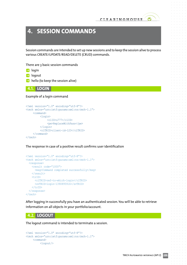# <span id="page-22-0"></span>**4. SESSION COMMANDS**

Session commands are intended to set up new sessions and to keep the session alive to process various CREATE/UPDATE/READ/DELETE (CRUD) commands.

There are 3 basic session commands

- $\rightarrow$  login
- $\rightarrow$  logout
- $\rightarrow$  hello (to keep the session alive)

**4.1. LOGIN**

#### Example of a login command

```
<?xml version="1.0" encoding="utf-8"?>
<tmch xmlns="urn:ietf:params:xml:ns:tmch-1.1">
     <command>
           <login>
                <clID>u777</clID>
                <pw>ReplaceWithPass</pw>
           </login>
           <clTRID>client-id-123</clTRID>
     </command>
\langle/tmch\rangle
```
### The response in case of a positive result confirms user identification

```
<?xml version="1.0" encoding="utf-8"?>
<tmch xmlns="urn:ietf:params:xml:ns:tmch-1.1">
   <response>
     <result code="1000">
       <msg>Command completed successfully</msg>
    \langle/result>
    \langle \text{trID} \rangle <clTRID>ref-to-which-login</clTRID>
       <svTRID>login-1390895916</svTRID>
    \langle/trID>
  </response>
</tmch>
```
After logging in successfully you have an authenticated session. You will be able to retrieve information on all objects in your portfolio/account.

### **4.2. LOGOUT**

The logout command is intended to terminate a session.

```
<?xml version="1.0" encoding="utf-8"?>
<tmch xmlns="urn:ietf:params:xml:ns:tmch-1.1">
    <command>
          <logout/>
```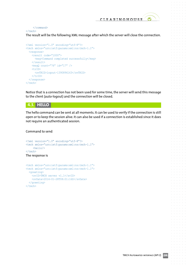#### <span id="page-23-0"></span></command>  $\langle$ /tmch $\rangle$

The result will be the following XML message after which the server will close the connection.

```
<?xml version="1.0" encoding="utf-8"?>
<tmch xmlns="urn:ietf:params:xml:ns:tmch-1.1">
   <response>
     <result code="1000">
       <msg>Command completed successfully</msg>
    \langle/result>
     <msgQ count="76" id="17" />
    <trID> <svTRID>logout-1390896163</svTRID>
    \langle/trID>
  \langleresponse>
\langle /tmch\rangle
```
Notice that is a connection has not been used for some time, the server will send this message to the client (auto-logout) and the connection will be closed.

### **4.3. HELLO**

The hello command can be sent at all moments. It can be used to verify if the connection is still open or to keep the session alive. It can also be used if a connection is established since it does not require an authenticated session.

Command to send

```
<?xml version="1.0" encoding="utf-8"?>
<tmch xmlns="urn:ietf:params:xml:ns:tmch-1.1">
    <hello/>
\langle /tmch>
The response is
```

```
<tmch xmlns="urn:ietf:params:xml:ns:tmch-1.1">
<tmch xmlns="urn:ietf:params:xml:ns:tmch-1.1">
   <greeting>
     <svID>TMCH server v1.1</svID>
     <svDate>2014-01-28T08:01:16Z</svDate>
   </greeting>
\langle /tmch\rangle
```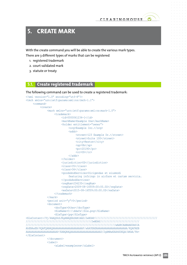# <span id="page-24-0"></span>**5. CREATE MARK**

With the create command you will be able to create the various mark types.

There are 3 different types of marks that can be registered

- 1. registered trademark
- 2. court validated mark
- 3. statute or treaty

# **5.1. Create registered trademark**

```
The following command can be used to create a registered trademark:
<?xml version="1.0" encoding="utf-8"?>
<tmch xmlns="urn:ietf:params:xml:ns:tmch-1.1">
     <command>
           <create>
               <mark xmlns="urn:ietf:params:xml:ns:mark-1.0">
                    <trademark>
                         <id>0000061234-1</id>
                        <markName>Example One</markName>
                        <holder entitlement="owner">
                              <org>Example Inc.</org>
                             <addr>
                                   <street>123 Example Dr.</street>
                                  <street>Suite 100</street>
                                  <city>Reston</city>
                                  <sp>VA</sp>
                                  <pc>20190</pc>
                                  <cc>US</cc>
                              </addr>
                         </holder>
                        <jurisdiction>US</jurisdiction>
                         <class>35</class>
                        <class>36</class>
                        <goodsAndServices>Dirigendas et eiusmodi
                              featuring infringo in airfare et cartam servicia.
                         </goodsAndServices>
                        <regNum>234235</regNum>
                        <regDate>2009-08-16T09:00:00.0Z</regDate>
                         <exDate>2015-08-16T09:00:00.0Z</exDate>
                     </trademark>
              \langle/mark>
                <period unit="y">5</period>
                <document>
                    <docType>Other</docType>
                   <fileName>C:\\ddafs\\file.png</fileName>
                   <fileType>jpg</fileType>
<fileContent>/9j/4AAQSkZJRgABAQEASABIAAD/2wBDAP//////////////////////////////////////////
////////////////////////////////////////////2wBDAf//////////////////////////
////////////////////////////////////////////////////////////wAARCAABAAEDASIA
AhEBAxEB/8QAFQABAQAAAAAAAAAAAAAAAAAAAAP/xAAUEAEAAAAAAAAAAAAAAAAAAAAA/8QAFAEB
AAAAAAAAAAAAAAAAAAAAAP/EABQRAQAAAAAAAAAAAAAAAAAAAAD/2gAMAwEAAhEDEQA/AKAA/9k=
</fileContent>
                </document>
                <label>
                     <aLabel>exampleone</aLabel>
```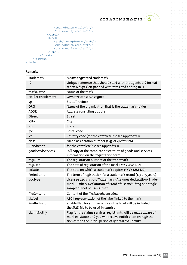$\alpha = \alpha = \alpha$  $\bar{\rm o}$ 

 $\alpha$ 

 $\sim$  $\alpha$  .  $\alpha$  ,  $\alpha$  $\alpha=\alpha-\alpha-\alpha$  $\alpha=\alpha=\alpha$  $\alpha = \alpha - \alpha = \alpha$ and a state  $\sigma_{\rm{eff}}$  and  $\sigma_{\rm{eff}}$  and  $\sigma_{\rm{eff}}$  $\alpha = \alpha = 0$  $\alpha$  ,  $\alpha$  ,  $\alpha$  ,  $\alpha$  $\alpha = \alpha = \alpha$  $\alpha$  ,  $\alpha$  ,  $\alpha$  ,  $\alpha$  ,  $\alpha$  $\label{eq:3.1} \alpha_{\alpha\beta} = \alpha_{\alpha\beta} = \alpha_{\alpha\beta} = \alpha_{\alpha\beta} = \alpha_{\beta}$  $\alpha = \alpha = \alpha$  $\alpha = \alpha - \alpha - \alpha - \alpha$  $\alpha = \alpha = \alpha$  $\hat{a}$  ,  $\hat{a}$  ,  $\hat{a}$  ,  $\hat{a}$  $\alpha = \alpha - \alpha = \alpha - \alpha$  $\alpha$  ,  $\alpha$  ,  $\alpha$  $\sim$  $\sigma_{\rm{eff}}$  ,  $\sigma_{\rm{eff}}$  ,  $\sigma_{\rm{eff}}$  ,  $\sigma_{\rm{eff}}$  $\alpha = \alpha = \alpha$  $\alpha = \alpha = \alpha = \alpha$  $\alpha = \alpha = \alpha = \alpha$  $\alpha$  ,  $\alpha$  ,  $\alpha$  ,  $\alpha$  $\label{eq:1} \alpha = \alpha - \alpha - \alpha - \alpha - \alpha.$  $\alpha = \alpha = \alpha$  $\alpha$  ,  $\alpha$  ,  $\alpha$  ,  $\alpha$  $\alpha = \alpha = \alpha = \alpha$  $\hat{a}$  ,  $\hat{a}$  ,  $\hat{a}$  ,  $\hat{a}$  $\alpha = \alpha - \alpha - \alpha - \alpha$  $\alpha = 1, \ldots, n$  $\alpha = \alpha - \alpha - \alpha - \alpha$  .  $\alpha=\alpha=\alpha$  $\alpha$  ,  $\alpha$  ,  $\alpha$  ,  $\alpha$  $\alpha = \alpha = \alpha = \alpha$  $\alpha$  ,  $\alpha$  ,  $\alpha$  ,  $\alpha$  $\alpha$  , and  $\alpha$  , and  $\alpha$  $\alpha=\alpha=\alpha$  $\alpha$  ,  $\alpha$  ,  $\alpha$  ,  $\alpha$  $\alpha = \alpha = 0$  $\alpha$  ,  $\alpha$  ,  $\alpha$  ,  $\alpha$  $\begin{array}{ccccccccc} \bullet & \bullet & \bullet & \bullet & \bullet & \bullet & \bullet \\ \bullet & \bullet & \bullet & \bullet & \bullet & \bullet & \bullet \end{array}$  $\alpha$  , and  $\alpha$  , and  $\alpha$  $\alpha = \alpha = \alpha$  $\alpha$  ,  $\alpha$  ,  $\alpha$  ,  $\alpha$  ,  $\alpha$  $\alpha = \alpha = \alpha$  $\alpha$  ,  $\alpha$  ,  $\alpha$  ,  $\alpha$  $\alpha = \alpha - \alpha - \alpha - \alpha$  .  $\alpha = \alpha = 0$  $\sim$  $\alpha$  , and  $\alpha$  , and  $\alpha$  $\alpha = \alpha = \alpha$  $\alpha = \alpha = \alpha = \alpha$  $\alpha$  ,  $\alpha$  ,  $\alpha$  ,  $\alpha$  $\alpha = \alpha - \alpha - \alpha$  $\alpha = \alpha - \alpha - \alpha - \alpha$  $\alpha = \alpha = \alpha$  $\alpha$  ,  $\alpha$  ,  $\alpha$  ,  $\alpha$  $\alpha = \alpha = \alpha$  $\alpha = \alpha = \alpha$  $\alpha$  ,  $\alpha$  ,  $\alpha$  ,  $\alpha$  $\alpha = \alpha = \alpha$  $\alpha$  ,  $\alpha$  ,  $\alpha$  ,  $\alpha$  $\alpha = \alpha = \alpha$  $\alpha = \alpha = \alpha$  $\alpha = \alpha = \alpha$  $\alpha = \alpha - \alpha$  $\sim$  $\alpha$  ,  $\alpha$  ,  $\alpha$  ,  $\alpha$  ,  $\alpha$  $\alpha = \alpha - \alpha$  $\alpha$  ,  $\alpha$  ,  $\alpha$  ,  $\alpha$  ,  $\alpha$  $\alpha$  ,  $\alpha$  ,  $\alpha$  ,  $\alpha$  $\alpha = \alpha - \alpha = \alpha$  $\sim$  $\sim$ 

 $\sim$  $\ddot{\phantom{a}}$  $\sim$  $\alpha$ 

 $\bullet$ 

```
 <smdInclusion enable="1"/>
                <claimsNotify enable="1"/>
           </label>
           <label>
                <aLabel>example-one</aLabel>
                <smdInclusion enable="0"/>
                <claimsNotify enable="1"/>
           </label>
      </create>
</command>
```
 $\langle$  /tmch $\rangle$ 

#### Remarks

| Trademark          | Means registered trademark                                                                                                                                                                 |
|--------------------|--------------------------------------------------------------------------------------------------------------------------------------------------------------------------------------------|
| id                 | Unique reference that should start with the agents uid format-<br>ted in 6 digits left padded with zeros and ending in -1                                                                  |
| markName           | Name of the mark                                                                                                                                                                           |
| Holder entitlement | Owner/Licensee/Assignee                                                                                                                                                                    |
| sp                 | State/Province                                                                                                                                                                             |
| <b>ORG</b>         | Name of the organization that is the trademark holder                                                                                                                                      |
| <b>ADDR</b>        | Address consisting out of:                                                                                                                                                                 |
| <b>Street</b>      | Street                                                                                                                                                                                     |
| City               | City                                                                                                                                                                                       |
| sp                 | <b>State</b>                                                                                                                                                                               |
| pc                 | Postal code                                                                                                                                                                                |
| cc                 | Country code (for the complete list see appendix 1)                                                                                                                                        |
| class              | Nice classification number (1-45 or 46 for N/A)                                                                                                                                            |
| Jurisdiction       | for the complete list see appendix 1)                                                                                                                                                      |
| qoodsAndServices   | Full copy of the complete description of goods and services<br>information on the registration form                                                                                        |
| regNum             | The registration number of the trademark                                                                                                                                                   |
| regDate            | The date of registration of the mark (YYYY-MM-DD)                                                                                                                                          |
| exDate             | The date on which a trademark expires (YYYY-MM-DD)                                                                                                                                         |
| Period unit        | The term of registration for a trademark record (1, 3 or 5 years)                                                                                                                          |
| docType            | Licensee declaration/ Trademark - Assignee declaration/ Trade-<br>mark - Other/ Declaration of Proof of use including one single<br>sample/ Proof of use - Other                           |
| fileContent        | Content of the file, base64 encoded                                                                                                                                                        |
| aLabel             | ASCII representation of the label linked to the mark                                                                                                                                       |
| SmdInclusion       | enable Flag for sunrise services: the label will be included in<br>the SMD file to be used in sunrise                                                                                      |
| claimsNotify       | Flag for the claims services: registrants will be made aware of<br>mark existance and you will receive notification on registra-<br>tion during the initial period of general availability |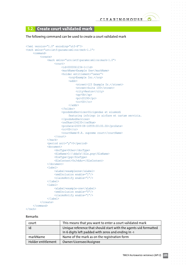$\alpha$ 

 $\sim$   $\sim$ 

# <span id="page-26-0"></span>**5.2. Create court validated mark**

#### The following command can be used to create a court validated mark

```
<?xml version="1.0" encoding="utf-8"?>
<tmch xmlns="urn:ietf:params:xml:ns:tmch-1.1">
    <command>
           <create>
                <mark xmlns="urn:ietf:params:xml:ns:mark-1.0">
                     <court>
                          <id>0000061234-1</id>
                          <markName>Example One</markName>
                          <holder entitlement="owner">
                               <org>Example Inc.</org>
                              <addr>
                                   <street>123 Example Dr.</street>
                                   <street>Suite 100</street>
                                   <city>Reston</city>
                                   <sp>VA</sp>
                                   <pc>20190</pc>
                                   <cc>US</cc>
                               </addr>
                          </holder>
                         <goodsAndServices>Dirigendas et eiusmodi
                               featuring infringo in airfare et cartam servicia.
                          </goodsAndServices>
                         <refNum>234235</refNum>
                         <proDate>2009-08-16T09:00:00.0Z</proDate>
                         <cc>US</cc>
                         <courtName>P.R. supreme court</courtName>
                     </court>
               \langle/mark>
                <period unit="y">5</period>
                <document>
                     <docType>Other</docType>
                    <fileName>C:\\ddafs\\file.png</fileName>
                    <fileType>jpg</fileType>
                    <fileContent>YnJvbAo=</fileContent>
                </document>
                <label>
                     <aLabel>exampleone</aLabel>
                     <smdInclusion enable="1"/>
                     <claimsNotify enable="1"/>
                </label>
                <label>
                     <aLabel>example-one</aLabel>
                     <smdInclusion enable="0"/>
                     <claimsNotify enable="1"/>
                </label>
           </create>
     </command>
```

```
\langle/tmch\rangle
```
#### Remarks

| court              | This means that you want to enter a court validated mark                                                                |
|--------------------|-------------------------------------------------------------------------------------------------------------------------|
| id                 | Unique reference that should start with the agents uid formatted<br>in 6 digits left padded with zeros and ending in -1 |
| markName           | Name of the mark as on the registration form                                                                            |
| Holder entitlement | Owner/Licensee/Assignee                                                                                                 |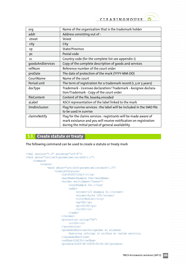$\sim$ 

 $\alpha = -\alpha$  $\alpha = \alpha$  $\alpha = \alpha = 0$ 

 $\alpha = \alpha = \alpha$ 

 $\alpha = \alpha = \alpha$ 

 $\alpha = 1$ 

<span id="page-27-0"></span>

| org              | Name of the organization that is the trademark holder                                                                                                                                     |
|------------------|-------------------------------------------------------------------------------------------------------------------------------------------------------------------------------------------|
| addr             | Address consisting out of:                                                                                                                                                                |
| street           | <b>Street</b>                                                                                                                                                                             |
| city             | City                                                                                                                                                                                      |
| sp               | State/Province                                                                                                                                                                            |
| pc               | Postal code                                                                                                                                                                               |
| <b>CC</b>        | Country code (for the complete list see appendix 1)                                                                                                                                       |
| qoodsAndServices | Copy of the complete description of goods and services                                                                                                                                    |
| refNum           | Reference number of the court order                                                                                                                                                       |
| proDate          | The date of protection of the mark (YYYY-MM-DD)                                                                                                                                           |
| CourtName        | Name of the court                                                                                                                                                                         |
| Period unit      | The term of registration for a trademark record (1, 3 or 5 years)                                                                                                                         |
| docType          | Trademark - Licensee declaration/ Trademark - Assignee declara-<br>tion/Trademark - Copy of the court order                                                                               |
| fileContent      | Content of the file, base64 encoded                                                                                                                                                       |
| aLabel           | ASCII representation of the label linked to the mark                                                                                                                                      |
| SmdInclusion     | Flag for sunrise services : the label will be included in the SMD file<br>to be used in sunrise                                                                                           |
| claimsNotify     | Flag for the claims services : registrants will be made aware of<br>mark existance and you will receive notification on registration<br>during the initial period of general availability |

# **5.3. Create statute or treaty**

The following command can be used to create a statute or treaty mark

```
<?xml version="1.0" encoding="utf-8"?>
<tmch xmlns="urn:ietf:params:xml:ns:tmch-1.1">
    <command>
          <create>
               <mark xmlns="urn:ietf:params:xml:ns:mark-1.0">
                    <treatyOrStatute>
                         <id>00000712423-1</id>
                        <markName>Example One</markName>
                        <holder entitlement="owner">
                              <org>Example Inc.</org>
                             <addr>
                                   <street>123 Example Dr.</street>
                                  <street>Suite 100</street>
                                  <city>Reston</city>
                                  <sp>VA</sp>
                                  <pc>20190</pc>
                                  <cc>US</cc>
                              </addr>
                         </holder>
                        <protection ruling="US">
                              <cc>US</cc>
                         </protection>
                        <goodsAndServices>Dirigendas et eiusmodi
                              featuring infringo in airfare et cartam servicia.
                         </goodsAndServices>
                        <refNum>234235</refNum>
                        <proDate>2009-08-16T09:00:00.0Z</proDate>
```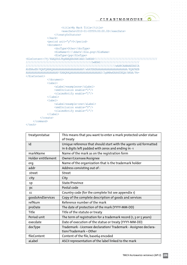$\alpha = \alpha = 0$ 

 $\sim$  $\alpha = \alpha = \alpha$ 

 $\alpha = -\alpha$  $\alpha = \alpha = 0$  $\alpha = \alpha$  $\alpha = \alpha - \alpha$  $\alpha = \alpha = \alpha$  $\sim$  100  $\sim$  $\alpha = \alpha = \alpha$  $\alpha = \alpha = 1$  $\alpha = \alpha = \alpha$  $\alpha = \alpha = 1$  $\alpha = \alpha = 0$  $\alpha = \alpha = \alpha$  $\alpha = \alpha = 0$  $\alpha = \alpha = 0$  $\alpha = \alpha - \alpha$  $\alpha = \alpha = \alpha = \alpha$  $\alpha = \alpha = \alpha$  $\alpha = \alpha = \alpha$  $\alpha$  .  $\alpha$  ,  $\alpha$  $\alpha = \alpha = 0$  $\alpha = \alpha - \alpha$  $\alpha = \alpha = \alpha$  $\alpha = \alpha = \alpha$  $\alpha = \alpha = 1$  $\alpha = \alpha = \alpha$  $\alpha = \alpha - \alpha$  $\alpha = \alpha = \alpha = \alpha$  $\alpha = -\alpha$  $\alpha = \alpha = \alpha$  $\alpha = \alpha = \alpha$  $\alpha = \alpha = \alpha$  $\alpha = \alpha = \alpha$  $\alpha = \alpha = \alpha$  $\alpha = \alpha = \alpha$  $\alpha = \alpha = \alpha$  $\sim$  100  $\sim$  $\alpha = \alpha = \alpha$  $\alpha = \alpha = \alpha$ 

 $\alpha = \alpha = \alpha$ 

```
<title>My Mark Title</title>
                        <execDate>2010-01-05T09:00:00.0Z</execDate>
                    </treatyOrStatute>
               \langle/mark>
                <period unit="y">5</period>
                <document>
                    <docType>Other</docType>
                   <fileName>C:\\ddafs\\file.png</fileName>
                   <fileType>jpg</fileType>
<fileContent>/9j/4AAQSkZJRgABAQEASABIAAD/2wBDAP//////////////////////////////////////////
////////////////////////////////////////////2wBDAf//////////////////////////
////////////////////////////////////////////////////////////wAARCAABAAEDASIA
AhEBAxEB/8QAFQABAQAAAAAAAAAAAAAAAAAAAAP/xAAUEAEAAAAAAAAAAAAAAAAAAAAA/8QAFAEB
AAAAAAAAAAAAAAAAAAAAAP/EABQRAQAAAAAAAAAAAAAAAAAAAAD/2gAMAwEAAhEDEQA/AKAA/9k=
</fileContent>
                </document>
                <label>
                    <aLabel>exampleone</aLabel>
                    <smdInclusion enable="1"/>
                    <claimsNotify enable="1"/>
                </label>
                <label>
                    <aLabel>example-one</aLabel>
                    <smdInclusion enable="0"/>
                    <claimsNotify enable="1"/>
               </label>
           </create>
    </command>
```

```
\langle /tmch\rangle
```

| treatyorstatue     | This means that you want to enter a mark protected under statue<br>of treaty                                            |
|--------------------|-------------------------------------------------------------------------------------------------------------------------|
| id                 | Unique reference that should start with the agents uid formatted<br>in 6 digits left padded with zeros and ending in -1 |
| markName           | Name of the mark as on the registration form                                                                            |
| Holder entitlement | Owner/Licensee/Assignee                                                                                                 |
| org                | Name of the organization that is the trademark holder                                                                   |
| addr               | Address consisting out of:                                                                                              |
| street             | Street                                                                                                                  |
| city               | City                                                                                                                    |
| sp                 | State/Province                                                                                                          |
| pc                 | Postal code                                                                                                             |
| CC                 | Country code (for the complete list see appendix 1)                                                                     |
|                    |                                                                                                                         |
| qoodsAndServices   | Copy of the complete description of goods and services                                                                  |
| refNum             | Reference number of the mark                                                                                            |
| proDate            | The date of protection of the mark (YYYY-MM-DD)                                                                         |
| <b>Title</b>       | Title of the statute or treaty                                                                                          |
| Period unit        | The term of registration for a trademark record (1, 3 or 5 years)                                                       |
| execdate           | Date of execution of the statue or treaty (YYYY-MM-DD)                                                                  |
| docType            | Trademark - Licensee declaration/ Trademark - Assignee declara-<br>tion/Trademark - Other                               |
| fileContent        | Content of the file, base64 encoded                                                                                     |
| aLabel             | ASCII representation of the label linked to the mark                                                                    |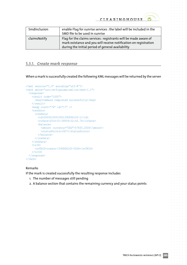<span id="page-29-0"></span>

| SmdInclusion | enable Flaq for sunrise services : the label will be included in the<br>SMD file to be used in sunrise                                                                                    |
|--------------|-------------------------------------------------------------------------------------------------------------------------------------------------------------------------------------------|
| claimsNotify | Flag for the claims services : registrants will be made aware of<br>mark existance and you will receive notification on registration<br>during the initial period of general availability |

# **5.3.1.**  *Create mark response*

When a mark is successfully created the following XML messages will be returned by the server

```
<?xml version="1.0" encoding="utf-8"?>
<tmch xmlns="urn:ietf:params:xml:ns:tmch-1.1">
   <response>
     <result code="1000">
       <msg>Command completed successfully</msg>
     </result>
     <msgQ count="76" id="17" />
     <resData>
       <creData>
        <id>00000100010001390896163-1</id>
         <crDate>2014-01-28T09:02:43.7Z</crDate>
         <balance>
           <amount currency="USD">57830.2500</amount>
           <statusPoints>1407</statusPoints>
         </balance>
       </creData>
    </resData>
     <trID>
       <svTRID>create-1390896163-5266</svTRID>
    \langle /trID>
   </response>
\langle /tmch\rangle
```
### Remarks

If the mark is created successfully the resulting response includes

- 1. The number of messages still pending
- 2. A balance section that contains the remaining currency and your status points

 $\sim$ 

 $\alpha$ 

 $\alpha = \alpha = \alpha$ 

 $\alpha = 0$ 

 $\sim$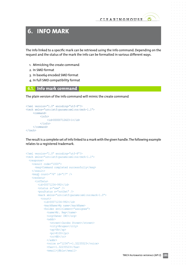# <span id="page-30-0"></span>**6. INFO MARK**

The info linked to a specific mark can be retrieved using the info command. Depending on the request and the status of the mark the info can be formatted in various different ways.

- 1. Mimicking the create command
- 2. In SMD format
- 3. In base64 encoded SMD format
- 4. In full SMD compatibility format

### **6.1. Info mark command**

The plain version of the info command will mimic the create command

```
<?xml version="1.0" encoding="utf-8"?>
<tmch xmlns="urn:ietf:params:xml:ns:tmch-1.1">
     <command>
           <info>
                <id>00000712423-1</id>
          \langle/info>
     </command>
\langle /tmch>
```
The result is a complete set of info linked to a mark with the given handle. The following example relates to a registered trademark.

```
<?xml version="1.0" encoding="utf-8"?>
<tmch xmlns="urn:ietf:params:xml:ns:tmch-1.1">
   <response>
     <result code="1000">
       <msg>Command completed successfully</msg>
    \langle/result>
    \langle \text{msgQ count} = "76" \text{ id} = "17" \rangle <resData>
       <infData>
         <id>00071234-992</id>
        \lambda <status s="new" />
         <pouStatus s="notSet" />
          <mark xmlns="urn:ietf:params:xml:ns:mark-1.0">
           <court>
              <id>00071234-992</id>
             <markName>My name</markName>
              <holder entitlement="assignee">
               <name>Mr. Rep</name>
                <org>Owner INC</org>
                <addr>
                  <street>Jacobs Street</street>
                  <city>Bruges</city>
                  <sp>VA</sp>
                  <pc>8100</pc>
                   <cc>BE</cc>
                </addr>
                <voice x="1234">+1.32235523</voice>
                <fax>+1.32235523</fax>
                <email>j@bla</email>
```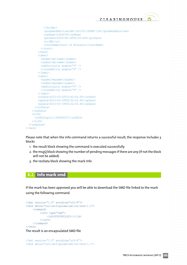```
 </holder>
              <goodsAndServices>BX-1421312-IRUNF-134</goodsAndServices>
             <refNum>12345678</refNum> <proDate>2009-08-16T00:00:00Z</proDate>
              <cc>BE</cc>
              <courtName>Court of Brussels</courtName>
            </court>
        \langle/mark>
         <label>
           <aLabel>my-name</aLabel>
           <uLabel>my-name</uLabel>
           <smdInclusion enable="0" />
           <claimsNotify enable="0" />
         </label>
         <label>
           <aLabel>myname</aLabel>
           <uLabel>myname</uLabel>
           <smdInclusion enable="0" />
           <claimsNotify enable="0" />
         </label>
         <crDate>2013-03-22T10:42:06.0Z</crDate>
         <upDate>2013-03-19T00:32:45.9Z</upDate>
         <exDate>2013-03-19T00:32:45.9Z</exDate>
       </infData>
     </resData>
     <trID>
       <svTRID>poll-1390900577</svTRID>
    \langle/trID>
  \langle/response>
\langle /tmch\rangle
```
Please note that when the info command returns a successful result, the response includes 3 blocks

- 1. the result block showing the command is executed successfully
- 2. the msqQ block showing the number of pending messages if there are any (if not the block will not be added)
- 3. the resData block showing the mark info

# **6.2. Info mark smd**

If the mark has been approved you will be able to download the SMD file linked to the mark using the following command

```
<?xml version="1.0" encoding="utf-8"?>
<tmch xmlns="urn:ietf:params:xml:ns:tmch-1.1">
    <command>
           <info type="smd">
               <id>000009812423-1</id>
          </info>
     </command>
\langle /tmch>
```
The result is an encapsulated SMD file

```
<?xml version="1.0" encoding="utf-8"?>
<tmch xmlns="urn:ietf:params:xml:ns:tmch-1.1">
```
 $\alpha = \alpha = 0$ 

 $\alpha = \alpha = 0$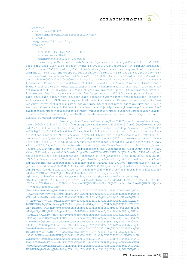$\alpha = \alpha = \alpha = \alpha$ 

 $\alpha$  .  $\alpha$  ,  $\alpha$  $\alpha = \alpha - \alpha = \alpha$  $\alpha = \alpha = \alpha = \alpha$ 

 $\alpha=\alpha=\alpha=\alpha$ 

 $\alpha = \alpha = \alpha = \alpha$  $\alpha$  .  $\alpha$  ,  $\alpha$  ,  $\alpha$ 

 $\alpha = \alpha = \alpha$  $\alpha = \alpha - \alpha = \alpha$  $\alpha=\alpha=\alpha-\alpha$ 

 $\alpha=\alpha=\alpha=\alpha$  $\alpha = \alpha = \alpha = \alpha$ 

 $\alpha = \alpha = \alpha = 0$  $\alpha = \alpha = \alpha = \alpha$  $\alpha$  ,  $\alpha$  ,  $\alpha$  ,  $\alpha$ 

 $\alpha$  ,  $\alpha$  ,  $\alpha$  ,  $\alpha$ 

 $\alpha = \alpha - \alpha = 0$  $\alpha = \alpha - \alpha = \alpha$ 

and a state of  $\alpha = \alpha = \alpha = 0$ 

 $\alpha = \alpha - \alpha - \alpha$ 

```
 <response>
   <result code="1000">
     <msg>Command completed successfully</msg>
  \langleresult>
  \langle \text{msgQ count} = "76" id="17" />
   <resData>
     <infData>
       <id>0000015071387359953364-1</id>
      \lambda <status s="verified" />
       <smdId>000000000023234-2</smdId>
```
 <smd:signedMark xmlns:smd="urn:ietf:params:xml:ns:signedMark-1.0" id="\_7f3b-6f8c-5cf1-4f6b-9187-21dd7d53c968"><smd:id>0000005071387359953364-1</smd:id><smd:issuerInfo issuerID="1"><smd:org>Deloitte</smd:org><smd:email>smd-support@deloitte.com</ smd:email><smd:url>smd-support.deloitte.com</smd:url><smd:voice>+32.20000000</smd:voice></smd:issuerInfo><smd:notBefore>2013-12-18T09:45:53.364Z</smd:notBefore><smd:notAfter>2014-05-02T22:00:00.000Z</smd:notAfter><mark:mark xmlns:mark="urn:ietf:params:xml:ns:mark-1.0"><mark:trademark><mark:id>000001136757513215-1</mark:id><mark:markName>Example 3</mark:markName><mark:holder entitlement="owner"><mark:org>Example Inc.</mark:org><mark:addr><mark:street>123 Example Dr.</mark:street><mark:street>Suite 100</mark:street><mark:city>Reston</mark:city><mark:sp>VA</mark:sp><mark:pc>20190</mark:pc><mark:cc>LY</ mark:cc></mark:addr></mark:holder><mark:contact type="agent"><mark:name>jan jansen</ mark:name><mark:org>CHIP</mark:org><mark:addr><mark:street>dvv 37</mark:street><mark:city>Leuven</mark:city><mark:pc>3000</mark:pc><mark:cc>BE</mark:cc></mark:addr><mark:voice>+1.123</ mark:voice><mark:fax>+2.457</mark:fax><mark:email>jan@ipclearinghouse.org</mark:email></ mark:contact><mark:jurisdiction>LY</mark:jurisdiction><mark:class>35</mark:class><mark: class>36</mark:class><mark:goodsAndServices>Dirigendas et eiusmodi featuring infringo in airfare et cartam servicia.

 </mark:goodsAndServices><mark:regNum>234235</mark:regNum><mark:reg-Date>2009-08-15T22:00:00.000Z</mark:regDate><mark:exDate>2015-08-15T22:00:00.000Z</mark:ex-Date></mark:trademark></mark:mark><ds:Signature xmlns:ds="http://www.w3.org/2000/09/ xmldsig#" Id="\_32534634-384e-40b3-9c48-812c5a92f0ee"><ds:SignedInfo><ds:CanonicalizationMethod Algorithm="http://www.w3.org/2001/10/xml-exc-c14n#"/><ds:SignatureMethod Algorithm="http://www.w3.org/2001/04/xmldsig-more#rsa-sha256"/><ds:Reference URI="#\_7f3b-6f8c-5cf1-4f6b-9187-21dd7d53c968"><ds:Transforms><ds:Transform Algorithm="http://www. w3.org/2000/09/xmldsig#enveloped-signature"/><ds:Transform Algorithm="http://www. w3.org/2001/10/xml-exc-c14n#"/></ds:Transforms><ds:DigestMethod Algorithm="http://www. w3.org/2001/04/xmlenc#sha256"/><ds:DigestValue>UOUfso/KI5u9WEVqfX/jTKcEoeuUWioT4O9neFsqmZg=</ ds:DigestValue></ds:Reference><ds:Reference URI="#\_ebda5fd0-14e2-40fb-b973-06328b34fc74"><ds:Transforms><ds:Transform Algorithm="http://www.w3.org/2001/10/xml-exc-c14n#"/></ ds:Transforms><ds:DigestMethod Algorithm="http://www.w3.org/2001/04/xmlenc#sha256"/><ds:DigestValue>kedEuC5ruC2DeF9GFPQ3crkV+lW0IQCmCk7uX8uM13g=</ds:DigestValue></ds:Reference></ ds:SignedInfo><ds:SignatureValue Id="\_c3d3ad97-f335-4694-b70b-7ac578eeb816">gvN4wbzEXfJ0FvdUJ54JTdF4NKuRfuXs0BYj0DIKNMnaXD0KAFDnEb1nMFfC7mU+lugjofeuHYz/

AglrVMgKCatiiGIM7GHLIaz6CfBWvQbRFAg23xJ/tOoEcmtmg8QwOLVmtwnfG2AhLfDJWCnV8PqJ

bGmxlt7k9jlhpPGlMYY=</ds:SignatureValue><ds:KeyInfo Id="\_ebda5fd0-14e2-40fb-b973-06328b34fc74"><ds:X509Data><ds:X509Certificate>MIIFQDCCBKmgAwIBAgIEQDf7czANBgkqhkiG9w0BAQUFADA/MQswC-QYDVQQGEwJESzEMMAoGA1UE

ChMDVERDMSIwIAYDVQQDExlUREMgT0NFUyBTeXN0ZW10ZXN0IENBIElJMB4XDTExMTEwMTEyMjAz M1oXDTEzMTEwMTEyNTAzM1owgYUxCzAJBgNVBAYTAkRLMSkwJwYDVQQKEyBJbmdlbiBvcmdhbmlz YXRvcmlzayB0aWxrbnl0bmluZzFLMCMGA1UEBRMcUElEOjkyMDgtMjAwMi0yLTczNTA4OTg1Nzk4 MjAkBgNVBAMTHVRlc3RwZXJzb24gMjgwMjc1MTc3MiBUZXN0c2VuMIGfMA0GCSqGSIb3DQEBAQUA A4GNADCBiQKBgQCSx/24Ymnp6hOLnEKstqKbkzKbxWAtsp6McocgCCWkIX82QGJ5N6Fqi8Ti20D0 DNxjlW0RfQU/Ot25mEmVXrXpcUcQEsidHs1nFx7Bz2EEFL0gs8JzDiNQ9fpTUU/dOLZzb/qr1EcT aGtJyaRZjJOGl7jO/K83oZqptu/0DgLzuQIDAQABo4IDADCCAvwwDgYDVR0PAQH/BAQDAgP4MCsG A1UdEAQkMCKADzIwMTExMTAxMTIyMDMzWoEPMjAxMzExMDExMjUwMzNaMEYGCCsGAQUFBwEBBDow ODA2BggrBgEFBQcwAYYqaHR0cDovL3Rlc3Qub2NzcC5jZXJ0aWZpa2F0LmRrL29jc3Avc3RhdHVz MIIBNwYDVR0gBIIBLjCCASowggEmBgoqgVCBKQEBAQECMIIBFjAvBggrBgEFBQcCARYjaHR0cDov L3d3dy5jZXJ0aWZpa2F0LmRrL3JlcG9zaXRvcnkwgeIGCCsGAQUFBwICMIHVMAoWA1REQzADAgEB GoHGRm9yIGFudmVuZGVsc2UgYWYgY2VydGlmaWthdGV0IGfmbGRlciBPQ0VTIHZpbGvlciwgQ1BT IG9nIE9DRVMgQ1AsIGRlciBrYW4gaGVudGVzIGZyYSB3d3cuY2VydGlmaWthdC5kay9yZXBvc2l0 b3J5LiBCZW3mcmssIGF0IFREQyBlZnRlciB2aWxr5XJlbmUgaGFyIGV0IGJlZ3LmbnNldCBhbnN2 YXIgaWZ0LiBwcm9mZXNzaW9uZWxsZSBwYXJ0ZXIuMBgGCWCGSAGG+EIBDQQLFglQZXJzb25XZWIw IAYDVR0RBBkwF4EVc3VwcG9ydEBjZXJ0aWZpa2F0LmRrMIGXBgNVHR8EgY8wgYwwV6BVoFOkUTBP MQswCQYDVQQGEwJESzEMMAoGA1UEChMDVERDMSIwIAYDVQQDExlUREMgT0NFUyBTeXN0ZW10ZXN0 IENBIElJMQ4wDAYDVQQDEwVDUkwyOTAxoC+gLYYraHR0cDovL3Rlc3QuY3JsLm9jZXMuY2VydGlm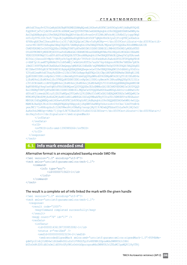```
CLEARINGHOUSE
```
 $\alpha = -\alpha$ 

 $\alpha = \alpha = 0$ 

 $\alpha = \alpha = \alpha$ 

 $\alpha = \alpha = \alpha$ 

 $\alpha = -\alpha$  $\alpha = -\alpha$ 

 $\alpha = \alpha = \alpha$ 

 $\alpha = \alpha - \alpha$ 

 $\alpha = \alpha$ 

```
aWthdC5kay9vY2VzLmNybDAfBgNVHSMEGDAWgBQcmAlHGkw4uRDFBClb8fROgGrMfjAdBgNVHQ4E
FgQUR4fjxTv2jdk9Ztak8CBikXRbWjwwCQYDVR0TBAIwADAZBgkqhkiG9n0HQQAEDDAKGwRWNy4x
AwIDqDANBgkqhkiG9w0BAQUFAAOBgQBUvfdxcBIo8vsxGvtF22WkiWFskcWjlUhKbGIyjcppfWqS
nZ5iDy5T9iIGY/huT/7SgnJbjnpN6EEa6UqXUbUzdth5OP7qBQkvKnOkIyuGjftcqV8Xja4GwZos
6F6NzqAXCReC2kwuuN44zrjz3fj7dA26QGpimCJWzv5zRyW3Ng==</ds:X509Certificate><ds:X509Certifi-
cate>MIIEXTCCA8agAwIBAgIEQDYX/DANBgkqhkiG9w0BAQUFADA/MQswCQYDVQQGEwJESzEMMAoGA1UE
ChMDVERDMSIwIAYDVQQDExlUREMgT0NFUyBTeXN0ZW10ZXN0IENBIElJMB4XDTA0MDIyMDEzNTE0
OVoXDTM3MDYyMDE0MjE0OVowPzELMAkGA1UEBhMCREsxDDAKBgNVBAoTA1REQzEiMCAGA1UEAxMZ
VERDIE9DRVMgU3lzdGVtdGVzdCBDQSBJSTCBnzANBgkqhkiG9w0BAQEFAAOBjQAwgYkCgYEArawA
NI56sljDsnosDU+Mp4r+RKFys9c5qy8jWZyA+7PYFs4+IZcFxnbNuHi8aAcbSFOUJF0PGpNgPEtN
c+XAK7p16iawNTYpMkHm2VoInNfwWEj/wGmtb4rKDT2a7auGk76q+Xdqnno4PRO8e7AKEHw7pN3k
iHmZCI48PTRpRx8CAwEAAaOCAmQwggJgMA8GA1UdEwEB/wQFMAMBAf8wDgYDVR0PAQH/BAQDAgEG
MIIBAwYDVR0gBIH7MIH4MIH1BgkpAQEBAQEBAQEwgecwLwYIKwYBBQUHAgEWI2h0dHA6Ly93d3cu
Y2VydGlmaWthdC5kay9yZXBvc2l0b3J5MIGzBggrBgEFBQcCAjCBpjAKFgNUREMwAwIBARqBl1RE
QyBUZXN0IENlcnRpZmlrYXRlciBmcmEgZGVubmUgQ0EgdWRzdGVkZXMgdW5kZXIgT0lEIDEuMS4x
LjEuMS4xLjEuMS4xLjEuIFREQyBUZXN0IENlcnRpZmljYXRlcyBmcm9tIHRoaXMgQ0EgYXJlIGlz
c3VlZCB1bmRlciBPSUQgMS4xLjEuMS4xLjEuMS4xLjEuMS4wEQYJYIZIAYb4QgEBBAQDAgAHMIGW
BgNVHR8EgY4wgYswVqBUoFKkUDBOMQswCQYDVQQGEwJESzEMMAoGA1UEChMDVERDMSIwIAYDVQQD
ExlUREMgT0NFUyBTeXN0ZW10ZXN0IENBIElJMQ0wCwYDVQQDEwRDUkwxMDGgL6AthitodHRwOi8v
dGVzdC5jcmwub2Nlcy5jZXJ0aWZpa2F0LmRrL29jZXMuY3JsMCsGA1UdEAQkMCKADzIwMDQwMjIw
MTM1MTQ5WoEPMjAzNzA2MjAxNDIxNDlaMB8GA1UdIwQYMBaAFByYCUcaTDi5EMUEKVvx9E6Aasx+
MB0GA1UdDgQWBBQcmAlHGkw4uRDFBClb8fROgGrMfjAdBgkqhkiG9n0HQQAEEDAOGwhWNi4wOjQu
MAMCBJAwDQYJKoZIhvcNAQEFBQADgYEApyoAjiKq6WK5XaKWUpVskutzohv1VcCke/3JeUVtmB+b
yexJMC171s4RHoqcbufcI2ASVWwu84i45MaKg/nxoqojMyY19/W2wbQFEdsxUCnLa9e9tlWj0xS/
AaKeUhk2MBOqv+hMdc71jOqc5JN7T2Ba6ZRIY5uXkO3IGZ3XUsw=</ds:X509Certificate></ds:X509Data></
ds:KeyInfo></ds:Signature></smd:signedMark>
      </infData>
    </resData>
     <trID>
       <svTRID>info-smd-1390989266</svTRID>
    \langle/trID>
  </response>
\langle /tmch\rangle
```
# **6.3. Info mark encoded smd**

### Alternative format is an encapsulated base64 encode SMD file

```
<?xml version="1.0" encoding="utf-8"?>
<tmch xmlns="urn:ietf:params:xml:ns:tmch-1.1">
     <command>
           <info type="enc">
                <id>00000715623-1</id>
           </info>
     </command>
\langle/tmch\rangle
```
### The result is a complete set of info linked the mark with the given handle

```
<?xml version="1.0" encoding="utf-8"?>
<tmch xmlns="urn:ietf:params:xml:ns:tmch-1.1">
   <response>
     <result code="1000">
       <msg>Command completed successfully</msg>
    \langle result>
    \langle \text{msgQ count} = "76" \text{ id} = "17" \rangle <resData>
       <infData>
          <id>0000014361387359953082-1</id>
         \text{Status } s = \text{``vertical''} <smdId>000000000023234-2</smdId>
          <smd:encodedSignedMark xmlns:smd="urn:ietf:params:xml:ns:signedMark-1.0">PD94bWw-
gdmVyc2lvbj0iMS4wIiBlbmNvZGluZz0iVVRGLTgiPz4KPHNtZDpzaWduZWRNYXJrIHht
bG5zOnNtZD0idXJuOmlldGY6cGFyYW1zOnhtbDpuczpzaWduZWRNYXJrLTEuMCIgaWQ9Il8yYTRj
```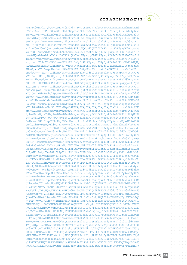$\label{eq:3.1} \alpha = \alpha + \alpha + \alpha + \alpha + \alpha$  $\alpha = \alpha - \alpha - \alpha - \alpha$ 

 $\label{eq:2.1} \alpha = \alpha - \alpha - \alpha - \alpha = 0$  $\alpha = \alpha - \alpha - \alpha - \alpha$  $\alpha = \alpha - \alpha - \alpha - \alpha$ and a state  $\alpha = \alpha - \alpha - \alpha - \alpha$  $\alpha = \alpha - \alpha - \alpha - \alpha$  $\alpha = \alpha - \alpha - \alpha = \alpha$ and a state  $\label{eq:3.1} \alpha = \alpha - \alpha - \alpha - \alpha = 0$  $\alpha=\alpha-\alpha-\alpha-\alpha$  $\alpha$  ,  $\alpha$  ,  $\alpha$  ,  $\alpha$  ,  $\alpha$  $\alpha = \alpha - \alpha - \alpha - \alpha$  $\alpha = \alpha - \alpha - \alpha - \alpha$  $\alpha = \alpha - \alpha - \alpha - \alpha$  $\alpha$  , and  $\alpha$  , and  $\alpha$  $\alpha = \alpha - \alpha - \alpha - \alpha$  $\alpha$  . The contract of the  $\alpha$  $\alpha = \alpha - \alpha - \alpha - \alpha$  $\alpha$  ,  $\alpha$  ,  $\alpha$  ,  $\alpha$  ,  $\alpha$  $\alpha$  . The contract of the  $\alpha$  $\label{eq:3.1} \alpha = -\alpha - \alpha = -\alpha = 0$  $\alpha = \alpha - \alpha - \alpha - \alpha$  $\alpha = \alpha - \alpha - \alpha - \alpha$ and a state  $\alpha = \alpha - \alpha = \alpha - \alpha$  $\alpha$  ,  $\alpha$  ,  $\alpha$  ,  $\alpha$  ,  $\alpha$  $\alpha$  , and  $\alpha$  , and  $\alpha$ and a state  $\alpha = \alpha - \alpha - \alpha - \alpha$  $\alpha=\alpha-\alpha-\alpha-\alpha$  $\alpha = \alpha - \alpha - \alpha - \alpha$  $\alpha$  ,  $\alpha$  ,  $\alpha$  ,  $\alpha$  ,  $\alpha$  $\alpha = \alpha - \alpha - \alpha - \alpha$  $\alpha = \alpha - \alpha - \alpha - \alpha$  $\alpha$  ,  $\alpha$  ,  $\alpha$  ,  $\alpha$  ,  $\alpha$  $\alpha = \alpha - \alpha - \alpha - \alpha$  $\alpha = \alpha - \alpha - \alpha - \alpha$  $\alpha = \alpha - \alpha - \alpha - \alpha$ 

 $\alpha = \alpha - \alpha - \alpha - \alpha$  $\alpha = \alpha - \alpha = \alpha - \alpha$ 

 $\label{eq:2.1} \alpha = \alpha - \alpha - \alpha - \alpha - \alpha$ 

MDY3ZC0wYzRkLTQ5OGMtOWE2MC0zN2M5NjEyNTQxZDMiPjxzbWQ6aWQ+MDAwMDAwNDM2MTM4NzM1 OTk1MzA4Mi0xPC9zbWQ6aWQ+PHNtZDppc3N1ZXJJbmZvIGlzc3VlcklEPSIxIj48c21kOm9yZz5E ZWxvaXR0ZTwvc21kOm9yZz48c21kOmVtYWlsPnNtZC1zdXBwb3J0QGRlbG9pdHRlLmNvbTwvc21k OmVtYWlsPjxzbWQ6dXJsPnNtZC1zdXBwb3J0LmRlbG9pdHRlLmNvbTwvc21kOnVybD48c21kOnZv aWNlPiszMi4yMDAwMDAwMDwvc21kOnZvaWNlPjwvc21kOmlzc3VlckluZm8+PHNtZDpub3RCZWZv cmU+MjAxMy0xMi0xOFQwOTo0NTo1My4wODJaPC9zbWQ6bm90QmVmb3JlPjxzbWQ6bm90QWZ0ZXI+ MjAxNC0wNS0wMlQyMjowMDowMC4wMDBaPC9zbWQ6bm90QWZ0ZXI+PG1hcms6bWFyayB4bWxuczpt YXJrPSJ1cm46aWV0ZjpwYXJhbXM6eG1sOm5zOm1hcmstMS4wIj48bWFyazp0cmFkZW1hcms+PG1h cms6aWQ+MDAwMDAxMTM2NzU3NTA2NzQtMTwvbWFyazppZD48bWFyazptYXJrTmFtZT5FeGFtcGxl IE9uZTwvbWFyazptYXJrTmFtZT48bWFyazpob2xkZXIgZW50aXRsZW1lbnQ9Im93bmVyIj48bWFy azpvcmc+RXhhbXBsZSBJbmMuPC9tYXJrOm9yZz48bWFyazphZGRyPjxtYXJrOnN0cmVldD4xMjMg RXhhbXBsZSBEci48L21hcms6c3RyZWV0PjxtYXJrOnN0cmVldD5TdWl0ZSAxMDA8L21hcms6c3Ry ZWV0PjxtYXJrOmNpdHk+UmVzdG9uPC9tYXJrOmNpdHk+PG1hcms6c3A+VkE8L21hcms6c3A+PG1h cms6cGM+MjAxOTA8L21hcms6cGM+PG1hcms6Y2M+Q088L21hcms6Y2M+PC9tYXJrOmFkZHI+PC9t YXJrOmhvbGRlcj48bWFyazpjb250YWN0IHR5cGU9ImFnZW50Ij48bWFyazpuYW1lPmphbiBqYW5z ZW48L21hcms6bmFtZT48bWFyazpvcmc+Q0hJUDwvbWFyazpvcmc+PG1hcms6YWRkcj48bWFyazpz dHJlZXQ+ZHZ2IDM3PC9tYXJrOnN0cmVldD48bWFyazpjaXR5PkxldXZlbjwvbWFyazpjaXR5Pjxt YXJrOnBjPjMwMDA8L21hcms6cGM+PG1hcms6Y2M+QkU8L21hcms6Y2M+PC9tYXJrOmFkZHI+PG1h cms6dm9pY2U+KzEuMTIzPC9tYXJrOnZvaWNlPjxtYXJrOmZheD4rMi40NTc8L21hcms6ZmF4Pjxt YXJrOmVtYWlsPmphbkBpcGNsZWFyaW5naG91c2Uub3JnPC9tYXJrOmVtYWlsPjwvbWFyazpjb250 YWN0PjxtYXJrOmp1cmlzZGljdGlvbj5DTzwvbWFyazpqdXJpc2RpY3Rpb24+PG1hcms6Y2xhc3M+ MzU8L21hcms6Y2xhc3M+PG1hcms6Y2xhc3M+MzY8L21hcms6Y2xhc3M+PG1hcms6Z29vZHNBbmRT ZXJ2aWNlcz5EaXJpZ2VuZGFzIGV0IGVpdXNtb2RpIGZlYXR1cmluZyBpbmZyaW5nbyBpbiBhaXJm YXJlIGV0IGNhcnRhbSBzZXJ2aWNpYS4KICAgICAgICAgICAgICAgICAgICA8L21hcms6Z29vZHNB bmRTZXJ2aWNlcz48bWFyazpyZWdOdW0+MjM0MjM1PC9tYXJrOnJlZ051bT48bWFyazpyZWdEYXRl PjIwMDktMDgtMTVUMjI6MDA6MDAuMDAwWjwvbWFyazpyZWdEYXRlPjxtYXJrOmV4RGF0ZT4yMDE1 LTA4LTE1VDIyOjAwOjAwLjAwMFo8L21hcms6ZXhEYXRlPjwvbWFyazp0cmFkZW1hcms+PC9tYXJr Om1hcms+PGRzOlNpZ25hdHVyZSB4bWxuczpkcz0iaHR0cDovL3d3dy53My5vcmcvMjAwMC8wOS94 bWxkc2lnIyIgSWQ9Il80OTFiMWM0NS02MTkzLTQ1NGItOGM5Mi1mNDAzZjFlMzc0MzAiPjxkczpT aWduZWRJbmZvPjxkczpDYW5vbmljYWxpemF0aW9uTWV0aG9kIEFsZ29yaXRobT0iaHR0cDovL3d3 dy53My5vcmcvMjAwMS8xMC94bWwtZXhjLWMxNG4jIi8+PGRzOlNpZ25hdHVyZU1ldGhvZCBBbGdv cml0aG09Imh0dHA6Ly93d3cudzMub3JnLzIwMDEvMDQveG1sZHNpZy1tb3JlI3JzYS1zaGEyNTYi Lz48ZHM6UmVmZXJlbmNlIFVSST0iI18yYTRjMDY3ZC0wYzRkLTQ5OGMtOWE2MC0zN2M5NjEyNTQx ZDMiPjxkczpUcmFuc2Zvcm1zPjxkczpUcmFuc2Zvcm0gQWxnb3JpdGhtPSJodHRwOi8vd3d3Lncz Lm9yZy8yMDAwLzA5L3htbGRzaWcjZW52ZWxvcGVkLXNpZ25hdHVyZSIvPjxkczpUcmFuc2Zvcm0g QWxnb3JpdGhtPSJodHRwOi8vd3d3LnczLm9yZy8yMDAxLzEwL3htbC1leGMtYzE0biMiLz48L2Rz OlRyYW5zZm9ybXM+PGRzOkRpZ2VzdE1ldGhvZCBBbGdvcml0aG09Imh0dHA6Ly93d3cudzMub3Jn LzIwMDEvMDQveG1sZW5jI3NoYTI1NiIvPjxkczpEaWdlc3RWYWx1ZT42WDlLUlo5Z205c2VsRjN3 VlN2TXM5bGZQQnlUdkEzeUpBemh3ZWg4Z3RzPTwvZHM6RGlnZXN0VmFsdWU+PC9kczpSZWZlcmVu Y2U+PGRzOlJlZmVyZW5jZSBVUkk9IiNfZjhjODE4Y2MtZTQwZi00OTI4LWIwMDctNzdiZjI5OGJm MWE4Ij48ZHM6VHJhbnNmb3Jtcz48ZHM6VHJhbnNmb3JtIEFsZ29yaXRobT0iaHR0cDovL3d3dy53 My5vcmcvMjAwMS8xMC94bWwtZXhjLWMxNG4jIi8+PC9kczpUcmFuc2Zvcm1zPjxkczpEaWdlc3RN ZXRob2QgQWxnb3JpdGhtPSJodHRwOi8vd3d3LnczLm9yZy8yMDAxLzA0L3htbGVuYyNzaGEyNTYi Lz48ZHM6RGlnZXN0VmFsdWU+YnB5TDdWMGZCU0JSWEc4RTBydkE0SU9xK3pUdHFxbjJsTEhHUWNz MlVmMD08L2RzOkRpZ2VzdFZhbHVlPjwvZHM6UmVmZXJlbmNlPjwvZHM6U2lnbmVkSW5mbz48ZHM6 U2lnbmF0dXJlVmFsdWUgSWQ9Il9lODVkZDMxYy1hMDZjLTQ2MDMtYTczOC00MzNmMzUxMTA4Njki PlY3KzdjWUdTYlA5bCs1NExPbTBiQW1Vd05CL05WNHhiWloya0JKUGRGNTE3aHlqRHkwYnpYZzg4 NytKeE1rdTNRcUQyUFBEa3RaMGEKUm5DYjJoUWJqOXB1QndKdVFOTEs1U3doZ3ZVcno3clJXcm5G M2Zpb0UxMVpYY1U5TEp4TGl2SVV0eWcrdkl3UDF1eEFPVy80RjlTdApwR1I1TFgrQ3YzMFBZanpP Q2YwPTwvZHM6U2lnbmF0dXJlVmFsdWU+PGRzOktleUluZm8gSWQ9Il9mOGM4MThjYy1lNDBmLTQ5 MjgtYjAwNy03N2JmMjk4YmYxYTgiPjxkczpYNTA5RGF0YT48ZHM6WDUwOUNlcnRpZmljYXRlPk1J SUZRRENDQkttZ0F3SUJBZ0lFUURmN2N6QU5CZ2txaGtpRzl3MEJBUVVGQURBL01Rc3dDUVlEVlFR R0V3SkVTekVNTUFvR0ExVUUKQ2hNRFZFUkRNU0l3SUFZRFZRUURFeGxVUkVNZ1QwTkZVeUJUZVhO MFpXMTBaWE4wSUVOQklFbEpNQjRYRFRFeE1URXdNVEV5TWpBegpNMW9YRFRFek1URXdNVEV5TlRB ek0xb3dnWVV4Q3pBSkJnTlZCQVlUQWtSTE1Ta3dKd1lEVlFRS0V5QkpibWRsYmlCdmNtZGhibWx6 CllYUnZjbWx6YXlCMGFXeHJibmwwYm1sdVp6RkxNQ01HQTFVRUJSTWNVRWxFT2preU1EZ3RNakF3 TWkweUxUY3pOVEE0T1RnMU56azQKTWpBa0JnTlZCQU1USFZSbGMzUndaWEp6YjI0Z01qZ3dNamMx TVRjM01pQlVaWE4wYzJWdU1JR2ZNQTBHQ1NxR1NJYjNEUUVCQVFVQQpBNEdOQURDQmlRS0JnUUNT eC8yNFltbnA2aE9MbkVLc3RxS2JrektieFdBdHNwNk1jb2NnQ0NXa0lYODJRR0o1TjZGcWk4VGky MEQwCkROeGpsVzBSZlFVL090MjVtRW1WWHJYcGNVY1FFc2lkSHMxbkZ4N0J6MkVFRkwwZ3M4SnpE aU5ROWZwVFVVL2RPTFp6Yi9xcjFFY1QKYUd0SnlhUlpqSk9HbDdqTy9LODNvWnFwdHUvMERnTHp1 UUlEQVFBQm80SURBRENDQXZ3d0RnWURWUjBQQVFIL0JBUURBZ1A0TUNzRwpBMVVkRUFRa01DS0FE ekl3TVRFeE1UQXhNVEl5TURNeldvRVBNakF4TXpFeE1ERXhNalV3TXpOYU1FWUdDQ3NHQVFVRkJ3 RUJCRG93Ck9EQTJCZ2dyQmdFRkJRY3dBWVlxYUhSMGNEb3ZMM1JsYzNRdWIyTnpjQzVqWlhKMGFX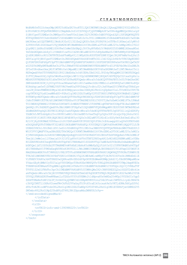$\alpha = -\alpha$  $\alpha$ 

and a state  $\alpha = \alpha - \alpha - \alpha - \alpha$  $\alpha$  ,  $\alpha$  ,  $\alpha$  ,  $\alpha$  ,  $\alpha$  $\label{eq:2.1} \alpha = \alpha - \alpha - \alpha - \alpha = 0$  $\label{eq:2.1} \begin{array}{cccccccccccccc} \alpha & \alpha & \alpha & \alpha & \alpha & \alpha & \alpha & \alpha \end{array}$  $\alpha$  , and  $\alpha$  , and  $\alpha$  $\alpha = \alpha - \alpha - \alpha - \alpha$ and a state and a state of and a state of  $\alpha = \alpha - \alpha - \alpha - \alpha$  $\alpha = \alpha - \alpha - \alpha = \alpha$ and a state  $\label{eq:3.1} \alpha = \alpha - \alpha - \alpha - \alpha - \alpha$  $\label{eq:2.1} \begin{array}{cccccccccc} \alpha & \alpha & \alpha & \alpha & \alpha & \alpha & \alpha \end{array}$  $\alpha$  , and  $\alpha$  , and  $\alpha$  $\alpha$  ,  $\alpha$  ,  $\alpha$  ,  $\alpha$  ,  $\alpha$  $\alpha = \alpha - \alpha - \alpha - \alpha$ and a state  $\alpha = \alpha - \alpha - \alpha - \alpha$ and a state of  $\alpha=\alpha-\alpha-\alpha-\alpha$  $\alpha$  , and  $\alpha$  , and  $\alpha$  $\alpha = \alpha - \alpha - \alpha - \alpha$  $\alpha$  . The contract of the  $\alpha$  $\label{eq:3.1} \alpha = \alpha - \alpha - \alpha - \alpha - \alpha$  $\alpha$  , and  $\alpha$  , and  $\alpha$ and a state of  $\alpha = \alpha - \alpha - \alpha - \alpha$ and a state of  $\alpha = \alpha - \alpha - \alpha - \alpha$  $\alpha$  , and  $\alpha$  , and  $\alpha$  $\alpha = \alpha - \alpha - \alpha - \alpha$ and a state  $\alpha = \alpha - \alpha - \alpha - \alpha$  $\alpha$  . The second contract  $\alpha$  $\alpha$  ,  $\alpha$  ,  $\alpha$  ,  $\alpha$  ,  $\alpha$  $\alpha$  ,  $\alpha$  ,  $\alpha$  ,  $\alpha$  ,  $\alpha$ and a state  $\alpha$  . The second contract  $\alpha$  $\alpha=\alpha-\alpha-\alpha-\alpha$  $\alpha$  , and  $\alpha$  , and  $\alpha$  $\alpha$  , and  $\alpha$  , and  $\alpha$ and a state of  $\alpha = \alpha - \alpha - \alpha - \alpha$  $\label{eq:2.1} \begin{array}{cccccccccccccc} \alpha & \alpha & \alpha & \alpha & \alpha & \alpha & \alpha & \alpha \end{array}$  $\alpha$  ,  $\alpha$  ,  $\alpha$  ,  $\alpha$  ,  $\alpha$  $\alpha$  , and  $\alpha$  , and  $\alpha$  $\alpha$  , and  $\alpha$  , and and a state  $\alpha = \alpha - \alpha - \alpha - \alpha$  $\alpha = \alpha - \alpha - \alpha - \alpha$  . **Contractor**  $\alpha = \alpha - \alpha = \alpha$  $\alpha$  ,  $\alpha$  ,  $\alpha$  ,  $\alpha$  $\alpha = \alpha = \alpha = \alpha = \alpha$  .  $\alpha = \alpha - \alpha - \alpha - \alpha$ and a state  $\alpha$  ,  $\alpha$  ,  $\alpha$  ,  $\alpha$ and a state

WnBhMkYwTG1SckwyOWpjM0F2YzNSaGRIVnoKTUlJQk53WURWUjBnQklJQkxqQ0NBU293Z2dFbUJn b3FnVkNCS1FFQkFRRUNNSUlCRmpBdkJnZ3JCZ0VGQlFjQ0FSWWphSFIwY0RvdgpMM2QzZHk1alpY SjBhV1pwYTJGMExtUnJMM0psY0c5emFYUnZjbmt3Z2VJR0NDc0dBUVVGQndJQ01JSFZNQW9XQTFS RVF6QURBZ0VCCkdvSEdSbTl5SUdGdWRtVnVaR1ZzYzJVZ1lXWWdZMlZ5ZEdsbWFXdGhkR1YwSUdm bWJHUmxjaUJQUTBWVElIWnBiR3ZsY2l3Z1ExQlQKSUc5bklFOURSVk1nUTFBc0lHUmxjaUJyWVc0 Z2FHVnVkR1Z6SUdaeVlTQjNkM2N1WTJWeWRHbG1hV3RoZEM1a2F5OXlaWEJ2YzJsMApiM0o1TGlC Q1pXM21jbXNzSUdGMElGUkVReUJsWm5SbGNpQjJhV3hyNVhKbGJtVWdhR0Z5SUdWMElHSmxaM0xt Ym5ObGRDQmhibk4yCllYSWdhV1owTGlCd2NtOW1aWE56YVc5dVpXeHNaU0J3WVhKMFpYSXVNQmdH Q1dDR1NBR0crRUlCRFFRTEZnbFFaWEp6YjI1WFpXSXcKSUFZRFZSMFJCQmt3RjRFVmMzVndjRzl5 ZEVCalpYSjBhV1pwYTJGMExtUnJNSUdYQmdOVkhSOEVnWTh3Z1l3d1Y2QlZvRk9rVVRCUApNUXN3 Q1FZRFZRUUdFd0pFU3pFTU1Bb0dBMVVFQ2hNRFZFUkRNU0l3SUFZRFZRUURFeGxVUkVNZ1QwTkZV eUJUZVhOMFpXMTBaWE4wCklFTkJJRWxKTVE0d0RBWURWUVFERXdWRFVrd3lPVEF4b0MrZ0xZWXJh SFIwY0RvdkwzUmxjM1F1WTNKc0xtOWpaWE11WTJWeWRHbG0KYVd0aGRDNWtheTl2WTJWekxtTnli REFmQmdOVkhTTUVHREFXZ0JRY21BbEhHa3c0dVJERkJDbGI4ZlJPZ0dyTWZqQWRCZ05WSFE0RQpG Z1FVUjRmanhUdjJqZGs5WnRhazhDQmlrWFJiV2p3d0NRWURWUjBUQkFJd0FEQVpCZ2txaGtpRzlu MEhRUUFFRERBS0d3UldOeTR4CkF3SURxREFOQmdrcWhraUc5dzBCQVFVRkFBT0JnUUJVdmZkeGNC SW84dnN4R3Z0RjIyV2tpV0Zza2NXamxVaEtiR0l5amNwcGZXcVMKblo1aUR5NVQ5aUlHWS9odVQv N1Nnbkpiam5wTjZFRWE2VXFYVWJVemR0aDVPUDdxQlFrdktuT2tJeXVHamZ0Y3FWOFhqYTRHd1pv cwo2RjZOenFBWENSZUMya3d1dU40NHpyanozZmo3ZEEyNlFHcGltQ0pXenY1elJ5VzNOZz09PC9k czpYNTA5Q2VydGlmaWNhdGU+PGRzOlg1MDlDZXJ0aWZpY2F0ZT5NSUlFWFRDQ0E4YWdBd0lCQWdJ RVFEWVgvREFOQmdrcWhraUc5dzBCQVFVRkFEQS9NUXN3Q1FZRFZRUUdFd0pFU3pFTU1Bb0dBMVVF CkNoTURWRVJETVNJd0lBWURWUVFERXhsVVJFTWdUME5GVXlCVGVYTjBaVzEwWlhOMElFTkJJRWxK TUI0WERUQTBNREl5TURFek5URTAKT1ZvWERUTTNNRFl5TURFME1qRTBPVm93UHpFTE1Ba0dBMVVF QmhNQ1JFc3hEREFLQmdOVkJBb1RBMVJFUXpFaU1DQUdBMVVFQXhNWgpWRVJESUU5RFJWTWdVM2x6 ZEdWdGRHVnpkQ0JEUVNCSlNUQ0JuekFOQmdrcWhraUc5dzBCQVFFRkFBT0JqUUF3Z1lrQ2dZRUFy YXdBCk5JNTZzbGpEc25vc0RVK01wNHIrUktGeXM5YzVxeThqV1p5QSs3UFlGczQrSVpjRnhuYk51 SGk4YUFjYlNGT1VKRjBQR3BOZ1BFdE4KYytYQUs3cDE2aWF3TlRZcE1rSG0yVm9Jbk5md1dFai93 R210YjRyS0RUMmE3YXVHazc2cStYZHFubm80UFJPOGU3QUtFSHc3cE4zawppSG1aQ0k0OFBUUnBS eDhDQXdFQUFhT0NBbVF3Z2dKZ01BOEdBMVVkRXdFQi93UUZNQU1CQWY4d0RnWURWUjBQQVFIL0JB UURBZ0VHCk1JSUJBd1lEVlIwZ0JJSDdNSUg0TUlIMUJna3BBUUVCQVFFQkFRRXdnZWN3THdZSUt3 WUJCUVVIQWdFV0kyaDBkSEE2THk5M2QzY3UKWTJWeWRHbG1hV3RoZEM1a2F5OXlaWEJ2YzJsMGIz SjVNSUd6QmdnckJnRUZCUWNDQWpDQnBqQUtGZ05VUkVNd0F3SUJBUnFCbDFSRQpReUJVWlhOMElF TmxjblJwWm1scllYUmxjaUJtY21FZ1pHVnVibVVnUTBFZ2RXUnpkR1ZrWlhNZ2RXNWtaWElnVDBs RUlERXVNUzR4CkxqRXVNUzR4TGpFdU1TNHhMakV1SUZSRVF5QlVaWE4wSUVObGNuUnBabWxqWVhS bGN5Qm1jbTl0SUhSb2FYTWdRMEVnWVhKbElHbHoKYzNWbFpDQjFibVJsY2lCUFNVUWdNUzR4TGpF dU1TNHhMakV1TVM0eExqRXVNUzR3RVFZSllJWklBWWI0UWdFQkJBUURBZ0FITUlHVwpCZ05WSFI4 RWdZNHdnWXN3VnFCVW9GS2tVREJPTVFzd0NRWURWUVFHRXdKRVN6RU1NQW9HQTFVRUNoTURWRVJE TVNJd0lBWURWUVFECkV4bFVSRU1nVDBORlV5QlRlWE4wWlcxMFpYTjBJRU5CSUVsSk1RMHdDd1lE VlFRREV3UkRVa3d4TURHZ0w2QXRoaXRvZEhSd09pOHYKZEdWemRDNWpjbXd1YjJObGN5NWpaWEow YVdacGEyRjBMbVJyTDI5alpYTXVZM0pzTUNzR0ExVWRFQVFrTUNLQUR6SXdNRFF3TWpJdwpNVE0x TVRRNVdvRVBNakF6TnpBMk1qQXhOREl4TkRsYU1COEdBMVVkSXdRWU1CYUFGQnlZQ1VjYVREaTVF TVVFS1Z2eDlFNkFhc3grCk1CMEdBMVVkRGdRV0JCUWNtQWxIR2t3NHVSREZCQ2xiOGZST2dHck1m akFkQmdrcWhraUc5bjBIUVFBRUVEQU9Hd2hXTmk0d09qUXUKTUFNQ0JKQXdEUVlKS29aSWh2Y05B UUVGQlFBRGdZRUFweW9BamlLcTZXSzVYYUtXVXBWc2t1dHpvaHYxVmNDa2UvM0plVVZ0bUIrYgp5 ZXhKTUMxNzFzNFJIb3FjYnVmY0kyQVNWV3d1ODRpNDVNYUtnL254b3Fvak15WTE5L1cyd2JRRkVk c3hVQ25MYTllOXRsV2oweFMvCkFhS2VVaGsyTUJPcXYraE1kYzcxak9xYzVKTjdUMkJhNlpSSVk1 dVhrTzNJR1ozWFVzdz08L2RzOlg1MDlDZXJ0aWZpY2F0ZT48L2RzOlg1MDlEYXRhPjwvZHM6S2V5 SW5mbz48L2RzOlNpZ25hdHVyZT48L3NtZDpzaWduZWRNYXJrPg== </smd:encodedSignedMark> </infData>

 </resData>  $<$ trID $>$  <svTRID>info-smd-1390988225</svTRID>  $\langle$ /trID> </response> </tmch>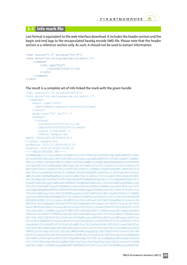$\alpha = -\alpha$ 

 $\alpha = \alpha = 0$ 

 $\alpha = \alpha$ 

 $\alpha = \alpha = \alpha$ 

 $\sim$ 

#### **6.4. Info mark file**

Last format is equivalent to the web interface download. It includes the header section and the begin and end tags to the encapsulated base64 encode SMD file. Please note that the header section is a reference section only. As such, it should not be used to extract information.

```
<?xml version="1.0" encoding="utf-8"?>
<tmch xmlns="urn:ietf:params:xml:ns:tmch-1.1">
     <command>
          <info type="file">
               <id>00000715423-1</id>
           </info>
     </command>
\langle/tmch\rangle
```
The result is a complete set of info linked the mark with the given handle

```
<?xml version="1.0" encoding="utf-8"?>
<tmch xmlns="urn:ietf:params:xml:ns:tmch-1.1">
   <response>
     <result code="1000">
      <msg>Command completed successfully</msg>
    \langle result>
    \langle \text{msgQ count} = "76" \text{ id} = "17" \rangle <resData>
       <infData>
         <id>00000113675751323-1</id>
         <smdId>000000000023234-2</smdId>
         <status s="verified" />
         <>Marks: Example One
smdID: 0000004951387359953170-1
U-labels: example-one
notBefore: 2013-12-18T09:45:53.0Z
notAfter: 2014-05-02T22:00:00.0Z
-----BEGIN ENCODED SMD-----
PD94bWwgdmVyc2lvbj0iMS4wIiBlbmNvZGluZz0iVVRGLTgiPz4KPHNtZDpzaWduZWRNYXJrIHht
bG5zOnNtZD0idXJuOmlldGY6cGFyYW1zOnhtbDpuczpzaWduZWRNYXJrLTEuMCIgaWQ9Il8xMmE1
MTA1Yy1hMTQ1LTQ0MzQtOWUyYi04NmJjZDk5NzkxNWMiPjxzbWQ6aWQ+MDAwMDAwNDk1MTM4NzM1
OTk1MzE3MC0xPC9zbWQ6aWQ+PHNtZDppc3N1ZXJJbmZvIGlzc3VlcklEPSIxIj48c21kOm9yZz5E
ZWxvaXR0ZTwvc21kOm9yZz48c21kOmVtYWlsPnNtZC1zdXBwb3J0QGRlbG9pdHRlLmNvbTwvc21k
OmVtYWlsPjxzbWQ6dXJsPnNtZC1zdXBwb3J0LmRlbG9pdHRlLmNvbTwvc21kOnVybD48c21kOnZv
aWNlPiszMi4yMDAwMDAwMDwvc21kOnZvaWNlPjwvc21kOmlzc3VlckluZm8+PHNtZDpub3RCZWZv
cmU+MjAxMy0xMi0xOFQwOTo0NTo1My4xNzBaPC9zbWQ6bm90QmVmb3JlPjxzbWQ6bm90QWZ0ZXI+
MjAxNC0wNS0wMlQyMjowMDowMC4wMDBaPC9zbWQ6bm90QWZ0ZXI+PG1hcms6bWFyayB4bWxuczpt
YXJrPSJ1cm46aWV0ZjpwYXJhbXM6eG1sOm5zOm1hcmstMS4wIj48bWFyazp0cmFkZW1hcms+PG1h
cms6aWQ+MDAwMDAxMTM2NzU3NTEzMjMtMTwvbWFyazppZD48bWFyazptYXJrTmFtZT5FeGFtcGxl
IE9uZTwvbWFyazptYXJrTmFtZT48bWFyazpob2xkZXIgZW50aXRsZW1lbnQ9Im93bmVyIj48bWFy
azpvcmc+RXhhbXBsZSBJbmMuPC9tYXJrOm9yZz48bWFyazphZGRyPjxtYXJrOnN0cmVldD4xMjMg
RXhhbXBsZSBEci48L21hcms6c3RyZWV0PjxtYXJrOnN0cmVldD5TdWl0ZSAxMDA8L21hcms6c3Ry
ZWV0PjxtYXJrOmNpdHk+UmVzdG9uPC9tYXJrOmNpdHk+PG1hcms6c3A+VkE8L21hcms6c3A+PG1h
cms6cGM+MjAxOTA8L21hcms6cGM+PG1hcms6Y2M+TFk8L21hcms6Y2M+PC9tYXJrOmFkZHI+PC9t
YXJrOmhvbGRlcj48bWFyazpjb250YWN0IHR5cGU9ImFnZW50Ij48bWFyazpuYW1lPmphbiBqYW5z
ZW48L21hcms6bmFtZT48bWFyazpvcmc+Q0hJUDwvbWFyazpvcmc+PG1hcms6YWRkcj48bWFyazpz
dHJlZXQ+ZHZ2IDM3PC9tYXJrOnN0cmVldD48bWFyazpjaXR5PkxldXZlbjwvbWFyazpjaXR5Pjxt
YXJrOnBjPjMwMDA8L21hcms6cGM+PG1hcms6Y2M+QkU8L21hcms6Y2M+PC9tYXJrOmFkZHI+PG1h
cms6dm9pY2U+KzEuMTIzPC9tYXJrOnZvaWNlPjxtYXJrOmZheD4rMi40NTc8L21hcms6ZmF4Pjxt
YXJrOmVtYWlsPmphbkBpcGNsZWFyaW5naG91c2Uub3JnPC9tYXJrOmVtYWlsPjwvbWFyazpjb250
YWN0PjxtYXJrOmp1cmlzZGljdGlvbj5MWTwvbWFyazpqdXJpc2RpY3Rpb24+PG1hcms6Y2xhc3M+
MzU8L21hcms6Y2xhc3M+PG1hcms6Y2xhc3M+MzY8L21hcms6Y2xhc3M+PG1hcms6Z29vZHNBbmRT
ZXJ2aWNlcz5EaXJpZ2VuZGFzIGV0IGVpdXNtb2RpIGZlYXR1cmluZyBpbmZyaW5nbyBpbiBhaXJm
YXJlIGV0IGNhcnRhbSBzZXJ2aWNpYS4KICAgICAgICAgICAgICAgICAgICA8L21hcms6Z29vZHNB
bmRTZXJ2aWNlcz48bWFyazpyZWdOdW0+MjM0MjM1PC9tYXJrOnJlZ051bT48bWFyazpyZWdEYXRl
```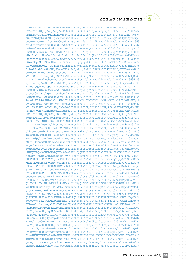$\alpha$  , and  $\alpha$  , and  $\alpha$ 

 $\label{eq:2.1} \alpha = \alpha - \alpha - \alpha - \alpha = 0$  $\alpha = \alpha - \alpha - \alpha - \alpha$  $\alpha = \alpha - \alpha - \alpha - \alpha$ and a state  $\alpha = \alpha - \alpha - \alpha - \alpha$  $\alpha = \alpha - \alpha - \alpha - \alpha$  $\alpha = \alpha - \alpha - \alpha - \alpha$ 

 $\label{eq:3.1} \alpha = \alpha - \alpha - \alpha - \alpha = 0$  $\alpha=\alpha-\alpha-\alpha-\alpha$  $\alpha$  ,  $\alpha$  ,  $\alpha$  ,  $\alpha$  ,  $\alpha$  $\alpha = \alpha = \alpha = \alpha = \alpha$  $\alpha = \alpha - \alpha - \alpha - \alpha$  $\alpha = \alpha - \alpha - \alpha - \alpha$  $\alpha$  ,  $\alpha$  ,  $\alpha$  ,  $\alpha$  ,  $\alpha$  $\alpha = \alpha - \alpha - \alpha - \alpha$  $\alpha$  . The contract of the  $\alpha$  $\alpha = \alpha - \alpha - \alpha - \alpha$  $\alpha$  ,  $\alpha$  ,  $\alpha$  ,  $\alpha$  ,  $\alpha$  $\alpha$  . The contract of the  $\alpha$  $\label{eq:3.1} \alpha = -\alpha - \alpha = -\alpha = 0$  $\alpha = \alpha - \alpha - \alpha - \alpha$  $\alpha = \alpha - \alpha - \alpha - \alpha$ 

 $\alpha = \alpha - \alpha = \alpha - \alpha$  $\alpha$  ,  $\alpha$  ,  $\alpha$  ,  $\alpha$  ,  $\alpha$  $\alpha$  , and  $\alpha$  , and  $\alpha$ and a state  $\alpha = \alpha - \alpha - \alpha - \alpha$  $\alpha=\alpha-\alpha-\alpha-\alpha$  $\alpha = \alpha - \alpha - \alpha - \alpha$  $\alpha = \alpha = \alpha = \alpha = \alpha$  $\alpha = \alpha - \alpha - \alpha - \alpha$  $\alpha = \alpha - \alpha - \alpha - \alpha$ 

 $\alpha = \alpha - \alpha - \alpha - \alpha$  $\alpha = \alpha - \alpha - \alpha - \alpha$  $\alpha = \alpha - \alpha - \alpha - \alpha$ 

 $\alpha = \alpha - \alpha - \alpha - \alpha$  $\alpha = \alpha - \alpha = \alpha - \alpha$ 

 $\alpha$  , and  $\alpha$  , and  $\alpha$ 

PjIwMDktMDgtMTVUMjI6MDA6MDAuMDAwWjwvbWFyazpyZWdEYXRlPjxtYXJrOmV4RGF0ZT4yMDE1 LTA4LTE1VDIyOjAwOjAwLjAwMFo8L21hcms6ZXhEYXRlPjwvbWFyazp0cmFkZW1hcms+PC9tYXJr Om1hcms+PGRzOlNpZ25hdHVyZSB4bWxuczpkcz0iaHR0cDovL3d3dy53My5vcmcvMjAwMC8wOS94 bWxkc2lnIyIgSWQ9Il9jYmQxY2UwYS1hM2NlLTQ1NmUtYmY3YS00MmQwNDRjMTg4NjMiPjxkczpT aWduZWRJbmZvPjxkczpDYW5vbmljYWxpemF0aW9uTWV0aG9kIEFsZ29yaXRobT0iaHR0cDovL3d3 dy53My5vcmcvMjAwMS8xMC94bWwtZXhjLWMxNG4jIi8+PGRzOlNpZ25hdHVyZU1ldGhvZCBBbGdv cml0aG09Imh0dHA6Ly93d3cudzMub3JnLzIwMDEvMDQveG1sZHNpZy1tb3JlI3JzYS1zaGEyNTYi Lz48ZHM6UmVmZXJlbmNlIFVSST0iI18xMmE1MTA1Yy1hMTQ1LTQ0MzQtOWUyYi04NmJjZDk5Nzkx NWMiPjxkczpUcmFuc2Zvcm1zPjxkczpUcmFuc2Zvcm0gQWxnb3JpdGhtPSJodHRwOi8vd3d3Lncz Lm9yZy8yMDAwLzA5L3htbGRzaWcjZW52ZWxvcGVkLXNpZ25hdHVyZSIvPjxkczpUcmFuc2Zvcm0g QWxnb3JpdGhtPSJodHRwOi8vd3d3LnczLm9yZy8yMDAxLzEwL3htbC1leGMtYzE0biMiLz48L2Rz OlRyYW5zZm9ybXM+PGRzOkRpZ2VzdE1ldGhvZCBBbGdvcml0aG09Imh0dHA6Ly93d3cudzMub3Jn LzIwMDEvMDQveG1sZW5jI3NoYTI1NiIvPjxkczpEaWdlc3RWYWx1ZT41YUF6bUp1V0VvQW9td2tK UWNobW1LKzlNck9hM0orSFQzUyt1aGhnK3pFPTwvZHM6RGlnZXN0VmFsdWU+PC9kczpSZWZlcmVu Y2U+PGRzOlJlZmVyZW5jZSBVUkk9IiNfYzQ4M2M2YjAtNTJiMi00ZDQwLTk1NWUtYzA4NzNjMmQ0 MTRiIj48ZHM6VHJhbnNmb3Jtcz48ZHM6VHJhbnNmb3JtIEFsZ29yaXRobT0iaHR0cDovL3d3dy53 My5vcmcvMjAwMS8xMC94bWwtZXhjLWMxNG4jIi8+PC9kczpUcmFuc2Zvcm1zPjxkczpEaWdlc3RN ZXRob2QgQWxnb3JpdGhtPSJodHRwOi8vd3d3LnczLm9yZy8yMDAxLzA0L3htbGVuYyNzaGEyNTYi Lz48ZHM6RGlnZXN0VmFsdWU+bGVNYktJU3p1dy9BSjhYc0xuemJ5eldEQ0trOERSVzZtdVJPWW43 UzJmOD08L2RzOkRpZ2VzdFZhbHVlPjwvZHM6UmVmZXJlbmNlPjwvZHM6U2lnbmVkSW5mbz48ZHM6 U2lnbmF0dXJlVmFsdWUgSWQ9Il9hODY3M2YxMC0yMjE5LTRhYmEtODU0Zi02MjljMTg0MzRmNGEi Pmd0ZjBXWDR6cW1hNkN3VzRWMlJIc0REWlN1MlVwZXM2VTVObzdrRksxWlNoa2JqVnhWMnJEVytH VVBqWWNRcXVIdWhiT0FTWkxITksKVFowVnlPKzFnL3BUWmQ0RXpVclM0QVdvSTNhUEl1cjB6QmNV eThzZ3dEcHQ1U0F5SlhHWjJOQnR6a1B1R01hd0I1SFp5UGRSZzhCNApkZXcrMFV2dlVkNjd6c3M0 RDRNPTwvZHM6U2lnbmF0dXJlVmFsdWU+PGRzOktleUluZm8gSWQ9Il9jNDgzYzZiMC01MmIyLTRk NDAtOTU1ZS1jMDg3M2MyZDQxNGIiPjxkczpYNTA5RGF0YT48ZHM6WDUwOUNlcnRpZmljYXRlPk1J SUZRRENDQkttZ0F3SUJBZ0lFUURmN2N6QU5CZ2txaGtpRzl3MEJBUVVGQURBL01Rc3dDUVlEVlFR R0V3SkVTekVNTUFvR0ExVUUKQ2hNRFZFUkRNU0l3SUFZRFZRUURFeGxVUkVNZ1QwTkZVeUJUZVhO MFpXMTBaWE4wSUVOQklFbEpNQjRYRFRFeE1URXdNVEV5TWpBegpNMW9YRFRFek1URXdNVEV5TlRB ek0xb3dnWVV4Q3pBSkJnTlZCQVlUQWtSTE1Ta3dKd1lEVlFRS0V5QkpibWRsYmlCdmNtZGhibWx6 CllYUnZjbWx6YXlCMGFXeHJibmwwYm1sdVp6RkxNQ01HQTFVRUJSTWNVRWxFT2preU1EZ3RNakF3 TWkweUxUY3pOVEE0T1RnMU56azQKTWpBa0JnTlZCQU1USFZSbGMzUndaWEp6YjI0Z01qZ3dNamMx TVRjM01pQlVaWE4wYzJWdU1JR2ZNQTBHQ1NxR1NJYjNEUUVCQVFVQQpBNEdOQURDQmlRS0JnUUNT eC8yNFltbnA2aE9MbkVLc3RxS2JrektieFdBdHNwNk1jb2NnQ0NXa0lYODJRR0o1TjZGcWk4VGky MEQwCkROeGpsVzBSZlFVL090MjVtRW1WWHJYcGNVY1FFc2lkSHMxbkZ4N0J6MkVFRkwwZ3M4SnpE aU5ROWZwVFVVL2RPTFp6Yi9xcjFFY1QKYUd0SnlhUlpqSk9HbDdqTy9LODNvWnFwdHUvMERnTHp1 UUlEQVFBQm80SURBRENDQXZ3d0RnWURWUjBQQVFIL0JBUURBZ1A0TUNzRwpBMVVkRUFRa01DS0FE ekl3TVRFeE1UQXhNVEl5TURNeldvRVBNakF4TXpFeE1ERXhNalV3TXpOYU1FWUdDQ3NHQVFVRkJ3 RUJCRG93Ck9EQTJCZ2dyQmdFRkJRY3dBWVlxYUhSMGNEb3ZMM1JsYzNRdWIyTnpjQzVqWlhKMGFX WnBhMkYwTG1SckwyOWpjM0F2YzNSaGRIVnoKTUlJQk53WURWUjBnQklJQkxqQ0NBU293Z2dFbUJn b3FnVkNCS1FFQkFRRUNNSUlCRmpBdkJnZ3JCZ0VGQlFjQ0FSWWphSFIwY0RvdgpMM2QzZHk1alpY SjBhV1pwYTJGMExtUnJMM0psY0c5emFYUnZjbmt3Z2VJR0NDc0dBUVVGQndJQ01JSFZNQW9XQTFS RVF6QURBZ0VCCkdvSEdSbTl5SUdGdWRtVnVaR1ZzYzJVZ1lXWWdZMlZ5ZEdsbWFXdGhkR1YwSUdm bWJHUmxjaUJQUTBWVElIWnBiR3ZsY2l3Z1ExQlQKSUc5bklFOURSVk1nUTFBc0lHUmxjaUJyWVc0 Z2FHVnVkR1Z6SUdaeVlTQjNkM2N1WTJWeWRHbG1hV3RoZEM1a2F5OXlaWEJ2YzJsMApiM0o1TGlC Q1pXM21jbXNzSUdGMElGUkVReUJsWm5SbGNpQjJhV3hyNVhKbGJtVWdhR0Z5SUdWMElHSmxaM0xt Ym5ObGRDQmhibk4yCllYSWdhV1owTGlCd2NtOW1aWE56YVc5dVpXeHNaU0J3WVhKMFpYSXVNQmdH Q1dDR1NBR0crRUlCRFFRTEZnbFFaWEp6YjI1WFpXSXcKSUFZRFZSMFJCQmt3RjRFVmMzVndjRzl5 ZEVCalpYSjBhV1pwYTJGMExtUnJNSUdYQmdOVkhSOEVnWTh3Z1l3d1Y2QlZvRk9rVVRCUApNUXN3 Q1FZRFZRUUdFd0pFU3pFTU1Bb0dBMVVFQ2hNRFZFUkRNU0l3SUFZRFZRUURFeGxVUkVNZ1QwTkZV eUJUZVhOMFpXMTBaWE4wCklFTkJJRWxKTVE0d0RBWURWUVFERXdWRFVrd3lPVEF4b0MrZ0xZWXJh SFIwY0RvdkwzUmxjM1F1WTNKc0xtOWpaWE11WTJWeWRHbG0KYVd0aGRDNWtheTl2WTJWekxtTnli REFmQmdOVkhTTUVHREFXZ0JRY21BbEhHa3c0dVJERkJDbGI4ZlJPZ0dyTWZqQWRCZ05WSFE0RQpG Z1FVUjRmanhUdjJqZGs5WnRhazhDQmlrWFJiV2p3d0NRWURWUjBUQkFJd0FEQVpCZ2txaGtpRzlu MEhRUUFFRERBS0d3UldOeTR4CkF3SURxREFOQmdrcWhraUc5dzBCQVFVRkFBT0JnUUJVdmZkeGNC SW84dnN4R3Z0RjIyV2tpV0Zza2NXamxVaEtiR0l5amNwcGZXcVMKblo1aUR5NVQ5aUlHWS9odVQv N1Nnbkpiam5wTjZFRWE2VXFYVWJVemR0aDVPUDdxQlFrdktuT2tJeXVHamZ0Y3FWOFhqYTRHd1pv cwo2RjZOenFBWENSZUMya3d1dU40NHpyanozZmo3ZEEyNlFHcGltQ0pXenY1elJ5VzNOZz09PC9k czpYNTA5Q2VydGlmaWNhdGU+PGRzOlg1MDlDZXJ0aWZpY2F0ZT5NSUlFWFRDQ0E4YWdBd0lCQWdJ RVFEWVgvREFOQmdrcWhraUc5dzBCQVFVRkFEQS9NUXN3Q1FZRFZRUUdFd0pFU3pFTU1Bb0dBMVVF CkNoTURWRVJETVNJd0lBWURWUVFERXhsVVJFTWdUME5GVXlCVGVYTjBaVzEwWlhOMElFTkJJRWxK TUI0WERUQTBNREl5TURFek5URTAKT1ZvWERUTTNNRFl5TURFME1qRTBPVm93UHpFTE1Ba0dBMVVF QmhNQ1JFc3hEREFLQmdOVkJBb1RBMVJFUXpFaU1DQUdBMVVFQXhNWgpWRVJESUU5RFJWTWdVM2x6 ZEdWdGRHVnpkQ0JEUVNCSlNUQ0JuekFOQmdrcWhraUc5dzBCQVFFRkFBT0JqUUF3Z1lrQ2dZRUFy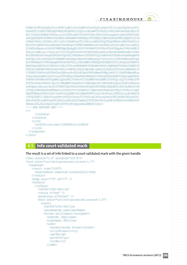$\alpha = \alpha = \alpha$  $\sim$  $\alpha = \alpha - \alpha$  $\alpha = \alpha = 0$  $\sim$  $\alpha = \alpha = 0$  $\alpha = \alpha = \alpha$ 

 $\alpha = \alpha - \alpha = 0$ 

 $\alpha = \alpha$  $\alpha = \alpha = 0$  $\alpha=1$  $\alpha = \alpha = 0$  $\alpha = \alpha = 1$ and a state  $\alpha$  .  $\alpha$  ,  $\alpha$  $\alpha = \alpha = \alpha$ 

 $\alpha = \alpha - \alpha = \alpha$  $\alpha = \alpha$ 

 $\alpha = \alpha = 0$  $\alpha$  ,  $\alpha$  ,  $\alpha$  ,  $\alpha$  $\alpha$  ,  $\alpha$  ,  $\alpha$  ,  $\alpha$  $\alpha = \alpha = 1$  $\alpha = \alpha = \alpha$  $\alpha$  ,  $\alpha$  ,  $\alpha$  ,  $\alpha$  $\alpha = \alpha = \alpha$  $\alpha = \alpha - \alpha$  $\alpha = \alpha = \alpha = \alpha$  $\alpha = \alpha = \alpha$  $\alpha = \alpha = \alpha$  $\alpha = \alpha = \alpha$  $\sim$  100  $\sim$  $\alpha = \alpha = \alpha$  $\alpha = \alpha = \alpha$ 

> $\alpha = \alpha = 0$  $\sim$

```
YXdBCk5JNTZzbGpEc25vc0RVK01wNHIrUktGeXM5YzVxeThqV1p5QSs3UFlGczQrSVpjRnhuYk51
SGk4YUFjYlNGT1VKRjBQR3BOZ1BFdE4KYytYQUs3cDE2aWF3TlRZcE1rSG0yVm9Jbk5md1dFai93
R210YjRyS0RUMmE3YXVHazc2cStYZHFubm80UFJPOGU3QUtFSHc3cE4zawppSG1aQ0k0OFBUUnBS
eDhDQXdFQUFhT0NBbVF3Z2dKZ01BOEdBMVVkRXdFQi93UUZNQU1CQWY4d0RnWURWUjBQQVFIL0JB
UURBZ0VHCk1JSUJBd1lEVlIwZ0JJSDdNSUg0TUlIMUJna3BBUUVCQVFFQkFRRXdnZWN3THdZSUt3
WUJCUVVIQWdFV0kyaDBkSEE2THk5M2QzY3UKWTJWeWRHbG1hV3RoZEM1a2F5OXlaWEJ2YzJsMGIz
SjVNSUd6QmdnckJnRUZCUWNDQWpDQnBqQUtGZ05VUkVNd0F3SUJBUnFCbDFSRQpReUJVWlhOMElF
TmxjblJwWm1scllYUmxjaUJtY21FZ1pHVnVibVVnUTBFZ2RXUnpkR1ZrWlhNZ2RXNWtaWElnVDBs
RUlERXVNUzR4CkxqRXVNUzR4TGpFdU1TNHhMakV1SUZSRVF5QlVaWE4wSUVObGNuUnBabWxqWVhS
bGN5Qm1jbTl0SUhSb2FYTWdRMEVnWVhKbElHbHoKYzNWbFpDQjFibVJsY2lCUFNVUWdNUzR4TGpF
dU1TNHhMakV1TVM0eExqRXVNUzR3RVFZSllJWklBWWI0UWdFQkJBUURBZ0FITUlHVwpCZ05WSFI4
RWdZNHdnWXN3VnFCVW9GS2tVREJPTVFzd0NRWURWUVFHRXdKRVN6RU1NQW9HQTFVRUNoTURWRVJE
TVNJd0lBWURWUVFECkV4bFVSRU1nVDBORlV5QlRlWE4wWlcxMFpYTjBJRU5CSUVsSk1RMHdDd1lE
VlFRREV3UkRVa3d4TURHZ0w2QXRoaXRvZEhSd09pOHYKZEdWemRDNWpjbXd1YjJObGN5NWpaWEow
YVdacGEyRjBMbVJyTDI5alpYTXVZM0pzTUNzR0ExVWRFQVFrTUNLQUR6SXdNRFF3TWpJdwpNVE0x
TVRRNVdvRVBNakF6TnpBMk1qQXhOREl4TkRsYU1COEdBMVVkSXdRWU1CYUFGQnlZQ1VjYVREaTVF
TVVFS1Z2eDlFNkFhc3grCk1CMEdBMVVkRGdRV0JCUWNtQWxIR2t3NHVSREZCQ2xiOGZST2dHck1m
akFkQmdrcWhraUc5bjBIUVFBRUVEQU9Hd2hXTmk0d09qUXUKTUFNQ0JKQXdEUVlKS29aSWh2Y05B
UUVGQlFBRGdZRUFweW9BamlLcTZXSzVYYUtXVXBWc2t1dHpvaHYxVmNDa2UvM0plVVZ0bUIrYgp5
ZXhKTUMxNzFzNFJIb3FjYnVmY0kyQVNWV3d1ODRpNDVNYUtnL254b3Fvak15WTE5L1cyd2JRRkVk
c3hVQ25MYTllOXRsV2oweFMvCkFhS2VVaGsyTUJPcXYraE1kYzcxak9xYzVKTjdUMkJhNlpSSVk1
dVhrTzNJR1ozWFVzdz08L2RzOlg1MDlDZXJ0aWZpY2F0ZT48L2RzOlg1MDlEYXRhPjwvZHM6S2V5
SW5mbz48L2RzOlNpZ25hdHVyZT48L3NtZDpzaWduZWRNYXJrPg==
-----END ENCODED SMD-----
\langle/>
```

```
 </infData>
     </resData>
      \langle \text{trID} \rangle <svTRID>info-smd-1390989415</svTRID>
      \langle/trID>
   \langle/response>
\langle /tmch\rangle
```
## **6.5. Info court validated mark**

```
The result is a set of info linked to a court validated mark with the given handle
```

```
<?xml version="1.0" encoding="utf-8"?>
<tmch xmlns="urn:ietf:params:xml:ns:tmch-1.1">
   <response>
     <result code="1000">
       <msg>Command completed successfully</msg>
    \langle result>
    \langle \text{msgQ count} = "76" \text{ id} = "17" \rangle <resData>
       <infData>
          <id>00071234-992</id>
         \text{Sstatus} s="new" />
          <pouStatus s="notSet" />
          <mark xmlns="urn:ietf:params:xml:ns:mark-1.0">
           \langlecourt>
             <id>00071234-992</id>
              <markName>My name</markName>
              <holder entitlement="assignee">
               <name>Mr. Rep</name>
                <org>Owner INC</org>
                <addr>
                   <street>Jacobs Street</street>
                   <city>Bruges</city>
                  <sp>VA</sp>
                   <pc>8100</pc>
                   <cc>BE</cc>
                 </addr>
```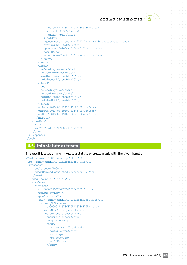$\alpha = \alpha = \alpha$  $\alpha = \alpha$  $\alpha = \alpha - \alpha$  $\alpha = \alpha = 0$  $\alpha = \alpha - \alpha$  $\alpha = \alpha = \alpha$  $\alpha = \alpha = \alpha$  $\sim$  100  $\sim$  $\alpha = \alpha = 0$  $\alpha = \alpha - \alpha$  $\alpha=\alpha=\alpha=\alpha$  $\alpha = \alpha$  $\alpha = \alpha = \alpha$  $\alpha = \alpha - \alpha$  $\alpha = \alpha = \alpha = \alpha$  $\sim$  100  $\sim$  $\alpha = \alpha = \alpha$  $\alpha = \alpha = 1$  $\alpha = \alpha = \alpha$ and a state  $\alpha$  .  $\alpha$  ,  $\alpha$  $\alpha=\alpha=\alpha$ 

 $\alpha = \alpha = \alpha$ 

 $\alpha = \alpha = 0$  $\alpha = \alpha = \alpha$  $\alpha = \alpha = \alpha$  $\sim$   $\sim$  $\alpha = \alpha = \alpha$  $\alpha=\alpha-\alpha$  $\alpha = \alpha$  $\alpha = \alpha - \alpha$  $\alpha = \alpha = \alpha$  $\alpha = \alpha = \alpha$  $\alpha = \alpha = \alpha$  $\alpha = \alpha = \alpha$  $\alpha = \alpha = \alpha$  $\sim$  $\alpha = \alpha = \alpha$  $\alpha = \alpha = \alpha$ 

 $\alpha = \alpha = \alpha$ 

```
 <voice x="1234">+1.32235523</voice>
                <fax>+1.32235523</fax>
                <email>j@bla</email>
              </holder>
             <goodsAndServices>BX-1421312-IRUNF-134</goodsAndServices>
            <refNum>12345678</refNum>
             <proDate>2009-08-16T00:00:00Z</proDate>
             <cc>BE</cc>
             <courtName>Court of Brussels</courtName>
           </court>
        \langle/mark>
         <label>
           <aLabel>my-name</aLabel>
           <uLabel>my-name</uLabel>
           <smdInclusion enable="0" />
           <claimsNotify enable="0" />
         </label>
         <label>
           <aLabel>myname</aLabel>
           <uLabel>myname</uLabel>
           <smdInclusion enable="0" />
           <claimsNotify enable="0" />
         </label>
         <crDate>2013-03-22T10:42:06.0Z</crDate>
         <upDate>2013-03-19T00:32:45.9Z</upDate>
         <exDate>2013-03-19T00:32:45.9Z</exDate>
       </infData>
     </resData>
     <trID>
       <svTRID>poll-1390988544</svTRID>
    \langle/trID>
  </response>
\langle /tmch\rangle
```
## **6.6. Info statute or treaty**

The result is a set of info linked to a statute or treaty mark with the given handle

```
<?xml version="1.0" encoding="utf-8"?>
<tmch xmlns="urn:ietf:params:xml:ns:tmch-1.1">
   <response>
     <result code="1000">
       <msg>Command completed successfully</msg>
    \langle result>
    \langle \text{msgQ count} = "76" \text{ id} = "17" \rangle <resData>
        <infData>
          <id>00000113678687551367868755-1</id>
         \text{Sstatus} s="new" />
          <pouStatus s="na" />
          <mark xmlns="urn:ietf:params:xml:ns:mark-1.0">
            <treatyOrStatute>
              <id>00000113678687551367868755-1</id>
              <markName>treaty</markName>
              <holder entitlement="owner">
                <name>jan jansen</name>
                <org>CHIP</org>
                 <addr>
                  <street>dvv 37</street>
                   <city>Leuven</city>
                  <sp></sp>
                  <p>c>3000</p><p><p>c</p> <cc>BE</cc>
                 </addr>
```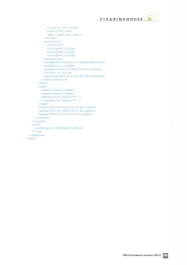

 $\sim$  $\circ$  $\alpha$ 

 $\alpha=\alpha-\alpha-\alpha$  $\alpha = \alpha = \alpha$  $\alpha = \alpha - \alpha - \alpha$  $\alpha$  . The second contract  $\alpha$  $\alpha = \alpha - \alpha - \alpha - \alpha$  $\alpha = \alpha = 0$  $\hat{\mathbf{r}}$  ,  $\hat{\mathbf{r}}$  ,  $\hat{\mathbf{r}}$  ,  $\hat{\mathbf{r}}$  ,  $\hat{\mathbf{r}}$  $\alpha$  ,  $\alpha$  ,  $\alpha$  ,  $\alpha$  ,  $\alpha$  $\alpha$  ,  $\alpha$  ,  $\alpha$  ,  $\alpha$  ,  $\alpha$  $\sim 10^{11}$  and  $\sim 10^{11}$  $\alpha = \alpha - \alpha = \alpha - \alpha$  $\alpha = \alpha = \alpha$  $\alpha$  ,  $\alpha$  ,  $\alpha$  ,  $\alpha$  ,  $\alpha$  $\alpha = \alpha = \alpha$  $\alpha$  ,  $\alpha$  ,  $\alpha$  ,  $\alpha$  ,  $\alpha$  $\alpha = \alpha - \alpha - \alpha - \alpha$ and a state  $\sigma_{\rm{eff}}$  ,  $\sigma_{\rm{eff}}$  ,  $\sigma_{\rm{eff}}$  ,  $\sigma_{\rm{eff}}$  $\alpha = \alpha = \alpha$  $\alpha$  ,  $\alpha$  ,  $\alpha$  ,  $\alpha$  ,  $\alpha$  $\alpha = \alpha - \alpha - \alpha - \alpha$  $\alpha$  ,  $\alpha$  ,  $\alpha$  ,  $\alpha$  ,  $\alpha$  $\alpha = \alpha - \alpha = \alpha - \alpha$  $\alpha = \alpha = \alpha$  $\alpha$  ,  $\alpha$  ,  $\alpha$  ,  $\alpha$  ,  $\alpha$  $\alpha = \alpha - \alpha = \alpha$  $\alpha$  ,  $\alpha$  ,  $\alpha$  ,  $\alpha$  ,  $\alpha$  $\alpha = \alpha - \alpha = \alpha - \alpha$ and a state of  $\alpha$  , and  $\alpha$  , and  $\alpha$  $\hat{\sigma} = \hat{\sigma} = \hat{\sigma}$  $\alpha$  ,  $\alpha$  ,  $\alpha$  ,  $\alpha$  ,  $\alpha$  $\alpha = \alpha - \alpha - \alpha = \alpha$ and a state  $\sigma_{\rm{eff}}$  and  $\sigma_{\rm{eff}}$  and  $\sigma_{\rm{eff}}$  $\sim$  $\alpha = \alpha = \alpha$  $\alpha$  ,  $\alpha$  ,  $\alpha$  ,  $\alpha$  ,  $\alpha$  $\alpha = \alpha - \alpha = \alpha$  $\alpha$  ,  $\alpha$  ,  $\alpha$  ,  $\alpha$  ,  $\alpha$  $\alpha$  ,  $\alpha$  ,  $\alpha$  ,  $\alpha$  ,  $\alpha$ and a state  $\alpha = \alpha - \alpha - \alpha - \alpha$  $\alpha = \alpha = \alpha$  $\alpha$  ,  $\alpha$  ,  $\alpha$  ,  $\alpha$  ,  $\alpha$  $\alpha = \alpha = \alpha = \alpha$  $\hat{L}$  , and  $\hat{L}$  , and  $\hat{L}$  $\alpha = \alpha - \alpha = \alpha - \alpha$ and a state of  $\sigma_{\rm{eff}}$  and  $\sigma_{\rm{eff}}$  and  $\sigma_{\rm{eff}}$  $\alpha = \alpha - \alpha$  $\hat{a}$  ,  $\hat{a}$  ,  $\hat{a}$  ,  $\hat{a}$  ,  $\hat{a}$  $\alpha$  ,  $\alpha$  ,  $\alpha$  ,  $\alpha$  ,  $\alpha$  $\alpha$  ,  $\alpha$  ,  $\alpha$  ,  $\alpha$  ,  $\alpha$  $\alpha = \alpha - \alpha - \alpha - \alpha$  $\alpha = \alpha = \alpha$  $\alpha = \alpha - \alpha - \alpha - \alpha$  .  $\alpha$  ,  $\alpha$  ,  $\alpha$  ,  $\alpha$  $\alpha$  ,  $\alpha$  ,  $\alpha$  ,  $\alpha$  ,  $\alpha$  $\alpha = \alpha - \alpha = \alpha - \alpha$  $\sim$  $\alpha = \alpha = 0$  $\alpha = \alpha - \alpha - \alpha - \alpha$  .  $\alpha = \alpha = \alpha$ and a state  $\alpha = \alpha - \alpha - \alpha - \alpha$ and a state  $\sigma_{\rm{eff}}$  ,  $\sigma_{\rm{eff}}$  ,  $\sigma_{\rm{eff}}$  ,  $\sigma_{\rm{eff}}$  ,  $\sigma_{\rm{eff}}$  $\alpha = \alpha - \alpha$  $\alpha$  ,  $\alpha$  ,  $\alpha$  ,  $\alpha$  ,  $\alpha$  $\alpha$  ,  $\alpha$  ,  $\alpha$  ,  $\alpha$  ,  $\alpha$  ,  $\alpha$  $\alpha$  ,  $\alpha$  ,  $\alpha$  ,  $\alpha$  ,  $\alpha$ **All Angeles** and a state

```
 <voice>+1.123</voice>
               <fax>+2.457</fax>
                <email>jan@j.abc</email>
             </holder>
             <protection>
                <cc>US</cc>
               <ruling>AF</ruling>
               <ruling>AX</ruling>
               <ruling>AL</ruling>
             </protection>
             <goodsAndServices>n.a.</goodsAndServices>
            <refNum>n.a.</refNum>
             <proDate>2000-01-01T00:00:00Z</proDate>
            <title>n.a.</title>
             <execDate>2000-01-01T00:00:00Z</execDate>
           </treatyOrStatute>
        \langle/mark>
         <label>
           <aLabel>treaty</aLabel>
           <uLabel>treaty</uLabel>
          \leqsmdInclusion enable="1" />
           <claimsNotify enable="1" />
         </label>
         <crDate>2013-05-06T21:32:35.6Z</crDate>
         <upDate>2013-05-06T21:32:35.6Z</upDate>
         <exDate>2014-05-06T19:32:35Z</exDate>
       </infData>
     </resData>
     <trID>
       <svTRID>poll-1390988640</svTRID>
    </trID>
  </response>
\langle /tmch\rangle
```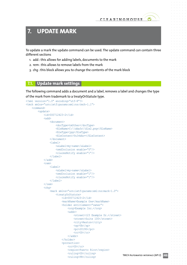## **7. UPDATE MARK**

To update a mark the update command can be used. The update command can contain three different sections

- 1. add : this allows for adding labels, documents to the mark
- 2. rem : this allows to remove labels from the mark
- 3. chq : this block allows you to change the contents of the mark block

### **7.1. Update mark settings**

The following command adds a document and a label, removes a label and changes the type of the mark from trademark to a treatyOrStatute type.

```
<?xml version="1.0" encoding="utf-8"?>
<tmch xmlns="urn:ietf:params:xml:ns:tmch-1.1">
     <command>
         <update>
              <id>000712423-2</id>
             <add>
                  <document>
                      <docType>tmOther</docType>
                      <fileName>C:\\ddafs\\file2.png</fileName>
                      <fileType>jpg</fileType>
                      <fileContent>YnJvbAo=</fileContent>
                  </document>
                  <label>
                      <aLabel>my-name</aLabel>
                      <smdInclusion enable="0"/>
                      <claimsNotify enable="1"/>
                  </label>
              </add>
             <rem> <label>
                      <aLabel>my-name</aLabel>
                      <smdInclusion enable="1"/>
                      <claimsNotify enable="1"/>
                  </label>
             \langle/rem\rangle <chg>
                  <mark xmlns="urn:ietf:params:xml:ns:mark-1.0">
                      <treatyOrStatute>
                           <id>000712423-2</id>
                           <markName>Example One</markName>
                           <holder entitlement="owner">
                               <org>Example Inc.</org>
                              <addr>
                                   <street>123 Example Dr.</street>
                                   <street>Suite 100</street>
                                    <city>Reston</city>
                                   <sp>VA</sp>
                                   <pc>20190</pc>
                                    <cc>US</cc>
                               </addr>
                           </holder>
                           <protection>
                               <cc>US</cc>
                              <region>Puerto Rico</region>
                              <ruling>US</ruling>
                              <ruling>PR</ruling>
```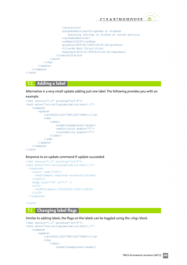```
 </protection>
                            <goodsAndServices>Dirigendas et eiusmodi
                                featuring infringo in airfare et cartam servicia.
                            </goodsAndServices>
                           <refNum>234235</refNum>
                            <proDate>2009-08-16T09:00:00.0Z</proDate>
                           <title>My Mark Title</title>
                            <execDate>2010-01-05T09:00:00.0Z</execDate>
                       </treatyOrStatute>
                  \langle/mark>
             \langle/chq>
          </update>
     </command>
\langle/tmch\rangle
```
## **7.2. Adding a label**

Alternative is a very small update adding just one label. The following provides you with an

#### example.

```
<?xml version="1.0" encoding="utf-8"?>
<tmch xmlns="urn:ietf:params:xml:ns:tmch-1.1">
     <command>
          <update>
             <id>0000011363778801363778080-1</id>
             <add>
                  <label>
                       <aLabel>exampleone</aLabel>
                       <smdInclusion enable="0"/>
                       <claimsNotify enable="1"/>
                   </label>
              </add>
         </update>
     </command>
\langle /tmch\rangle
```
#### Response to an update command if update succeeded

```
<?xml version="1.0" encoding="utf-8"?>
<tmch xmlns="urn:ietf:params:xml:ns:tmch-1.1">
   <response>
     <result code="1000">
       <msg>Command completed successfully</msg>
    \langle result>
     <msgQ count="76" id="17" />
     <trID>
       <svTRID>update-1391086383-5308</svTRID>
    \langle/trID>
  </response>
```
 $\langle$  /tmch $\rangle$ 

#### **7.3. Changing label flags**

Similar to adding labels, the flags on the labels can be toggled using the <chg> block.

```
<?xml version="1.0" encoding="utf-8"?>
<tmch xmlns="urn:ietf:params:xml:ns:tmch-1.1">
     <command>
         <update>
             <id>0000011363778801363778080-1</id>
              <chg>
                 \langlelabel>
                      <aLabel>exampleone</aLabel>
```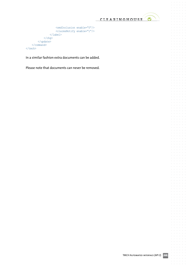

 $\bar{\rm o}$  $\circ$ 

 $\alpha = \alpha = \alpha$  $\ddot{\phantom{a}}$  $\alpha$  $\alpha = \alpha = \alpha$  $\alpha = \alpha = \alpha$  $\sim$  $\ddot{\phantom{a}}$  $\alpha = \alpha = \alpha$  $\alpha = \alpha = \alpha$  $\alpha = \alpha$  $\sim$  $\ddot{\phantom{a}}$  $\alpha = \alpha = \alpha$  $\sim$  $\alpha$ 

 $\alpha=\alpha=\alpha=0$  $\alpha$  $\bar{\theta}$  $\alpha$  $\alpha = \alpha = \alpha$  $\alpha = \alpha = \alpha = \alpha$  $\sim$  $\ddot{\phantom{a}}$  $\alpha = \alpha = \alpha$  $\alpha = \alpha = \alpha$  $\alpha = \alpha = \alpha$  $\alpha = 1$  $\alpha = \alpha = \alpha$  $\alpha = \alpha = \alpha$  $\alpha$  $\alpha = -\alpha$  $\sim$  $\sim$  $\alpha = \alpha = \alpha$  .  $\alpha$  $\bar{\phantom{a}}$  $\alpha = \alpha$  $\alpha = \alpha = \alpha$  $\alpha = \alpha = \alpha$  $\alpha=1$  $\alpha = \alpha = \alpha$  $\alpha = \alpha = \alpha$  $\alpha = \alpha$  $\overline{\phantom{a}}$  $\bar{z}$  $\alpha = \alpha = \alpha$  $\sim$  $\alpha = \alpha = \alpha$  .  $\alpha$ 

> $\bar{a}$  $\bar{\phantom{a}}$  $\alpha$  $\alpha = \alpha = \alpha$  $\alpha = \alpha = \alpha$  .  $\alpha$  $\bar{\rm o}$  $\alpha = \alpha = \alpha$  $\alpha = \alpha = \alpha$  $\alpha = \alpha = \alpha$  $\mathcal{L}$  $\alpha$  $\alpha = \alpha = \alpha$  $\alpha = \alpha = \alpha$

 $\alpha$  $\alpha$  $\alpha = \alpha = \alpha$  $\ddot{\phantom{0}}$ 

```
 <smdInclusion enable="0"/>
                          <claimsNotify enable="1"/>
                     </label>
               \langle/chg\rangle </update>
      </command>
\langle /tmch\rangle
```
In a similar fashion extra documents can be added.

Please note that documents can never be removed.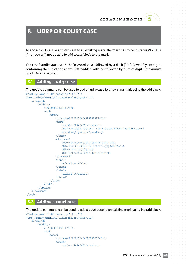## **8. UDRP OR COURT CASE**

To add a court case or an udrp case to an existing mark, the mark has to be in status VERIFIED. If not, you will not be able to add a case block to the mark.

The case handle starts with the keyword 'case' followed by a dash ('-') followed by six digits containing the uid of the agent (left padded with '0') followed by a set of digits (maximum length 63 characters).

## **8.1. Adding a udrp case**

The update command can be used to add an udrp case to an existing mark using the add block.

```
<?xml version="1.0" encoding="utf-8"?>
<tmch xmlns="urn:ietf:params:xml:ns:tmch-1.1">
     <command>
          <update>
              <id>000001132-1</id>
             <add>
                  <case>
                       <id>case-00000123466989999999</id>
                       <udrp>
                           <caseNo>987654321</caseNo>
                           <udrpProvider>National Arbitration Forum</udrpProvider>
                           <caseLang>Spanish</caseLang>
                       </udrp>
                       <document>
                           <docType>courtCaseDocument</docType>
                           <fileName>02-2013-TMCHdefect1.jpg</fileName>
                           <fileType>jpg</fileType>
                           <fileContent>YnJvbAo=</fileContent>
                       </document>
                       <label>
                           <aLabel>a</aLabel>
                       </label>
                       <label>
                           <aLabel>b</aLabel>
                       </label>
                  </case>
              </add>
         </update>
     </command>
\langle /tmch>
```
#### **8.2. Adding a court case**

The update command can be used to add a court case to an existing mark using the add block.

```
<?xml version="1.0" encoding="utf-8"?>
<tmch xmlns="urn:ietf:params:xml:ns:tmch-1.1">
     <command>
         <update>
             <id>000001132-1</id>
            <add>
                  <case>
                      <id>case-00000123466989979999</id>
                      <court>
                         <refNum>987654321</refNum>
```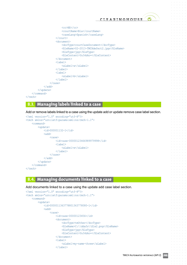

```
 <cc>BE</cc>
                             <courtName>Bla</courtName>
                             <caseLang>Spanish</caseLang>
                        </court>
                        <document>
                             <docType>courtCaseDocument</docType>
                             <fileName>02-2013-TMCHdefect2.jpg</fileName>
                             <fileType>jpg</fileType>
                             <fileContent>YnJvbAo=</fileContent>
                        </document>
                        <label>
                             <aLabel>a</aLabel>
                       \langlelabel>
                        <label>
                             <aLabel>b</aLabel>
                        </label>
                   </case>
               </add>
          </update>
     </command>
\langle /tmch\rangle
```
## **8.3. Managing labels linked to a case**

Add or remove labels linked to a case using the update add or update remove case label section.

```
<?xml version="1.0" encoding="utf-8"?>
<tmch xmlns="urn:ietf:params:xml:ns:tmch-1.1">
     <command>
         <update>
              <id>000001132-1</id>
             <add>
                  <case>
                      <id>case-00000123466989979998</id>
                       <label>
                           <aLabel>x</aLabel>
                       </label>
                   </case>
              </add>
         </update>
     </command>
\langle /tmch>
```
### **8.4. Managing documents linked to a case**

Add documents linked to a case using the update add case label section.

```
<?xml version="1.0" encoding="utf-8"?>
<tmch xmlns="urn:ietf:params:xml:ns:tmch-1.1">
     <command>
         <update>
             <id>0000011363778801363778080-1</id>
            <add>
                  <case>
                      <id>case-00000123456</id>
                      <document>
                          <docType>tmOther</docType>
                           <fileName>C:\\ddafs\\file2.png</fileName>
                           <fileType>jpg</fileType>
                           <fileContent>YnJvbAo=</fileContent>
                      </document>
                      <label>
                           <aLabel>my-name-three</aLabel>
                      </label>
```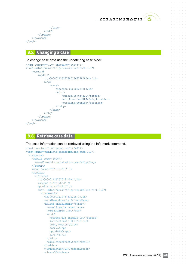

 $\alpha$ 

 $\sim$ 

```
 </case>
                 </add>
           </update>
      </command>
\langle /tmch>
```
## **8.5. Changing a case**

#### To change case data use the update chg case block

```
<?xml version="1.0" encoding="utf-8"?>
<tmch xmlns="urn:ietf:params:xml:ns:tmch-1.1">
     <command>
          <update>
             <id>0000011363778801363778080-1</id>
              <chg>
                   <case>
                       <id>case-00000123456</id>
                       <udrp>
                            <caseNo>987654321</caseNo>
                            <udrpProvider>NAF</udrpProvider>
                            <caseLang>Spanish</caseLang>
                       </udrp>
                   </case>
             \langle/cha>
          </update>
     </command>
\langle/tmch\rangle
```
## **8.6. Retrieve case data**

The case information can be retrieved using the info:mark command.

```
<?xml version="1.0" encoding="utf-8"?>
<tmch xmlns="urn:ietf:params:xml:ns:tmch-1.1">
   <response>
     <result code="1000">
       <msg>Command completed successfully</msg>
    \langle result>
    \langle \text{msgQ count} = "75" \text{ id} = "19" \rangle <resData>
       <infData>
         <id>000001136757513215-1</id>
         <status s="verified" />
         <pouStatus s="valid" />
         <mark xmlns="urn:ietf:params:xml:ns:mark-1.0">
            <trademark>
              <id>000001136757513215-1</id>
              <markName>Example 3</markName>
              <holder entitlement="owner">
               <name>Example name</name>
                <org>Example Inc.</org>
               <addr>
                  <street>123 Example Dr.</street>
                  <street>Suite 100</street>
                 <city>Reston</city>
                  <sp>VA</sp>
                  <pc>20190</pc>
                   <cc>LY</cc>
                </addr>
                <email>test@test.test</email>
              </holder>
              <jurisdiction>LY</jurisdiction>
              <class>35</class>
```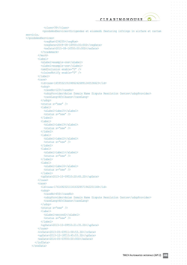$\alpha = \alpha = 0$  $\alpha = \alpha = \alpha$  $\alpha = \alpha = \alpha$  $\alpha = \alpha = \alpha$  $\alpha = \alpha = 0$  $\alpha = \alpha = \alpha$ 

 $\alpha = \alpha = \alpha$ 

 $\alpha = \alpha = 0$ 

and a state  $\alpha$  .  $\alpha$  ,  $\alpha$  $\alpha=\alpha=\alpha=\alpha$  $\alpha = \alpha = 0$  $\alpha = 1$  ,  $\alpha = 1$  $\alpha=\alpha=\alpha=\alpha$  $\sim$  100  $\sim$  $\alpha = \alpha = \alpha$  $\sim 10^{-1}$  and  $\sim 10^{-1}$  $\alpha = \alpha = \alpha$  $\alpha = \alpha - \alpha$  $\alpha = \alpha = \alpha$  $\alpha = \alpha - \alpha = \alpha$  $\alpha = \alpha = 1$  $\alpha = \alpha = \alpha$  $\alpha = \alpha = \alpha$ 

 $\alpha = \alpha = \alpha$ 

 $\alpha = \alpha = \alpha$ 

 $\alpha = \alpha = \alpha$ 

```
 <class>36</class>
             <goodsAndServices>Dirigendas et eiusmodi featuring infringo in airfare et cartam 
servicia.
</goodsAndServices>
             <regNum>234235</regNum>
             <regDate>2009-08-16T00:00:00Z</regDate>
              <exDate>2015-08-16T00:00:00Z</exDate>
            </trademark>
         \langle/mark>
          <label>
            <aLabel>example-one</aLabel>
            <uLabel>example-one</uLabel>
            <smdInclusion enable="0" />
            <claimsNotify enable="0" />
          </label>
          <case>
            <id>case-165955219104862426891240536623</id>
            <udrp>
              <caseNo>123</caseNo>
              <udrpProvider>Asian Domain Name Dispute Resolution Centre</udrpProvider>
              <caseLang>Afrikaans</caseLang>
            </udrp>
           \text{Sstatus} s="new" />
            <label>
              <aLabel>label5</aLabel>
             \lambda <status s="new" />
            </label>
            <label>
              <aLabel>label3</aLabel>
             \text{Sstatus} = \text{"new" } \text{/s} </label>
            <label>
              <aLabel>label2</aLabel>
             \lambda <status s="new" />
            </label>
            <label>
              <aLabel>label1</aLabel>
             \text{Sstatus} = \text{"new" } \text{/s} </label>
           \langlelahel>
              <aLabel>label4</aLabel>
             \text{Sstatus} = \text{"new" } \text{/s} </label>
            <upDate>2013-10-09T10:20:45.2Z</upDate>
          </case>
          <case>
            <id>case-176169232111416328571942201148</id>
            <udrp>
              <caseNo>456</caseNo>
              <udrpProvider>Asian Domain Name Dispute Resolution Centre</udrpProvider>
              <caseLang>Afrikaans</caseLang>
            </udrp>
           \text{Sstatus} = \text{new}'' />
            <label>
              <aLabel>second1</aLabel>
             \lambdastatus s="new" />
            </label>
            <upDate>2013-10-09T10:21:35.0Z</upDate>
          </case>
          <crDate>2013-05-03T11:58:53.3Z</crDate>
          <upDate>2013-12-18T10:45:53.3Z</upDate>
          <exDate>2014-05-03T00:00:00Z</exDate>
        </infData>
     </resData>
```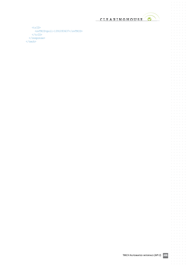

 $\alpha$  ,  $\alpha$  ,  $\alpha$  ,  $\alpha$  ,  $\alpha$  $\alpha = \alpha = \alpha$  $\bar{z}$  $\alpha = \alpha - \alpha - \alpha - \alpha$  $\alpha$  ,  $\alpha$  ,  $\alpha$  ,  $\alpha$  ,  $\alpha$  $\alpha$  ,  $\alpha$  ,  $\alpha$  ,  $\alpha$  $\hat{L}$  , and  $\hat{L}$  , and  $\hat{L}$ 

 $\sigma=\sigma-\sigma-\sigma-\sigma$  $\label{eq:3.1} \begin{array}{cccccccccccccc} \alpha & \alpha & \alpha & \alpha & \alpha & \alpha & \alpha \end{array}$  $\alpha=\alpha-\alpha-\alpha-\alpha$  $\alpha$  ,  $\alpha$  ,  $\alpha$  ,  $\alpha$  ,  $\alpha$  $\alpha$  ,  $\alpha$  ,  $\alpha$  ,  $\alpha$  ,  $\alpha$  $\frac{1}{2}$  ,  $\frac{1}{2}$  ,  $\frac{1}{2}$  ,  $\frac{1}{2}$  ,  $\frac{1}{2}$  $\alpha$  ,  $\alpha$  ,  $\alpha$  ,  $\alpha$  ,  $\alpha$  $\alpha=\alpha-\alpha-\alpha-\alpha-\alpha$  $\alpha$  ,  $\alpha$  ,  $\alpha$  ,  $\alpha$  ,  $\alpha$  $\alpha$  ,  $\alpha$  ,  $\alpha$  ,  $\alpha$  ,  $\alpha$  ,  $\alpha$  $\alpha$  ,  $\alpha$  ,  $\alpha$  ,  $\alpha$  ,  $\alpha$  $\alpha = \alpha - \alpha - \alpha - \alpha - \alpha$  $\alpha$  ,  $\alpha$  ,  $\alpha$  ,  $\alpha$  ,  $\alpha$  $\alpha$  ,  $\alpha$  ,  $\alpha$  ,  $\alpha$  ,  $\alpha$  ,  $\alpha$  $\alpha$  ,  $\alpha$  ,  $\alpha$  ,  $\alpha$  ,  $\alpha$  ,  $\alpha$  $\alpha$  ,  $\alpha$  ,  $\alpha$  ,  $\alpha$  ,  $\alpha$  $\alpha$  ,  $\alpha$  ,  $\alpha$  ,  $\alpha$  ,  $\alpha$  ,  $\alpha$  $\sigma$  ,  $\sigma$  ,  $\sigma$  ,  $\sigma$  ,  $\sigma$  ,  $\sigma$  $\sigma$  ,  $\sigma$  ,  $\sigma$  ,  $\sigma$  ,  $\sigma$  ,  $\sigma$  $\alpha = \alpha - \alpha = \alpha - \alpha$  $\alpha$  ,  $\alpha$  ,  $\alpha$  ,  $\alpha$  ,  $\alpha$  ,  $\alpha$  $\alpha$  ,  $\alpha$  ,  $\alpha$  ,  $\alpha$  ,  $\alpha$  $\begin{array}{cccccccccc} . & . & . & . & . & . & . \end{array}$  $\sigma = \sigma - \sigma - \sigma - \sigma - \sigma$  $\alpha$  ,  $\alpha$  ,  $\alpha$  ,  $\alpha$  ,  $\alpha$  $\alpha$  ,  $\alpha$  ,  $\alpha$  ,  $\alpha$  ,  $\alpha$  ,  $\alpha$ . . . . . .  $\alpha = \alpha - \alpha - \alpha - \alpha - \alpha$  $\alpha$  ,  $\alpha$  ,  $\alpha$  ,  $\alpha$  ,  $\alpha$  $\alpha$  ,  $\alpha$  ,  $\alpha$  ,  $\alpha$  ,  $\alpha$  ,  $\alpha$  $\label{eq:3.1} \begin{array}{lllllllllllllllllll} \alpha & \alpha & \alpha & \alpha & \alpha & \alpha \end{array}$  $\alpha = \alpha - \alpha - \alpha - \alpha$  .  $\alpha$  ,  $\alpha$  ,  $\alpha$  ,  $\alpha$  ,  $\alpha$  ,  $\alpha$  $\alpha$  , and  $\alpha$  , and  $\alpha$  , and  $\alpha = \alpha - \alpha - \alpha - \alpha$  .  $\alpha = \alpha = \alpha$  $\alpha$ 

 <trID> <svTRID>poll-1391093637</svTRID> </trID>  $\langle$ /response>  $\langle$  /tmch $\rangle$ 

 $\mathcal{L}$ 

 $\alpha = \alpha = \alpha = \alpha$  $\sim 10^{-1}$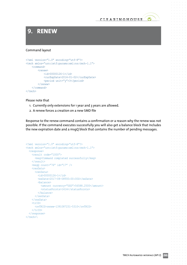## **9. RENEW**

#### Command layout

```
<?xml version="1.0" encoding="utf-8"?>
<tmch xmlns="urn:ietf:params:xml:ns:tmch-1.1">
     <command>
         <renew>
             <id>00000126-1</id>
              <curExpDate>2014-01-02</curExpDate>
              <period unit="y">3</period>
        \langle/renew>
     </command>
\langle /tmch>
```
#### Please note that

- 1. Currently only extensions for 1 year and 3 years are allowed.
- 2. A renew forces a creation on a new SMD file

Response to the renew command contains a confirmation or a reason why the renew was not possible. If the command executes successfully you will also get a balance block that includes the new expiration date and a msgQ block that contains the number of pending messages.

```
<?xml version="1.0" encoding="utf-8"?>
<tmch xmlns="urn:ietf:params:xml:ns:tmch-1.1">
   <response>
     <result code="1000">
       <msg>Command completed successfully</msg>
    \langle/result>
    \langle \text{msgQ count} = "76" id="17" />
     <resData>
       <renData>
         <id>00000126-1</id>
         <exDate>2017-08-08T00:00:00Z</exDate>
         <balance>
           <amount currency="USD">56588.2500</amount>
           <statusPoints>1414</statusPoints>
         </balance>
      </renData>
    </resData>
    <trID> <svTRID>renew-1391087231-5310</svTRID>
     </trID>
  </response>
\langle/tmch\rangle
```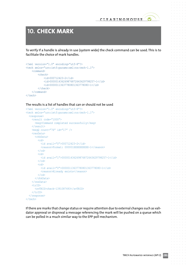

## **10. CHECK MARK**

To verify if a handle is already in use (system wide) the check command can be used. This is to facilitate the choice of mark handles.

```
<?xml version="1.0" encoding="utf-8"?>
<tmch xmlns="urn:ietf:params:xml:ns:tmch-1.1">
     <command>
         <check>
             <id>000712423-2</id>
              <id>000001436269876872643629798257-1</id>
             <id>00000113637780801363778080-1</id>
         </check>
     </command>
\langle/tmch\rangle
```
The results is a list of handles that can or should not be used

```
<?xml version="1.0" encoding="utf-8"?>
<tmch xmlns="urn:ietf:params:xml:ns:tmch-1.1">
   <response>
    <result code="1000">
       <msg>Command completed successfully</msg>
     </result>
     <msgQ count="76" id="17" />
     <resData>
       <chkData>
         <cd> <id avail="0">000712423-2</id>
           <reason>Format: 000001XXXXXXXXXX-1</reason>
         \langle c \rangle<cd>
            <id avail="1">000001436269876872643629798257-1</id>
         \langle c \rangle\langlecd\rangle <id avail="0">00000113637780801363778080-1</id>
           <reason>Already exists</reason>
         \langle/cd>
        </chkData>
    </resData>
     <trID>
       <svTRID>check-1391087493</svTRID>
    \langle /trID>
  \langleresponse>
\langle /tmch>
```
If there are marks that change status or require attention due to external changes such as validator approval or disproval a message referencing the mark will be pushed on a queue which can be polled in a much similar way to the EPP poll mechanism.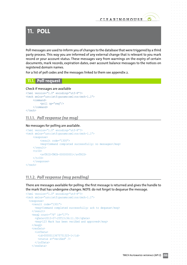

## **11. POLL**

Poll messages are used to inform you of changes to the database that were triggered by a third party process. This way you are informed of any external change that is relevant to you mark record or your account status. These messages vary from warnings on the expiry of certain documents, mark records, expiration dates, over account balance messages to the notices on registered domain names.

For a list of poll codes and the messages linked to them see appendix 2.

## **11.1. Poll request**

#### Check if messages are available

```
<?xml version="1.0" encoding="utf-8"?>
<tmch xmlns="urn:ietf:params:xml:ns:tmch-1.1">
     <command>
           <poll op="req"/>
     </command>
\langle/tmch\rangle
```
### **11.1.1.**  *Poll response (no msg)*

#### No messages for polling are available.

```
<?xml version="1.0" encoding="utf-8"?>
<tmch xmlns="urn:ietf:params:xml:ns:tmch-1.1">
     <response>
           <result code="1300">
            <msg>Command completed successfully; no messages</msg>
     \langle result>
     <trID> <svTRID>TMCH-000000001</svTRID>
     \langle /trID>
     \langle/response>
\langle/tmch\rangle
```
## **11.1.2.**  *Poll response (msg pending)*

There are messages available for polling: the first message is returned and gives the handle to the mark that has undergone changes. NOTE: do not forget to dequeue the message.

```
<?xml version="1.0" encoding="utf-8"?>
<tmch xmlns="urn:ietf:params:xml:ns:tmch-1.1">
   <response>
     <result code="1301">
       <msg>Command completed successfully; ack to dequeue</msg>
    \langle /result>
    \langle \text{msgO count} = "76" id="17">
       <qDate>2013-07-25T13:36:11.3Z</qDate>
       <msg>123 Mark has been verified and approved</msg>
    \langle/msqQ>
     <resData>
       <infData>
        <id>00000113675751323-1</id>
        \lambda <status s="verified" />
       </infData>
     </resData>
```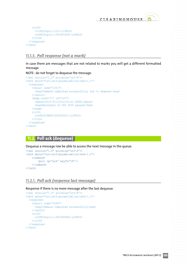```
 <trID>
        <clTRID>poll-123</clTRID>
        <svTRID>poll-1391087629</svTRID>
     \langle/trID>
  \langle/response>
\langle /tmch\rangle
```
## **11.1.3.**  *Poll response (not a mark)*

In case there are messages that are not related to marks you will get a different formatted message.

#### NOTE : do not forget to dequeue the message.

```
<?xml version="1.0" encoding="utf-8"?>
<tmch xmlns="urn:ietf:params:xml:ns:tmch-1.1">
   <response>
     <result code="1301">
       <msg>Command completed successfully; ack to dequeue</msg>
    \langle/result>
    \langle \text{msgQ count} = "1" id="123">
       <qDate>2013-01-21T12:01:01.999Z</qDate>
       <msg>Watermark of USD 2500 passed</msg>
    \langle/msqQ>
     <trID>
       <svTRID>TMCH-000000001</svTRID>
    \langle/trID>
  </response>
\langle /tmch\rangle
```
## **11.2. Poll ack (dequeue)**

Dequeue a message row be able to access the next message in the queue.

```
<?xml version="1.0" encoding="utf-8"?>
<tmch xmlns="urn:ietf:params:xml:ns:tmch-1.1">
     <command>
          <poll op="ack" msgID="18"/>
     </command>
\langle /tmch\rangle
```
## **11.2.1.**  *Poll ack (response last message)*

Response if there is no more message after the last dequeue.

```
<?xml version="1.0" encoding="utf-8"?>
<tmch xmlns="urn:ietf:params:xml:ns:tmch-1.1">
   <response>
     <result code="1000">
       <msg>Command completed successfully</msg>
    \langle result>
     <trID>
        <svTRID>poll-1391089968</svTRID>
    \langle/trID>
  \langle/response>
\langle /tmch\rangle
```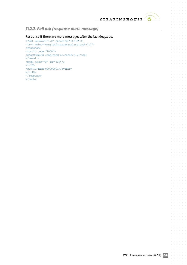$\alpha$  $\alpha$  $\alpha$  $\alpha$ 

 $\alpha = -\alpha$  $\bar{a}$  $\alpha = -\alpha$  $\alpha = \alpha = \alpha$  $\alpha=\alpha-\alpha-\alpha$  $\alpha = \alpha = 0$  $\hat{\sigma} = \hat{\sigma} = 0$  $\alpha = \alpha - \alpha - \alpha$  $\alpha = \alpha - \alpha - \alpha$  .  $\alpha$  ,  $\alpha$  ,  $\alpha$  $\label{eq:1} \alpha_{\alpha} = \alpha_{\alpha} - \alpha_{\alpha} - \alpha_{\alpha} - \alpha_{\alpha}$  $\alpha = \alpha = \alpha$  $\alpha$  , and  $\alpha$  , and  $\alpha$  $\alpha = \alpha = \alpha$  $\alpha = \alpha = \alpha$  $\alpha = \alpha = \alpha = \alpha$  $\alpha = \alpha - \alpha$  $\label{eq:3.1} \sigma_{\alpha\beta}(\sigma_{\alpha\beta}(\sigma_{\beta\beta}(\sigma_{\beta}(\sigma_{\beta}(\sigma_{\beta}(\sigma_{\beta}(\sigma_{\beta}(\sigma_{\beta}(\sigma_{\beta}(\sigma_{\beta}(\sigma_{\beta}(\sigma_{\beta}(\sigma_{\beta}(\sigma_{\beta}(\sigma_{\beta}(\sigma_{\beta}(\sigma_{\beta}(\sigma_{\beta}(\sigma_{\beta})))))))))))$  $\alpha = \alpha = \alpha$  $\alpha = \alpha = \alpha$  $\alpha = \alpha = \alpha$  $\alpha$  ,  $\alpha$  ,  $\alpha$  ,  $\alpha$  $\begin{array}{cccccccccc} \bullet & \bullet & \bullet & \bullet & \bullet & \bullet & \bullet \\ \bullet & \bullet & \bullet & \bullet & \bullet & \bullet & \bullet \\ \bullet & \bullet & \bullet & \bullet & \bullet & \bullet & \bullet \end{array}$  $\label{eq:1} \alpha = \alpha - \alpha - \alpha - \alpha - \alpha$  $\alpha = -\alpha$  $\alpha$  ,  $\alpha$  ,  $\alpha$  ,  $\alpha$  $\alpha = \alpha = \alpha$  $\alpha = \alpha = \alpha$  $\alpha = \alpha - \alpha - \alpha$  $\alpha = 1, \ldots, n$  $\alpha = \alpha - \alpha - \alpha - \alpha$  .  $\hat{\sigma} = \hat{\sigma} = \hat{\sigma}$  $\hat{\sigma} = \hat{\sigma} = \hat{\sigma}$  $\alpha = \alpha = \alpha = \alpha$ and a state  $\alpha$  , and  $\alpha$  , and  $\alpha$  $\alpha = \alpha = \alpha$  $\alpha = \alpha - \alpha - \alpha$  $\alpha = \alpha = 0$  $\alpha$  ,  $\alpha$  ,  $\alpha$  ,  $\alpha$  $\alpha = \alpha - \alpha - \alpha$  .  $\alpha = \alpha = \alpha$  $\alpha = \alpha - \alpha - \alpha - \alpha$  .  $\alpha = \alpha = \alpha$  $\alpha$  ,  $\alpha$  ,  $\alpha$  ,  $\alpha$  $\alpha = \alpha = \alpha$  $\alpha = \alpha = \alpha = \alpha$  $\alpha = \alpha - \alpha = \alpha$  $\alpha$  ,  $\alpha$  ,  $\alpha$  $\alpha$  , and  $\alpha$  , and  $\alpha$  $\alpha = \alpha - \alpha$  $\alpha = \alpha = \alpha = \alpha$  $\alpha = \alpha = \alpha$  $\alpha = \alpha = \alpha = \alpha$  $\alpha = \alpha - \alpha - \alpha - \alpha$  $\alpha = \alpha$  $\alpha = \alpha = \alpha = \alpha$  .  $\alpha = \alpha = \alpha$  $\alpha = \alpha = \alpha$  $\alpha = \alpha - \alpha = \alpha$  $\alpha = \alpha - \alpha$  $\alpha$  ,  $\alpha$  ,  $\alpha$  ,  $\alpha$  $\alpha = \alpha = \alpha$  $\hat{\sigma}=\hat{\sigma}=\hat{\sigma}$  $\alpha = \alpha = \alpha$  $\alpha = \alpha = \alpha$  $\alpha=\alpha-\alpha-\alpha-\alpha$  $\alpha = \alpha = 0$  $\alpha = \alpha = \alpha$  $\alpha = \alpha = \alpha = \alpha$  $\alpha = \alpha = \alpha$  $\sim$  $\sim$ 

### **11.2.2.** *Poll ack (response more message)*

#### Response if there are more messages after the last dequeue.

<?xml version="1.0" encoding="utf-8"?> <tmch xmlns="urn:ietf:params:xml:ns:tmch-1.1"> <response> <result code="1000"> <msg>Command completed successfully</msg>  $\langle$ /result>  $\langle \text{msgQ count} = "2" id = "124" / \rangle$ <trID> <svTRID>TMCH-000000001</svTRID>  $\langle$  /trID> </response>  $\langle$  /tmch $\rangle$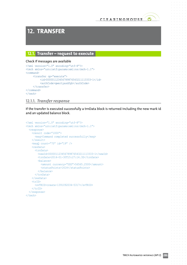

# **12. TRANSFER**

## **12.1.** Transfer – request to execute

#### Check if messages are available

```
<?xml version="1.0" encoding="utf-8"?>
<tmch xmlns="urn:ietf:params:xml:ns:tmch-1.1">
<command>
    <transfer op="execute">
         <id>000001123456789876543211113333-1</id>
           <authCode>qwertyasdfgh</authCode>
     </transfer>
</command>
\langle /tmch>
```
#### **12.1.1.**  *Transfer response*

If the transfer is executed successfully a trnData block is returned including the new mark id and an updated balance block.

```
<?xml version="1.0" encoding="utf-8"?>
<tmch xmlns="urn:ietf:params:xml:ns:tmch-1.1">
   <response>
     <result code="1000">
       <msg>Command completed successfully</msg>
    \langle/result>
    \langle \text{msgQ count} = "75" id="19" />
     <resData>
       <trnData>
          <newId>000001123456789876543211113333-1</newId>
         <trnDate>2014-01-30T15:27:14.3Z</trnDate>
          <balance>
            <amount currency="USD">56565.2500</amount>
            <statusPoints>1414</statusPoints>
          </balance>
       </trnData>
    </resData>
    \langle \text{trID} \rangle <svTRID>create-1391092034-5317</svTRID>
    \langle/trID>
   </response>
\langle/tmch\rangle
```
 $\sim$ 

 $\alpha = -\alpha$ 

 $\alpha = \alpha - \alpha$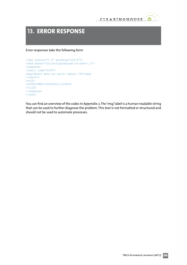

 $\bullet$ 

 $\sim$ 

 $\sim$ 

 $\sim$ 

## **13. ERROR RESPONSE**

Error responses take the following form

```
<?xml version="1.0" encoding="utf-8"?>
<tmch xmlns="urn:ietf:params:xml:ns:tmch-1.1">
<response>
<result code="2303">
<msg>Object does not exist: domain 100</msg>
\langle/result>
<trID>
<svTRID>TMCH-000000001</svTRID>
\langle/trID\rangle</response>
\langle /tmch\rangle
```
You can find an overview of the codes in Appendix 2.The'msg'label is a human readable string that can be used to further diagnose the problem.This text is not formatted or structured and should not be used to automate processes.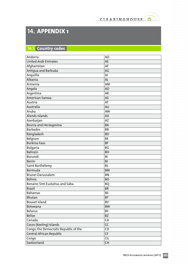$\alpha = \alpha = \alpha$  $\bar{\phantom{a}}$ 

 $\alpha = \alpha = \alpha$ 

 $\sim$  $\alpha = \alpha = \alpha$  $\alpha = \alpha = \alpha$  $\sim$ 

 $\alpha = \alpha = \alpha$  $\alpha = \alpha = \alpha$  $\alpha = \alpha = \alpha$  $\alpha$  ,  $\alpha$  ,  $\alpha$  ,  $\alpha$  $\alpha = \alpha = \alpha$  $\hat{\sigma} = \hat{\sigma} = 0$  $\alpha = \alpha = \alpha$  $\hat{a}$  ,  $\hat{a}$  ,  $\hat{a}$  ,  $\hat{a}$  ,  $\hat{a}$  $\alpha$  ,  $\alpha$  ,  $\alpha$  ,  $\alpha$  ,  $\alpha$  $\alpha$  $\alpha$  ,  $\alpha$  ,  $\alpha$  ,  $\alpha$  ,  $\alpha$  $\alpha = \alpha = \alpha$  .  $\hat{a}$  ,  $\hat{a}$  ,  $\hat{a}$  $\alpha = \alpha - \alpha = \alpha$  $\alpha = \alpha = \alpha$  $\sigma_{\rm{eff}}$  ,  $\sigma_{\rm{eff}}$  ,  $\sigma_{\rm{eff}}$  ,  $\sigma_{\rm{eff}}$  ,  $\sigma_{\rm{eff}}$  $\alpha=\alpha=\alpha$  $\alpha = \alpha = \alpha$  $\alpha = \alpha = \alpha = \alpha$  $\alpha = \alpha - \alpha$  $\begin{array}{cccccccccc} \bullet & \bullet & \bullet & \bullet & \bullet & \bullet & \bullet \\ \bullet & \bullet & \bullet & \bullet & \bullet & \bullet & \bullet \end{array}$  $\alpha = \alpha - \alpha - \alpha - \alpha$  .  $\hat{\sigma} = \hat{\sigma} - \hat{\sigma} = \hat{\sigma}$  $\alpha=\alpha=\alpha-\alpha$  $\alpha = \alpha = \alpha$  $\alpha = \alpha - \alpha - \alpha - \alpha$  .  $\alpha = \alpha = \alpha$  $\alpha$  ,  $\alpha$  ,  $\alpha$  ,  $\alpha$  ,  $\alpha$  ,  $\alpha$  $\alpha=\alpha=\alpha$  $\alpha = \alpha = \alpha$  $\alpha=\alpha=\alpha=\alpha$ and a state  $\alpha$  , and  $\alpha$  , and  $\alpha$  $\alpha = \alpha = \alpha$  $\alpha$  ,  $\alpha$  ,  $\alpha$  ,  $\alpha$  $\alpha = \alpha = \alpha$  $\alpha$  ,  $\alpha$  ,  $\alpha$  ,  $\alpha$  $\begin{array}{cccccccccc} \bullet & \bullet & \bullet & \bullet & \bullet & \bullet & \bullet \\ \bullet & \bullet & \bullet & \bullet & \bullet & \bullet & \bullet \end{array}$  $\alpha$  , and  $\alpha$  , and  $\alpha$  $\alpha = \alpha = \alpha$  $\alpha$  ,  $\alpha$  ,  $\alpha$  ,  $\alpha$  ,  $\alpha$  $\alpha = \alpha = \alpha$  .  $\hat{a}$  ,  $\hat{a}$  ,  $\hat{a}$  ,  $\hat{a}$  $\alpha$  ,  $\alpha$  ,  $\alpha$  ,  $\alpha$  $\alpha = \alpha = \alpha$  $\alpha$  , and  $\alpha$  , and  $\alpha$  $\alpha = \alpha = \alpha$  $\alpha$  ,  $\alpha$  ,  $\alpha$  ,  $\alpha$  $\alpha = \alpha = \alpha = \alpha$  $\alpha = \alpha = \alpha$  $\begin{array}{ccccccccc} \bullet & \bullet & \bullet & \bullet & \bullet & \bullet & \bullet \\ \bullet & \bullet & \bullet & \bullet & \bullet & \bullet & \bullet \end{array}$  $\alpha = \alpha - \alpha - \alpha - \alpha$  .  $\alpha = \alpha = \alpha = \alpha$  .  $\alpha = \alpha = \alpha = 1$  $\hat{a}$  ,  $\hat{a}$  ,  $\hat{a}$  $\alpha$  ,  $\alpha$  ,  $\alpha$  ,  $\alpha$  $\alpha = \alpha$  $\sim$  $\alpha$  ,  $\alpha$  ,  $\alpha$  ,  $\alpha$  ,  $\alpha$  $\alpha = \alpha = \alpha$  $\hat{\sigma}=\hat{\sigma}=\hat{\sigma}$  $\alpha = \alpha = \alpha$  $\alpha = \alpha = \alpha$  $\alpha$  ,  $\alpha$  ,  $\alpha$  ,  $\alpha$  ,  $\alpha$  $\alpha = 0$  $\alpha = \alpha = \alpha$ 

 $\sim$  $\alpha$  $\sim$  $\alpha = \alpha = \alpha$ 

 $\bullet$ 

# **14. APPENDIX 1**

## **14.1. Country codes**

| Andorra                               | <b>AD</b> |
|---------------------------------------|-----------|
| <b>United Arab Emirates</b>           | <b>AE</b> |
| Afghanistan                           | AF        |
| Antigua and Barbuda                   | AG        |
| Anguilla                              | AI        |
| Albania                               | <b>AL</b> |
| Armenia                               | AM        |
| Angola                                | AO        |
| Argentina                             | <b>AR</b> |
| American Samoa                        | <b>AS</b> |
| Austria                               | AT        |
| Australia                             | <b>AU</b> |
| Aruba                                 | AW        |
| Alands islands                        | <b>AX</b> |
| Azerbaijan                            | <b>AZ</b> |
| Bosnia and Herzegovina                | BA        |
| <b>Barbados</b>                       | <b>BB</b> |
| Bangladesh                            | <b>BD</b> |
| Belgium                               | <b>BE</b> |
| <b>Burkina Faso</b>                   | <b>BF</b> |
| <b>Bulgaria</b>                       | BG        |
| <b>Bahrain</b>                        | <b>BH</b> |
| Burundi                               | BI        |
| Benin                                 | <b>BJ</b> |
| Saint Barthélemy                      | <b>BL</b> |
| Bermuda                               | <b>BM</b> |
| Brunei Darussalam                     | <b>BN</b> |
| <b>Bolivia</b>                        | <b>BO</b> |
| Bonaire, Sint Eustatius and Saba      | <b>BQ</b> |
| <b>Brazil</b>                         | <b>BR</b> |
| <b>Bahamas</b>                        | <b>BS</b> |
| Bhutan                                | <b>BT</b> |
| Bouvet Island                         | <b>BV</b> |
| Botswana                              | <b>BW</b> |
| <b>Belarus</b>                        | BY        |
| <b>Belize</b>                         | ΒZ        |
| Canada                                | CA        |
| Cocos (Keeling) Islands               | CC        |
| Congo, the Democratic Republic of the | CD        |
| Central African Republic              | CF        |
| Congo                                 | CG        |
| Switzerland                           | <b>CH</b> |
|                                       |           |

 $\alpha = \alpha = \alpha$ 

 $\alpha$  $\alpha$  $\sim$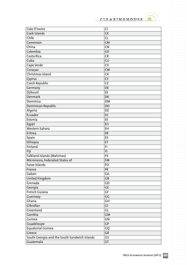$\bullet$ 

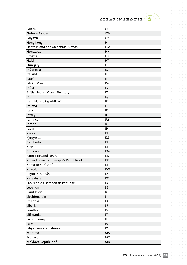

 $\alpha$  ,  $\alpha$  ,  $\alpha$  ,  $\alpha$  ,  $\alpha$  $\alpha = \alpha = \alpha$  $\bar{\rm o}$ 

 $\alpha$  ,  $\alpha$  ,  $\alpha$  ,  $\alpha$  ,  $\alpha$  $\alpha = \alpha = \alpha$  $\bar{\phantom{a}}$  $\alpha$  ,  $\alpha$  ,  $\alpha$  ,  $\alpha$  ,  $\alpha$  ,  $\alpha$  $\begin{array}{cccccccccc} . & . & . & . & . & . & . \end{array}$ 

 $\sigma_{\rm{eff}}$  and  $\sigma_{\rm{eff}}$  and  $\sigma_{\rm{eff}}$  $\sigma_{\rm{eff}}$  and  $\sigma_{\rm{eff}}$  and  $\sigma_{\rm{eff}}$  $\alpha$  ,  $\alpha$  ,  $\alpha$  ,  $\alpha$  ,  $\alpha$  ,  $\alpha$  $\alpha$  ,  $\alpha$  ,  $\alpha$  ,  $\alpha$  ,  $\alpha$  $\alpha$  ,  $\alpha$  ,  $\alpha$  ,  $\alpha$  ,  $\alpha$ 

. . . . . . .<br>. . . . . .<br>. . . . . .

. . . . . . .<br>. . . . . .  $\alpha$  ,  $\alpha$  ,  $\alpha$  ,  $\alpha$  ,  $\alpha$  ,  $\alpha$ 

 $\alpha=\alpha-\alpha-\alpha-\alpha-\alpha$  $\alpha$  ,  $\alpha$  ,  $\alpha$  ,  $\alpha$  ,  $\alpha$  ,  $\alpha$ 

. . . . . . .<br>. . . . . .  $\sigma$  , and  $\sigma$  , and  $\sigma$ 

 $\epsilon$  ,  $\epsilon$  ,  $\epsilon$  ,  $\epsilon$  ,  $\epsilon$  ,  $\epsilon$ . . . . . . .<br>. . . . . .  $\alpha$  ,  $\alpha$  ,  $\alpha$  ,  $\alpha$  ,  $\alpha$  ,  $\alpha$  $\alpha$  ,  $\alpha$  ,  $\alpha$  ,  $\alpha$  ,  $\alpha$  ,  $\alpha$ . . . . . . .<br>. . . . . .  $\alpha$  ,  $\alpha$  ,  $\alpha$  ,  $\alpha$  ,  $\alpha$  $\alpha = \alpha - \alpha = \alpha$  $\alpha = \alpha - \alpha = \alpha$  $\alpha$  ,  $\alpha$  ,  $\alpha$  ,  $\alpha$ 

 $\circ$ 

**College** 

 $\alpha = \alpha = \alpha$  .  $\sim$ 

 $\alpha$  $\sim$  $\alpha$   $\bar{\rm o}$ 

| Guam                                   | GU        |
|----------------------------------------|-----------|
| Guinea-Bissau                          | GW        |
| Guyana                                 | GY        |
| Hong Kong                              | <b>HK</b> |
| Heard Island and Mcdonald Islands      | HM        |
| Honduras                               | HN        |
| Croatia                                | <b>HR</b> |
| Haiti                                  | HT        |
| Hungary                                | HU        |
| Indonesia                              | ID        |
| Ireland                                | IE        |
| Israel                                 | IL        |
| Isle Of Man                            | IM        |
| India                                  | IN        |
| British Indian Ocean Territory         | IO        |
| Iraq                                   | IQ        |
| Iran, Islamic Republic of              | IR        |
| Iceland                                | IS        |
|                                        |           |
| Italy                                  | IT        |
| Jersey                                 | JE        |
| Jamaica                                | JM        |
| Jordan                                 | <b>JO</b> |
| Japan                                  | JP        |
| Kenya                                  | KE        |
| Kyrgyzstan                             | KG        |
| Cambodia                               | KH        |
| Kiribati                               | KI        |
| Comoros                                | <b>KM</b> |
| Saint Kitts and Nevis                  | KN        |
| Korea, Democratic People's Republic of | <b>KP</b> |
| Korea, Republic of                     | <b>KR</b> |
| Kuwait                                 | KW        |
| Cayman Islands                         | KY        |
| Kazakhstan                             | KZ        |
| Lao People's Democratic Republic       | LA        |
| Lebanon                                | <b>LB</b> |
| Saint Lucia                            | LC        |
| Liechtenstein                          | П         |
| Sri Lanka                              | LK        |
| Liberia                                | LR        |
| Lesotho                                | LS        |
| Lithuania                              | LT.       |
| Luxembourg                             | LU        |
| Latvia                                 | LV        |
|                                        |           |
| Libyan Arab Jamahiriya                 | LY        |
| Morocco                                | MA        |
| Monaco                                 | <b>MC</b> |
| Moldova, Republic of                   | <b>MD</b> |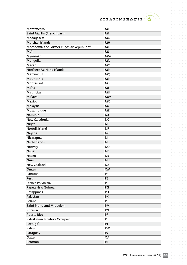$\bullet$ 

 $\hat{a}$  ,  $\hat{a}$  ,  $\hat{a}$  ,  $\hat{a}$  ,  $\hat{a}$  $\alpha$  ,  $\alpha$  ,  $\alpha$  ,  $\alpha$  ,  $\alpha$  $\sigma$  ,  $\sigma$  ,  $\sigma$  ,  $\sigma$  ,  $\sigma$  $\alpha = \alpha - \alpha - \alpha = \alpha$  $\alpha$  ,  $\alpha$  ,  $\alpha$  ,  $\alpha$  ,  $\alpha$  ,  $\alpha$  $\frac{1}{2}$  ,  $\frac{1}{2}$  ,  $\frac{1}{2}$  ,  $\frac{1}{2}$  ,  $\frac{1}{2}$ 

 $\alpha$  ,  $\alpha$  ,  $\alpha$  ,  $\alpha$  ,  $\alpha$  ,  $\alpha$ 

 $\alpha$  ,  $\alpha$  ,  $\alpha$  ,  $\alpha$  ,  $\alpha$  ,  $\alpha$  $\alpha$  ,  $\alpha$  ,  $\alpha$  ,  $\alpha$  ,  $\alpha$  ,  $\alpha$  $\sigma$  ,  $\sigma$  ,  $\sigma$  ,  $\sigma$  ,  $\sigma$  $\alpha$  ,  $\alpha$  ,  $\alpha$  ,  $\alpha$  ,  $\alpha$  ,  $\alpha$ 

 $\alpha$  ,  $\alpha$  ,  $\alpha$  ,  $\alpha$  ,  $\alpha$  ,  $\alpha$  $\alpha$  ,  $\alpha$  ,  $\alpha$  ,  $\alpha$  ,  $\alpha$  ,  $\alpha$ 

 $\alpha$  ,  $\alpha$  ,  $\alpha$  ,  $\alpha$  ,  $\alpha$  ,  $\alpha$  $\frac{1}{2}$  $\sigma$  ,  $\sigma$  ,  $\sigma$  ,  $\sigma$  ,  $\sigma$  ,  $\sigma$ 

 $\alpha$  ,  $\alpha$  ,  $\alpha$  ,  $\alpha$  ,  $\alpha$  ,  $\alpha$  $\begin{array}{cccccccccc} . & . & . & . & . & . & . \end{array}$  $\sigma$  ,  $\sigma$  ,  $\sigma$  ,  $\sigma$  ,  $\sigma$  ,  $\sigma$ 

 $\alpha$  ,  $\alpha$  ,  $\alpha$  ,  $\alpha$  ,  $\alpha$  ,  $\alpha$  $\label{eq:3.1} \begin{array}{lllllllllllllllllll} \alpha & \alpha & \alpha & \alpha & \alpha & \alpha \end{array}$ 

 $\alpha$  ,  $\alpha$  ,  $\alpha$  ,  $\alpha$  $\alpha$  ,  $\alpha$  ,  $\alpha$  ,  $\alpha$  ,  $\alpha$  ,  $\alpha$  $\alpha = \alpha = \alpha$  $\sim$  $\alpha$  ,  $\alpha$  ,  $\alpha$  ,  $\alpha$  ,  $\alpha$ 

> $\alpha$  ,  $\alpha$  ,  $\alpha$  ,  $\alpha$  $\sim 10^{-1}$

 $\alpha$ 

 $\ddot{\phantom{a}}$ 

 $\alpha$ 

| Montenegro                                 | <b>ME</b>      |  |
|--------------------------------------------|----------------|--|
| Saint Martin (French part)                 | <b>MF</b>      |  |
| Madagascar                                 | MG             |  |
| Marshall Islands                           | MH             |  |
| Macedonia, the Former Yugoslav Republic of | MK             |  |
| Mali                                       | <b>ML</b>      |  |
| Myanmar                                    | <b>MM</b>      |  |
| Mongolia                                   | MN             |  |
| Macao                                      | <b>MO</b>      |  |
| Northern Mariana Islands                   | <b>MP</b>      |  |
| Martinique                                 | MQ             |  |
| Mauritania                                 | <b>MR</b>      |  |
| Montserrat                                 | <b>MS</b>      |  |
| Malta                                      | <b>MT</b>      |  |
| <b>Mauritius</b>                           | MU             |  |
| Malawi                                     | <b>MW</b>      |  |
| Mexico                                     | <b>MX</b>      |  |
| Malaysia                                   | <b>MY</b>      |  |
| Mozambique                                 | <b>MZ</b>      |  |
| Namibia                                    | <b>NA</b>      |  |
| New Caledonia                              | <b>NC</b>      |  |
| Niger                                      | <b>NE</b>      |  |
| Norfolk Island                             | <b>NF</b>      |  |
| Nigeria                                    | <b>NG</b>      |  |
| Nicaragua                                  | N <sub>1</sub> |  |
| <b>Netherlands</b>                         | <b>NL</b>      |  |
| Norway                                     | <b>NO</b>      |  |
| Nepal                                      | <b>NP</b>      |  |
| Nauru                                      | <b>NR</b>      |  |
| <b>Niue</b>                                | <b>NU</b>      |  |
| New Zealand                                | <b>NZ</b>      |  |
| Oman                                       | <b>OM</b>      |  |
| Panama                                     | PA             |  |
| Peru                                       | PE             |  |
| French Polynesia                           | PF             |  |
| Papua New Guinea                           | PG             |  |
| Philippines                                | PH             |  |
| Pakistan                                   | PK             |  |
| Poland                                     | PL             |  |
| Saint Pierre and Miquelon                  | PM             |  |
| Pitcairn                                   | PN             |  |
| Puerto Rico                                | <b>PR</b>      |  |
| Palestinian Territory, Occupied            | PS             |  |
| Portugal                                   | PT             |  |
| Palau                                      | PW             |  |
| Paraguay                                   | PY             |  |
| Qatar                                      | QA             |  |
| Reunion                                    | <b>RE</b>      |  |
|                                            |                |  |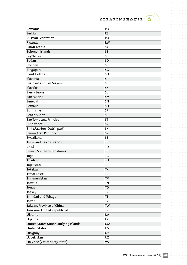$\bullet$ 

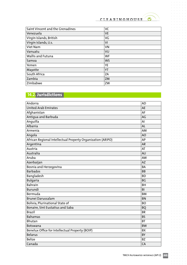$\bullet$ 

 $\alpha$  ,  $\alpha$  ,  $\alpha$  ,  $\alpha$  $\alpha = \alpha = \alpha$  $\bar{\phantom{a}}$  $\alpha = \alpha - \alpha - \alpha - \alpha$  $\alpha$  ,  $\alpha$  ,  $\alpha$  ,  $\alpha$  ,  $\alpha$  $\alpha$  ,  $\alpha$  ,  $\alpha$  ,  $\alpha$  ,  $\alpha$  $\hat{a}$  ,  $\hat{a}$  ,  $\hat{a}$  ,  $\hat{a}$ 

 $\sigma=\sigma-\sigma-\sigma-\sigma$  $\alpha = \alpha = 0$  $\sim$  $\label{eq:3.1} \alpha_{\alpha} = \alpha_{\alpha} - \alpha_{\alpha} - \alpha_{\alpha} - \alpha_{\alpha} - \alpha_{\alpha}$  $\alpha = \alpha - \alpha = \alpha$  $\alpha$  ,  $\alpha$  ,  $\alpha$  ,  $\alpha$  ,  $\alpha$  $\alpha$  ,  $\alpha$  ,  $\alpha$  ,  $\alpha$  ,  $\alpha$  ,  $\alpha$  $\alpha$  ,  $\alpha$  ,  $\alpha$  ,  $\alpha$  ,  $\alpha$  ,  $\alpha$  $\alpha$  ,  $\alpha$  ,  $\alpha$  ,  $\alpha$  $\alpha$  ,  $\alpha$  ,  $\alpha$  ,  $\alpha$  ,  $\alpha$  ,  $\alpha$  $\sigma_{\rm{eff}}$  and  $\sigma_{\rm{eff}}$  are  $\sigma_{\rm{eff}}$  $\alpha$  , and  $\alpha$  , and  $\alpha$  $\sigma$  ,  $\sigma$  ,  $\sigma$  ,  $\sigma$  ,  $\sigma$  ,  $\sigma$  $\alpha=\alpha-\alpha-\alpha$  $\alpha$  ,  $\alpha$  ,  $\alpha$  ,  $\alpha$  ,  $\alpha$  $\alpha=\alpha-\alpha-\alpha-\alpha-\alpha$  $\alpha$  ,  $\alpha$  ,  $\alpha$  ,  $\alpha$  $\alpha$  ,  $\alpha$  ,  $\alpha$  ,  $\alpha$  ,  $\alpha$  ,  $\alpha$  $\sigma_{\rm c}$  ,  $\sigma_{\rm c}$  ,  $\sigma_{\rm c}$  ,  $\sigma_{\rm c}$  ,  $\sigma_{\rm c}$  ,  $\sigma$  $\alpha=\alpha=\alpha-\alpha$  $\alpha$  ,  $\alpha$  ,  $\alpha$  ,  $\alpha$  ,  $\alpha$  ,  $\alpha$  $\hat{a}$  ,  $\hat{a}$  ,  $\hat{a}$  ,  $\hat{a}$  ,  $\hat{a}$  $\alpha$  ,  $\alpha$  ,  $\alpha$  ,  $\alpha$  ,  $\alpha$  ,  $\alpha$ . . . . . . .<br>. . . . . .  $\alpha$  , and  $\alpha$  , and  $\alpha$ . . . . . . .  $\alpha$  ,  $\alpha$  ,  $\alpha$  ,  $\alpha$  ,  $\alpha$  ,  $\alpha$  $\alpha=\alpha-\alpha-\alpha$  $\alpha$  ,  $\alpha$  ,  $\alpha$  ,  $\alpha$  ,  $\alpha$  ,  $\alpha$  $\alpha$  ,  $\alpha$  ,  $\alpha$  ,  $\alpha$  ,  $\alpha$  ,  $\alpha$  $\alpha=\alpha-\alpha-\alpha$  .  $\alpha$  ,  $\alpha$  ,  $\alpha$  ,  $\alpha$  ,  $\alpha$  ,  $\alpha$  $\alpha$  ,  $\alpha$  ,  $\alpha$  ,  $\alpha$  ,  $\alpha$  ,  $\alpha$  $\alpha$  ,  $\alpha$  ,  $\alpha$  ,  $\alpha$  $\alpha$  ,  $\alpha$  ,  $\alpha$  ,  $\alpha$  ,  $\alpha$  ,  $\alpha$  $\begin{array}{cccccccccc} . & . & . & . & . & . & . \end{array}$  $\alpha$  ,  $\alpha$  ,  $\alpha$  ,  $\alpha$  ,  $\alpha$  ,  $\alpha$  $\alpha=\alpha-\alpha-\alpha$  $\alpha$  ,  $\alpha$  ,  $\alpha$  ,  $\alpha$  ,  $\alpha$  ,  $\alpha$  $\alpha = \alpha - \alpha - \alpha - \alpha$  $\alpha$  ,  $\alpha$  ,  $\alpha$  ,  $\alpha$  ,  $\alpha$  ,  $\alpha$  $\alpha$  ,  $\alpha$  ,  $\alpha$  ,  $\alpha$  ,  $\alpha$  ,  $\alpha$  $\alpha$  ,  $\alpha$  ,  $\alpha$  ,  $\alpha$  ,  $\alpha$  $\mathcal{L}^{\mathcal{A}}$  , and  $\mathcal{L}^{\mathcal{A}}$  , and  $\mathcal{L}^{\mathcal{A}}$  $\alpha = \alpha - \alpha - \alpha - \alpha - \alpha$  $\alpha = \alpha = \alpha = \alpha$  .

| Saint Vincent and the Grenadines | VC        |
|----------------------------------|-----------|
| Venezuela                        | <b>VE</b> |
| Virgin Islands, British          | VG        |
| Virgin Islands, U.s.             | VI        |
| Viet Nam                         | VN        |
| Vanuatu                          | VU        |
| Wallis and Futuna                | WF        |
| Samoa                            | <b>WS</b> |
| Yemen                            | YE        |
| Mayotte                          | YT        |
| South Africa                     | ZA        |
| Zambia                           | ZM        |
| Zimbabwe                         | ZW        |

## **14.2. Jurisdictions**

| Andorra                                                     | <b>AD</b>      |
|-------------------------------------------------------------|----------------|
| <b>United Arab Emirates</b>                                 | <b>AE</b>      |
| Afghanistan                                                 | AF             |
| Antigua and Barbuda                                         | AG             |
| Anguilla                                                    | AI             |
| Albania                                                     | <b>AL</b>      |
| Armenia                                                     | AM             |
| Angola                                                      | AO             |
| African Regional Intellectual Property Organization (ARIPO) | AP             |
| Argentina                                                   | <b>AR</b>      |
| Austria                                                     | AT             |
| Australia                                                   | <b>AU</b>      |
| Aruba                                                       | AW             |
| Azerbaijan                                                  | <b>AZ</b>      |
| Bosnia and Herzegovina                                      | <b>BA</b>      |
| <b>Barbados</b>                                             | <b>BB</b>      |
| Bangladesh                                                  | <b>BD</b>      |
| <b>Bulgaria</b>                                             | <b>BG</b>      |
| <b>Bahrain</b>                                              | BH             |
| Burundi                                                     | B <sub>l</sub> |
| Bermuda                                                     | <b>BM</b>      |
| Brunei Darussalam                                           | <b>BN</b>      |
| Bolivia, Plurinational State of                             | <b>BO</b>      |
| Bonaire, Sint Eustatius and Saba                            | <b>BQ</b>      |
| <b>Brazil</b>                                               | <b>BR</b>      |
| Bahamas                                                     | <b>BS</b>      |
| Bhutan                                                      | <b>BT</b>      |
| Botswana                                                    | <b>BW</b>      |
| Benelux Office for Intellectual Property (BOIP)             | <b>BX</b>      |
| <b>Belarus</b>                                              | <b>BY</b>      |
| <b>Belize</b>                                               | <b>BZ</b>      |
| Canada                                                      | CA             |

 $\alpha = \alpha$ 

 $\alpha$  $\alpha = \alpha = \alpha = \alpha$ and and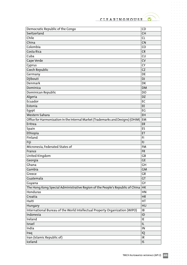$\hat{p}$  ,  $\hat{p}$  ,  $\hat{p}$  ,  $\hat{p}$  ,  $\hat{p}$  $\alpha = \alpha - \alpha - \alpha$ 

 $\alpha$  ,  $\alpha$  ,  $\alpha$  ,  $\alpha$  ,  $\alpha$  ,  $\alpha$ 

 $\sigma$  ,  $\sigma$  ,  $\sigma$  ,  $\sigma$  ,  $\sigma$  $\alpha = \alpha - \alpha - \alpha = 0$  $\alpha=\alpha-\alpha-\alpha-\alpha$  $\alpha$  ,  $\alpha$  ,  $\alpha$  ,  $\alpha$  ,  $\alpha$  $\alpha$  ,  $\alpha$  ,  $\alpha$  ,  $\alpha$  ,  $\alpha$  $\alpha$  ,  $\alpha$  ,  $\alpha$  ,  $\alpha$  ,  $\alpha$  $\alpha=\alpha-\alpha-\alpha-\alpha-\alpha$  $\sigma$  ,  $\sigma$  ,  $\sigma$  ,  $\sigma$  ,  $\sigma$  $\alpha$  ,  $\alpha$  ,  $\alpha$  ,  $\alpha$  ,  $\alpha$  ,  $\alpha$  $\alpha$  ,  $\alpha$  ,  $\alpha$  ,  $\alpha$  ,  $\alpha$  ,  $\alpha$  $\alpha=\alpha-\alpha-\alpha-\alpha-\alpha$  $\alpha$  ,  $\alpha$  ,  $\alpha$  ,  $\alpha$  ,  $\alpha$  $\alpha$  ,  $\alpha$  ,  $\alpha$  ,  $\alpha$  ,  $\alpha$  ,  $\alpha$  $\alpha$  ,  $\alpha$  ,  $\alpha$  ,  $\alpha$  ,  $\alpha$  ,  $\alpha$  $\alpha$  ,  $\alpha$  ,  $\alpha$  ,  $\alpha$  ,  $\alpha$  ,  $\alpha$ . . . . . . .  $\sigma$  , and  $\sigma$  , and  $\sigma$  $\alpha=\alpha-\alpha-\alpha-\alpha$  $\alpha$  ,  $\alpha$  ,  $\alpha$  ,  $\alpha$  ,  $\alpha$  ,  $\alpha$  $\alpha$  ,  $\alpha$  ,  $\alpha$  ,  $\alpha$  ,  $\alpha$  ,  $\alpha$  $\alpha$  ,  $\alpha$  ,  $\alpha$  ,  $\alpha$  ,  $\alpha$  ,  $\alpha$  $\alpha$  ,  $\alpha$  ,  $\alpha$  ,  $\alpha$  ,  $\alpha$  $\alpha$  ,  $\alpha$  ,  $\alpha$  ,  $\alpha$  ,  $\alpha$  ,  $\alpha$  $\alpha$  ,  $\alpha$  ,  $\alpha$  ,  $\alpha$  ,  $\alpha$  ,  $\alpha$ . . . . . . .<br>. . . . . .  $\label{eq:3.1} \begin{array}{lllllllllllllllllll} \alpha & \alpha & \alpha & \alpha & \alpha & \alpha \end{array}$  $\alpha$  ,  $\alpha$  ,  $\alpha$  ,  $\alpha$  ,  $\alpha$  ,  $\alpha$  $\alpha$  ,  $\alpha$  ,  $\alpha$  ,  $\alpha$  ,  $\alpha$  ,  $\alpha$  $\label{eq:3.1} \begin{array}{lllllllllllllllllllll} \alpha_{11} & \alpha_{22} & \alpha_{33} & \alpha_{44} & \alpha_{55} \\ \end{array}$ 

 $\alpha$ 

 $\bullet$ 

 $\sim$  $\alpha = \alpha - \alpha - \alpha - \alpha$  $\alpha = \alpha - \alpha = \alpha$ 

| Switzerland<br><b>CH</b><br>Chile<br><b>CL</b><br>China<br>CN<br>Colombia<br>CO<br>Costa Rica<br><b>CR</b><br>Cuba<br>CU<br>Cape Verde<br><b>CV</b><br><b>CY</b><br>Cyprus<br>Czech Republic<br>CZ<br>Germany<br>DE<br>Djibouti<br><b>DJ</b><br>Denmark<br>DK<br>Dominica<br><b>DM</b><br>Dominican Republic<br>DO<br>Algeria<br><b>DZ</b><br>Ecuador<br>EC<br>Estonia<br>EE<br>EG<br>Egypt<br>Western Sahara<br>EH<br>Office for Harmonization in the Internal Market (Trademarks and Designs) (OHIM)<br>EM<br>Eritrea<br>ER<br>Spain<br>ES<br>Ethiopia<br>ET<br>Finland<br>FI<br>Fiji<br>FJ<br>Micronesia, Federated States of<br><b>FM</b><br>France<br><b>FR</b><br>United Kingdom<br>GB<br>Georgia<br><b>GE</b><br>GH<br>Ghana<br>Gambia<br><b>GM</b><br>GR<br>Greece<br>Guatemala<br>GT<br>GY<br>Guyana<br>The Hong Kong Special Administrative Region of the People's Republic of China<br>HK<br>Honduras<br>HN<br>Croatia<br><b>HR</b><br>Haiti<br>HT<br>HU<br>Hungary<br>International Bureau of the World Intellectual Property Organization (WIPO)<br>IB<br>Indonesia<br>ID<br>Ireland<br>IE<br>Israel<br>IL<br>India<br>IN<br>Iraq<br>IQ<br>Iran (Islamic Republic of)<br>IR<br>Iceland<br>IS. | Democratic Republic of the Congo | CD |
|------------------------------------------------------------------------------------------------------------------------------------------------------------------------------------------------------------------------------------------------------------------------------------------------------------------------------------------------------------------------------------------------------------------------------------------------------------------------------------------------------------------------------------------------------------------------------------------------------------------------------------------------------------------------------------------------------------------------------------------------------------------------------------------------------------------------------------------------------------------------------------------------------------------------------------------------------------------------------------------------------------------------------------------------------------------------------------------------------------------------------------------------------------------------------------------------------------|----------------------------------|----|
|                                                                                                                                                                                                                                                                                                                                                                                                                                                                                                                                                                                                                                                                                                                                                                                                                                                                                                                                                                                                                                                                                                                                                                                                            |                                  |    |
|                                                                                                                                                                                                                                                                                                                                                                                                                                                                                                                                                                                                                                                                                                                                                                                                                                                                                                                                                                                                                                                                                                                                                                                                            |                                  |    |
|                                                                                                                                                                                                                                                                                                                                                                                                                                                                                                                                                                                                                                                                                                                                                                                                                                                                                                                                                                                                                                                                                                                                                                                                            |                                  |    |
|                                                                                                                                                                                                                                                                                                                                                                                                                                                                                                                                                                                                                                                                                                                                                                                                                                                                                                                                                                                                                                                                                                                                                                                                            |                                  |    |
|                                                                                                                                                                                                                                                                                                                                                                                                                                                                                                                                                                                                                                                                                                                                                                                                                                                                                                                                                                                                                                                                                                                                                                                                            |                                  |    |
|                                                                                                                                                                                                                                                                                                                                                                                                                                                                                                                                                                                                                                                                                                                                                                                                                                                                                                                                                                                                                                                                                                                                                                                                            |                                  |    |
|                                                                                                                                                                                                                                                                                                                                                                                                                                                                                                                                                                                                                                                                                                                                                                                                                                                                                                                                                                                                                                                                                                                                                                                                            |                                  |    |
|                                                                                                                                                                                                                                                                                                                                                                                                                                                                                                                                                                                                                                                                                                                                                                                                                                                                                                                                                                                                                                                                                                                                                                                                            |                                  |    |
|                                                                                                                                                                                                                                                                                                                                                                                                                                                                                                                                                                                                                                                                                                                                                                                                                                                                                                                                                                                                                                                                                                                                                                                                            |                                  |    |
|                                                                                                                                                                                                                                                                                                                                                                                                                                                                                                                                                                                                                                                                                                                                                                                                                                                                                                                                                                                                                                                                                                                                                                                                            |                                  |    |
|                                                                                                                                                                                                                                                                                                                                                                                                                                                                                                                                                                                                                                                                                                                                                                                                                                                                                                                                                                                                                                                                                                                                                                                                            |                                  |    |
|                                                                                                                                                                                                                                                                                                                                                                                                                                                                                                                                                                                                                                                                                                                                                                                                                                                                                                                                                                                                                                                                                                                                                                                                            |                                  |    |
|                                                                                                                                                                                                                                                                                                                                                                                                                                                                                                                                                                                                                                                                                                                                                                                                                                                                                                                                                                                                                                                                                                                                                                                                            |                                  |    |
|                                                                                                                                                                                                                                                                                                                                                                                                                                                                                                                                                                                                                                                                                                                                                                                                                                                                                                                                                                                                                                                                                                                                                                                                            |                                  |    |
|                                                                                                                                                                                                                                                                                                                                                                                                                                                                                                                                                                                                                                                                                                                                                                                                                                                                                                                                                                                                                                                                                                                                                                                                            |                                  |    |
|                                                                                                                                                                                                                                                                                                                                                                                                                                                                                                                                                                                                                                                                                                                                                                                                                                                                                                                                                                                                                                                                                                                                                                                                            |                                  |    |
|                                                                                                                                                                                                                                                                                                                                                                                                                                                                                                                                                                                                                                                                                                                                                                                                                                                                                                                                                                                                                                                                                                                                                                                                            |                                  |    |
|                                                                                                                                                                                                                                                                                                                                                                                                                                                                                                                                                                                                                                                                                                                                                                                                                                                                                                                                                                                                                                                                                                                                                                                                            |                                  |    |
|                                                                                                                                                                                                                                                                                                                                                                                                                                                                                                                                                                                                                                                                                                                                                                                                                                                                                                                                                                                                                                                                                                                                                                                                            |                                  |    |
|                                                                                                                                                                                                                                                                                                                                                                                                                                                                                                                                                                                                                                                                                                                                                                                                                                                                                                                                                                                                                                                                                                                                                                                                            |                                  |    |
|                                                                                                                                                                                                                                                                                                                                                                                                                                                                                                                                                                                                                                                                                                                                                                                                                                                                                                                                                                                                                                                                                                                                                                                                            |                                  |    |
|                                                                                                                                                                                                                                                                                                                                                                                                                                                                                                                                                                                                                                                                                                                                                                                                                                                                                                                                                                                                                                                                                                                                                                                                            |                                  |    |
|                                                                                                                                                                                                                                                                                                                                                                                                                                                                                                                                                                                                                                                                                                                                                                                                                                                                                                                                                                                                                                                                                                                                                                                                            |                                  |    |
|                                                                                                                                                                                                                                                                                                                                                                                                                                                                                                                                                                                                                                                                                                                                                                                                                                                                                                                                                                                                                                                                                                                                                                                                            |                                  |    |
|                                                                                                                                                                                                                                                                                                                                                                                                                                                                                                                                                                                                                                                                                                                                                                                                                                                                                                                                                                                                                                                                                                                                                                                                            |                                  |    |
|                                                                                                                                                                                                                                                                                                                                                                                                                                                                                                                                                                                                                                                                                                                                                                                                                                                                                                                                                                                                                                                                                                                                                                                                            |                                  |    |
|                                                                                                                                                                                                                                                                                                                                                                                                                                                                                                                                                                                                                                                                                                                                                                                                                                                                                                                                                                                                                                                                                                                                                                                                            |                                  |    |
|                                                                                                                                                                                                                                                                                                                                                                                                                                                                                                                                                                                                                                                                                                                                                                                                                                                                                                                                                                                                                                                                                                                                                                                                            |                                  |    |
|                                                                                                                                                                                                                                                                                                                                                                                                                                                                                                                                                                                                                                                                                                                                                                                                                                                                                                                                                                                                                                                                                                                                                                                                            |                                  |    |
|                                                                                                                                                                                                                                                                                                                                                                                                                                                                                                                                                                                                                                                                                                                                                                                                                                                                                                                                                                                                                                                                                                                                                                                                            |                                  |    |
|                                                                                                                                                                                                                                                                                                                                                                                                                                                                                                                                                                                                                                                                                                                                                                                                                                                                                                                                                                                                                                                                                                                                                                                                            |                                  |    |
|                                                                                                                                                                                                                                                                                                                                                                                                                                                                                                                                                                                                                                                                                                                                                                                                                                                                                                                                                                                                                                                                                                                                                                                                            |                                  |    |
|                                                                                                                                                                                                                                                                                                                                                                                                                                                                                                                                                                                                                                                                                                                                                                                                                                                                                                                                                                                                                                                                                                                                                                                                            |                                  |    |
|                                                                                                                                                                                                                                                                                                                                                                                                                                                                                                                                                                                                                                                                                                                                                                                                                                                                                                                                                                                                                                                                                                                                                                                                            |                                  |    |
|                                                                                                                                                                                                                                                                                                                                                                                                                                                                                                                                                                                                                                                                                                                                                                                                                                                                                                                                                                                                                                                                                                                                                                                                            |                                  |    |
|                                                                                                                                                                                                                                                                                                                                                                                                                                                                                                                                                                                                                                                                                                                                                                                                                                                                                                                                                                                                                                                                                                                                                                                                            |                                  |    |
|                                                                                                                                                                                                                                                                                                                                                                                                                                                                                                                                                                                                                                                                                                                                                                                                                                                                                                                                                                                                                                                                                                                                                                                                            |                                  |    |
|                                                                                                                                                                                                                                                                                                                                                                                                                                                                                                                                                                                                                                                                                                                                                                                                                                                                                                                                                                                                                                                                                                                                                                                                            |                                  |    |
|                                                                                                                                                                                                                                                                                                                                                                                                                                                                                                                                                                                                                                                                                                                                                                                                                                                                                                                                                                                                                                                                                                                                                                                                            |                                  |    |
|                                                                                                                                                                                                                                                                                                                                                                                                                                                                                                                                                                                                                                                                                                                                                                                                                                                                                                                                                                                                                                                                                                                                                                                                            |                                  |    |
|                                                                                                                                                                                                                                                                                                                                                                                                                                                                                                                                                                                                                                                                                                                                                                                                                                                                                                                                                                                                                                                                                                                                                                                                            |                                  |    |
|                                                                                                                                                                                                                                                                                                                                                                                                                                                                                                                                                                                                                                                                                                                                                                                                                                                                                                                                                                                                                                                                                                                                                                                                            |                                  |    |
|                                                                                                                                                                                                                                                                                                                                                                                                                                                                                                                                                                                                                                                                                                                                                                                                                                                                                                                                                                                                                                                                                                                                                                                                            |                                  |    |
|                                                                                                                                                                                                                                                                                                                                                                                                                                                                                                                                                                                                                                                                                                                                                                                                                                                                                                                                                                                                                                                                                                                                                                                                            |                                  |    |
|                                                                                                                                                                                                                                                                                                                                                                                                                                                                                                                                                                                                                                                                                                                                                                                                                                                                                                                                                                                                                                                                                                                                                                                                            |                                  |    |
|                                                                                                                                                                                                                                                                                                                                                                                                                                                                                                                                                                                                                                                                                                                                                                                                                                                                                                                                                                                                                                                                                                                                                                                                            |                                  |    |
|                                                                                                                                                                                                                                                                                                                                                                                                                                                                                                                                                                                                                                                                                                                                                                                                                                                                                                                                                                                                                                                                                                                                                                                                            |                                  |    |

 $\bar{\phantom{a}}$ 

 $\alpha$ 

and a state  $\alpha$  ,  $\alpha$  ,  $\alpha$  ,  $\alpha$  ,  $\alpha$  ,  $\alpha$  $\alpha = \alpha = \alpha$  $\sim$  $\alpha$  ,  $\alpha$  ,  $\alpha$  ,  $\alpha$  ,  $\alpha$  $\alpha = \alpha - \alpha - \alpha - \alpha$  $\sim 10^{-1}$  and  $\sim 10^{-1}$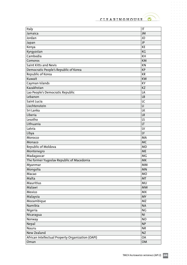$\bullet$ 

 $\hat{p}$  ,  $\hat{p}$  ,  $\hat{p}$  ,  $\hat{p}$  ,  $\hat{p}$  $\alpha = \alpha - \alpha - \alpha$ 

 $\sigma=\sigma-\sigma-\sigma-\sigma$  $\alpha = \alpha - \alpha - \alpha = 0$  $\alpha=\alpha-\alpha-\alpha-\alpha$  $\alpha$  ,  $\alpha$  ,  $\alpha$  ,  $\alpha$  ,  $\alpha$  $\alpha$  ,  $\alpha$  ,  $\alpha$  ,  $\alpha$  ,  $\alpha$  $\alpha$  ,  $\alpha$  ,  $\alpha$  ,  $\alpha$  ,  $\alpha$  $\alpha=\alpha-\alpha-\alpha-\alpha-\alpha$  $\sigma$  ,  $\sigma$  ,  $\sigma$  ,  $\sigma$  ,  $\sigma$  $\alpha$  ,  $\alpha$  ,  $\alpha$  ,  $\alpha$  ,  $\alpha$  ,  $\alpha$  $\alpha$  ,  $\alpha$  ,  $\alpha$  ,  $\alpha$  ,  $\alpha$  ,  $\alpha$  $\alpha=\alpha-\alpha-\alpha-\alpha-\alpha$  $\alpha$  ,  $\alpha$  ,  $\alpha$  ,  $\alpha$  ,  $\alpha$  $\alpha$  ,  $\alpha$  ,  $\alpha$  ,  $\alpha$  ,  $\alpha$  ,  $\alpha$  $\alpha$  ,  $\alpha$  ,  $\alpha$  ,  $\alpha$  ,  $\alpha$  ,  $\alpha$  $\sigma$  ,  $\sigma$  ,  $\sigma$  ,  $\sigma$  ,  $\sigma$  ,  $\sigma$ . . . . . . .  $\sigma$  , and  $\sigma$  , and  $\sigma$  $\alpha=\alpha-\alpha-\alpha-\alpha$  $\alpha$  ,  $\alpha$  ,  $\alpha$  ,  $\alpha$  ,  $\alpha$  ,  $\alpha$  $\alpha$  ,  $\alpha$  ,  $\alpha$  ,  $\alpha$  ,  $\alpha$  $\alpha$  ,  $\alpha$  ,  $\alpha$  ,  $\alpha$  ,  $\alpha$  ,  $\alpha$  $\alpha$  ,  $\alpha$  ,  $\alpha$  ,  $\alpha$  ,  $\alpha$  $\alpha$  ,  $\alpha$  ,  $\alpha$  ,  $\alpha$  ,  $\alpha$  ,  $\alpha$  $\alpha$  ,  $\alpha$  ,  $\alpha$  ,  $\alpha$  ,  $\alpha$  ,  $\alpha$  $\alpha$  , and  $\alpha$  , and  $\alpha$  $\hat{a}$  ,  $\hat{a}$  ,  $\hat{a}$  ,  $\hat{a}$  ,  $\hat{a}$  ,  $\hat{a}$ . . . . . . .<br>. . . . . .  $\label{eq:3.1} \begin{array}{lllllllllllllllllll} \alpha & \alpha & \alpha & \alpha & \alpha & \alpha \end{array}$  $\alpha$  ,  $\alpha$  ,  $\alpha$  ,  $\alpha$  ,  $\alpha$  ,  $\alpha$  $\alpha$  ,  $\alpha$  ,  $\alpha$  ,  $\alpha$  ,  $\alpha$  ,  $\alpha$  $\label{eq:3.1} \begin{array}{lllllllllllllllllllll} \alpha_{11} & \alpha_{22} & \alpha_{33} & \alpha_{44} & \alpha_{55} \\ \end{array}$ 

 $\sim$  $\alpha = \alpha - \alpha - \alpha - \alpha$  $\alpha = \alpha - \alpha = \alpha$  $\alpha$  ,  $\alpha$  ,  $\alpha$  ,  $\alpha$  ,  $\alpha$  ,  $\alpha$ 

| Italy                                             | $\mathsf{I}\mathsf{T}$ |
|---------------------------------------------------|------------------------|
| Jamaica                                           | JM                     |
| Jordan                                            | JO                     |
| Japan                                             | JP                     |
| Kenya                                             | KE                     |
| Kyrgyzstan                                        | KG                     |
| Cambodia                                          | <b>KH</b>              |
| Comoros                                           | <b>KM</b>              |
| Saint Kitts and Nevis                             | KN                     |
| Democratic People's Republic of Korea             | <b>KP</b>              |
| Republic of Korea                                 | <b>KR</b>              |
| Kuwait                                            | <b>KW</b>              |
| Cayman Islands                                    | KY                     |
| Kazakhstan                                        | <b>KZ</b>              |
| Lao People's Democratic Republic                  | LA                     |
| Lebanon                                           | <b>LB</b>              |
| Saint Lucia                                       | LC                     |
| Liechtenstein                                     | $\mathsf{L}\mathsf{I}$ |
| Sri Lanka                                         | LK                     |
| Liberia                                           | <b>LR</b>              |
| Lesotho                                           | LS                     |
| Lithuania                                         | LT                     |
| Latvia                                            | LV                     |
| Libya                                             | LY                     |
| Morocco                                           | MA                     |
| Monaco                                            | <b>MC</b>              |
| Republic of Moldova                               | <b>MD</b>              |
| Montenegro                                        | <b>ME</b>              |
| Madagascar                                        | <b>MG</b>              |
| The former Yugoslav Republic of Macedonia         | <b>MK</b>              |
| Myanmar                                           | <b>MM</b>              |
| Mongolia                                          | MN                     |
| Macao                                             | <b>MO</b>              |
| Malta                                             | <b>MT</b>              |
| Mauritius                                         | MU                     |
| Malawi                                            | <b>MW</b>              |
| Mexico                                            | <b>MX</b>              |
| Malaysia                                          | <b>MY</b>              |
| Mozambique                                        | <b>MZ</b>              |
| Namibia                                           | <b>NA</b>              |
| Nigeria                                           | <b>NG</b>              |
| Nicaragua                                         | N <sub>1</sub>         |
| Norway                                            | <b>NO</b>              |
| Nepal                                             | <b>NP</b>              |
| Nauru                                             | <b>NR</b>              |
| New Zealand                                       | <b>NZ</b>              |
| African Intellectual Property Organization (OAPI) | OA                     |
| Oman                                              | OM                     |

 $\bar{\phantom{a}}$ 

 $\alpha$ 

and a state  $\alpha$  ,  $\alpha$  ,  $\alpha$  ,  $\alpha$  ,  $\alpha$  ,  $\alpha$  $\alpha = \alpha = \alpha$  $\sim$  $\alpha$  ,  $\alpha$  ,  $\alpha$  ,  $\alpha$  ,  $\alpha$  $\alpha$  ,  $\alpha$  ,  $\alpha$  ,  $\alpha$  ,  $\alpha$  $\sim 10^{-1}$  and  $\sim 10^{-1}$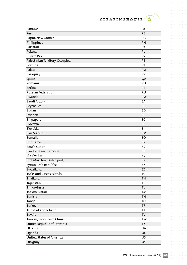$\bullet$ 

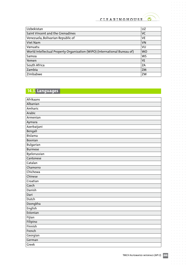$\bullet$ 

 $\alpha = \alpha = \alpha$  $\bar{\phantom{a}}$ 

 $\alpha$  ,  $\alpha$  ,  $\alpha$  $\sim$ 

 $\sim$  $\sigma_{\rm c}$  ,  $\sigma_{\rm c}$  ,  $\sigma_{\rm c}$  ,  $\sigma_{\rm c}$  ,  $\sigma$  $\alpha = \alpha - \alpha - \alpha = \alpha$  $\alpha$  ,  $\alpha$  ,  $\alpha$  ,  $\alpha$  ,  $\alpha$  $\alpha$  ,  $\alpha$  ,  $\alpha$  ,  $\alpha$  ,  $\alpha$  $\mathcal{L}^{\pm}$  and  $\mathcal{L}^{\pm}$  and  $\mathcal{L}^{\pm}$  $\alpha=\alpha-\alpha-\alpha-\alpha$  $\alpha$  ,  $\alpha$  ,  $\alpha$  ,  $\alpha$  ,  $\alpha$  $\alpha$  ,  $\alpha$  ,  $\alpha$  ,  $\alpha$  ,  $\alpha$  $\sigma_{\rm c}$  ,  $\sigma_{\rm c}$  ,  $\sigma_{\rm c}$  ,  $\sigma_{\rm c}$  ,  $\sigma$  $\alpha = \alpha - \alpha - \alpha = \alpha$  $\hat{p}$  ,  $\hat{p}$  ,  $\hat{p}$  ,  $\hat{p}$  ,  $\hat{p}$  $\alpha$  ,  $\alpha$  ,  $\alpha$  ,  $\alpha$  $\hat{a}$  ,  $\hat{a}$  ,  $\hat{a}$  ,  $\hat{a}$  ,  $\hat{a}$  $\begin{array}{ccccccccc} \bullet & \bullet & \bullet & \bullet & \bullet & \bullet & \bullet \\ \bullet & \bullet & \bullet & \bullet & \bullet & \bullet & \bullet \\ \bullet & \bullet & \bullet & \bullet & \bullet & \bullet & \bullet \end{array}$  $\alpha$  ,  $\alpha$  ,  $\alpha$  ,  $\alpha$  ,  $\alpha$  $\frac{1}{2}$  ,  $\frac{1}{2}$  ,  $\frac{1}{2}$  ,  $\frac{1}{2}$  ,  $\frac{1}{2}$  $\sigma$  ,  $\sigma$  ,  $\sigma$  ,  $\sigma$  ,  $\sigma$  $\alpha=\alpha-\alpha-\alpha-\alpha$  $\hat{a}$  ,  $\hat{a}$  ,  $\hat{a}$  ,  $\hat{a}$  ,  $\hat{a}$  $\begin{array}{ccccccccc} \bullet & \bullet & \bullet & \bullet & \bullet & \bullet & \bullet \\ \bullet & \bullet & \bullet & \bullet & \bullet & \bullet & \bullet \\ \bullet & \bullet & \bullet & \bullet & \bullet & \bullet & \bullet \end{array}$  $\frac{1}{2}$  ,  $\frac{1}{2}$  ,  $\frac{1}{2}$  ,  $\frac{1}{2}$  ,  $\frac{1}{2}$  $\sigma$  , and  $\sigma$  , and  $\sigma$  $\alpha$  , and  $\alpha$  , and  $\alpha$  $\alpha$  ,  $\alpha$  ,  $\alpha$  ,  $\alpha$  ,  $\alpha$  $\frac{1}{2}$  ,  $\frac{1}{2}$  ,  $\frac{1}{2}$  ,  $\frac{1}{2}$  ,  $\frac{1}{2}$  $\alpha$  ,  $\alpha$  ,  $\alpha$  ,  $\alpha$  ,  $\alpha$  $\alpha$  ,  $\alpha$  ,  $\alpha$  ,  $\alpha$  $\alpha$  ,  $\alpha$  ,  $\alpha$  ,  $\alpha$  ,  $\alpha$  ,  $\alpha$  $\frac{1}{2}$  ,  $\frac{1}{2}$  ,  $\frac{1}{2}$  ,  $\frac{1}{2}$  ,  $\frac{1}{2}$  $\sigma$  ,  $\sigma$  ,  $\sigma$  ,  $\sigma$  ,  $\sigma$  $\sigma_{\rm{eff}}$  and  $\sigma_{\rm{eff}}$  and  $\sigma_{\rm{eff}}$  $\alpha$  ,  $\alpha$  ,  $\alpha$  ,  $\alpha$  ,  $\alpha$  ,  $\alpha$  $\alpha = \alpha - \alpha = \alpha$  $\hat{\mathbf{r}}$  ,  $\hat{\mathbf{r}}$  ,  $\hat{\mathbf{r}}$  ,  $\hat{\mathbf{r}}$  ,  $\hat{\mathbf{r}}$  $\frac{1}{2}$  ,  $\frac{1}{2}$  ,  $\frac{1}{2}$  ,  $\frac{1}{2}$  ,  $\frac{1}{2}$  $\alpha$  ,  $\alpha$  ,  $\alpha$  ,  $\alpha$  ,  $\alpha$  ,  $\alpha$  $\alpha=\alpha-\alpha-\alpha$  $\alpha$  ,  $\alpha$  ,  $\alpha$  ,  $\alpha$  ,  $\alpha$  $\alpha=\alpha-\alpha-\alpha$  $\hat{a}$  ,  $\hat{a}$  ,  $\hat{a}$  ,  $\hat{a}$  ,  $\hat{a}$  $\alpha = \alpha - \alpha - \alpha - \alpha$ **Service**  $\alpha$  $\alpha = \alpha - \alpha$  $\alpha$ 

 $\sim$ 

 $\alpha = \alpha$ 

 $\alpha = \alpha = \alpha$  .  $\alpha$  $\sim$  $\alpha$  $\alpha$ 

 $\alpha$  $\alpha = \alpha - \alpha - \alpha - \alpha$  $\alpha = -\alpha$  $\sim$  $\alpha$  $\alpha=\alpha-\alpha-\alpha-\alpha$  $\alpha = \alpha$  $\alpha$  $\alpha$  ,  $\alpha$  ,  $\alpha$  ,  $\alpha$  ,  $\alpha$  $\alpha = \alpha - \alpha - \alpha - \alpha$  $\alpha$  ,  $\alpha$  ,  $\alpha$  ,  $\alpha$  ,  $\alpha$  $\sigma_{\rm c}$  ,  $\sigma_{\rm c}$  ,  $\sigma_{\rm c}$  ,  $\sigma_{\rm c}$  ,  $\sigma_{\rm c}$  $\alpha=\alpha=\alpha-\alpha$  $\alpha = \alpha - \alpha = \alpha - \alpha$  $\alpha$  ,  $\alpha$  ,  $\alpha$  ,  $\alpha$  $\alpha$  ,  $\alpha$  ,  $\alpha$  ,  $\alpha$  ,  $\alpha$  $\alpha$  ,  $\alpha$  ,  $\alpha$  ,  $\alpha$  ,  $\alpha$  $\epsilon = \epsilon$  $\alpha = \alpha - \alpha - \alpha - \alpha$  $\alpha = \alpha - \alpha = \alpha$  $\alpha$  ,  $\alpha$  ,  $\alpha$  ,  $\alpha$  $\alpha$  , and  $\alpha$  , and  $\alpha$  $\alpha = \alpha - \alpha = \alpha$ 

 $\alpha = -\alpha$  $\sim$  $\alpha = \alpha = \alpha = \alpha = \alpha$  $\hat{a}$  ,  $\hat{a}$  ,  $\hat{a}$  ,  $\hat{a}$  $\bar{\phantom{a}}$  $\alpha = \alpha = \alpha = \alpha$ 

| Uzbekistan                                                                | UZ        |
|---------------------------------------------------------------------------|-----------|
| Saint Vincent and the Grenadines                                          | <b>VC</b> |
| Venezuela, Bolivarian Republic of                                         | VE.       |
| Viet Nam                                                                  | <b>VN</b> |
| Vanuatu                                                                   | VU        |
| World Intellectual Property Organization (WIPO) (International Bureau of) | <b>WO</b> |
| Samoa                                                                     | <b>WS</b> |
| Yemen                                                                     | <b>YE</b> |
| South Africa                                                              | ZΑ        |
| Zambia                                                                    | ZM        |
| Zimbabwe                                                                  | ZW        |
|                                                                           |           |

## **14.3. Languages**

| Afrikaans      |
|----------------|
| Albanian       |
| Amharic        |
| Arabic         |
| Armenian       |
| Aymara         |
| Azerbaijani    |
| Bengali        |
| <b>Bislama</b> |
| <b>Bosnian</b> |
| Bulgarian      |
| <b>Burmese</b> |
| Byelorussian   |
| Cantonese      |
| Catalan        |
| Chamorro       |
| Chichewa       |
| Chinese        |
| Croatian       |
| Czech          |
| Danish         |
| Dari           |
| Dutch          |
| Dzongkha       |
| English        |
| Estonian       |
| Fijian         |
| Filipino       |
| Finnish        |
| French         |
| Georgian       |
| German         |
| Greek          |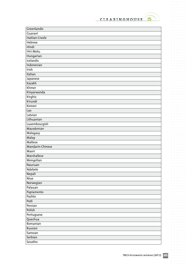

 $\bullet$ 

 $\hat{p}$  ,  $\hat{p}$  ,  $\hat{p}$  ,  $\hat{p}$  ,  $\hat{p}$  $\alpha$  ,  $\alpha$  ,  $\alpha$  ,  $\alpha$  ,  $\alpha$  $\sigma$  ,  $\sigma$  ,  $\sigma$  ,  $\sigma$  ,  $\sigma$  $\alpha = \alpha - \alpha - \alpha = \alpha$  $\alpha$  ,  $\alpha$  ,  $\alpha$  ,  $\alpha$  ,  $\alpha$  ,  $\alpha$ 

 $\alpha$  ,  $\alpha$  ,  $\alpha$  ,  $\alpha$  ,  $\alpha$  ,  $\alpha$ 

 $\alpha$  ,  $\alpha$  ,  $\alpha$  ,  $\alpha$  ,  $\alpha$  ,  $\alpha$  $\begin{array}{cccccccccc} . & . & . & . & . & . \\ . & . & . & . & . & . \\ . & . & . & . & . & . \end{array}$  $\alpha$  ,  $\alpha$  ,  $\alpha$  ,  $\alpha$  ,  $\alpha$  ,  $\alpha$  $\sigma$  ,  $\sigma$  ,  $\sigma$  ,  $\sigma$  ,  $\sigma$  $\alpha$  ,  $\alpha$  ,  $\alpha$  ,  $\alpha$  ,  $\alpha$  ,  $\alpha$ 

 $\alpha=\alpha-\alpha-\alpha-\alpha-\alpha$  $\alpha$  ,  $\alpha$  ,  $\alpha$  ,  $\alpha$  ,  $\alpha$  ,  $\alpha$ 

 $\alpha$  ,  $\alpha$  ,  $\alpha$  ,  $\alpha$  ,  $\alpha$  ,  $\alpha$  $\frac{1}{2}$  $\sigma$  , and  $\sigma$  , and  $\sigma$  $\alpha=\alpha-\alpha-\alpha-\alpha$  $\alpha$  ,  $\alpha$  ,  $\alpha$  ,  $\alpha$  ,  $\alpha$  ,  $\alpha$ 

 $\alpha$  ,  $\alpha$  ,  $\alpha$  ,  $\alpha$  ,  $\alpha$  ,  $\alpha$  $\begin{array}{cccccccccc} . & . & . & . & . & . \\ . & . & . & . & . & . \\ . & . & . & . & . & . \end{array}$  $\sigma$  ,  $\sigma$  ,  $\sigma$  ,  $\sigma$  ,  $\sigma$  ,  $\sigma$ 

 $\alpha$  ,  $\alpha$  ,  $\alpha$  ,  $\alpha$  ,  $\alpha$  ,  $\alpha$  $\alpha = \alpha - \alpha - \alpha - \alpha - \alpha$  $\alpha$  , and  $\alpha$  , and  $\alpha$  $\alpha$  ,  $\alpha$  ,  $\alpha$  ,  $\alpha$  ,  $\alpha$  ,  $\alpha$  $\alpha = \alpha - \alpha - \alpha$  .  $\alpha$  ,  $\alpha$  ,  $\alpha$  ,  $\alpha$  ,  $\alpha$ 

 $\circ$ 

| Greenlandic             |
|-------------------------|
| Guaraní                 |
| Haitian Creole          |
| <b>Hebrew</b>           |
| Hindi                   |
| Hiri Motu               |
| Hungarian               |
| Icelandic               |
| Indonesian              |
| Irish                   |
| Italian                 |
| Japanese                |
| Kazakh                  |
| Khmer                   |
| Kinyarwanda             |
| Kirghiz                 |
| Kirundi                 |
| Korean                  |
| Lao                     |
| Latvian                 |
| Lithuanian              |
| Luxembourgish           |
| Macedonian              |
| Malagasy                |
| Malay                   |
| Maltese                 |
| <b>Mandarin Chinese</b> |
| Maori                   |
| Marshallese             |
| Mongolian               |
| Nauruan                 |
| Ndebele                 |
| Nepali                  |
| Niue                    |
| Norwegian               |
| Palauan                 |
| Papiamento              |
| Pashto                  |
| Pedi                    |
| Persian                 |
| Polish                  |
| Portuguese              |
| Quechua                 |
| Romanian                |
| Russian                 |
| Samoan                  |
| Serbian                 |
| Sesotho                 |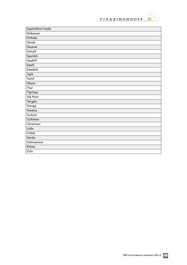

 $\bullet$ 

 $\hat{p}$  ,  $\hat{p}$  ,  $\hat{p}$  ,  $\hat{p}$  ,  $\hat{p}$  $\alpha$  ,  $\alpha$  ,  $\alpha$  ,  $\alpha$  ,  $\alpha$  $\sigma$  ,  $\sigma$  ,  $\sigma$  ,  $\sigma$  ,  $\sigma$  $\alpha = \alpha - \alpha - \alpha = \alpha$  $\alpha$  ,  $\alpha$  ,  $\alpha$  ,  $\alpha$  ,  $\alpha$  ,  $\alpha$ 

 $\sigma$  ,  $\sigma$  ,  $\sigma$  ,  $\sigma$  ,  $\sigma$  ,  $\sigma$  $\alpha=\alpha-\alpha-\alpha-\alpha$  $\alpha$  ,  $\alpha$  ,  $\alpha$  ,  $\alpha$  ,  $\alpha$  ,  $\alpha$  $\alpha$  ,  $\alpha$  ,  $\alpha$  ,  $\alpha$  ,  $\alpha$  $\alpha$  ,  $\alpha$  ,  $\alpha$  ,  $\alpha$  ,  $\alpha$  ,  $\alpha$  $\alpha=\alpha-\alpha-\alpha-\alpha-\alpha$ . . . . . . .  $\alpha$  ,  $\alpha$  ,  $\alpha$  ,  $\alpha$  ,  $\alpha$  ,  $\alpha$  $\alpha$  ,  $\alpha$  ,  $\alpha$  ,  $\alpha$  ,  $\alpha$  $\alpha$  ,  $\alpha$  ,  $\alpha$  ,  $\alpha$  ,  $\alpha$  ,  $\alpha$  $\alpha$  ,  $\alpha$  ,  $\alpha$  ,  $\alpha$  ,  $\alpha$  ,  $\alpha$  $\alpha$  ,  $\alpha$  ,  $\alpha$  ,  $\alpha$  ,  $\alpha$  ,  $\alpha$  $\alpha$  ,  $\alpha$  ,  $\alpha$  ,  $\alpha$  ,  $\alpha$  ,  $\alpha$ . . . . . . .<br>. . . . . .  $\alpha=\alpha-\alpha-\alpha-\alpha-\alpha$ . . . . . . .  $\sigma$  , and  $\sigma$  , and  $\sigma$  $\alpha=\alpha-\alpha-\alpha-\alpha$  $\alpha$  ,  $\alpha$  ,  $\alpha$  ,  $\alpha$  ,  $\alpha$  ,  $\alpha$  $\alpha$  ,  $\alpha$  ,  $\alpha$  ,  $\alpha$  ,  $\alpha$  ,  $\alpha$  $\alpha$  ,  $\alpha$  ,  $\alpha$  ,  $\alpha$  ,  $\alpha$  ,  $\alpha$  $\alpha$  ,  $\alpha$  ,  $\alpha$  ,  $\alpha$  ,  $\alpha$  ,  $\alpha$  $\begin{array}{cccccccccc} . & . & . & . & . & . \\ . & . & . & . & . & . \\ . & . & . & . & . & . \end{array}$  $\alpha = \alpha - \alpha - \alpha - \alpha - \alpha$  $\alpha$  ,  $\alpha$  ,  $\alpha$  ,  $\alpha$  ,  $\alpha$  ,  $\alpha$  $\alpha$  ,  $\alpha$  ,  $\alpha$  ,  $\alpha$ 

| Seychellois Creole |
|--------------------|
| Shikomor           |
| Sinhala            |
| Slovak             |
| Slovene            |
| Somali             |
| Spanish            |
| Swahili            |
| Swati              |
| Swedish            |
| Tajik              |
| Tamil              |
| Tetum              |
| Thai               |
| Tigrinya           |
| <b>Tok Pisin</b>   |
| Tongan             |
| Tsonga             |
| Tswana             |
| Turkish            |
| Turkmen            |
| Ukrainian          |
| Urdu               |
| Uzbek              |
| Venda              |
| Vietnamese         |
| Xhosa              |
| Zulu               |

 $\alpha$ 

 $\sim$ 

 $\alpha$  ,  $\alpha$  ,  $\alpha$  ,  $\alpha$  ,  $\alpha$  ,  $\alpha$  $\alpha = \alpha - \alpha = \alpha$  $\alpha$  ,  $\alpha$  ,  $\alpha$  ,  $\alpha$  ,  $\alpha$  ,  $\alpha$  $\alpha$  ,  $\alpha$  ,  $\alpha$  ,  $\alpha$  ,  $\alpha$  $\sim 10^{-1}$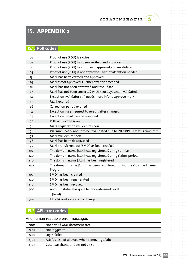$\bullet$ 

# **15. APPENDIX 2**

## **15.1. Poll codes**

| 102             | Proof of use (POU) is expire                                                      |
|-----------------|-----------------------------------------------------------------------------------|
| 10 <sub>3</sub> | Proof of use (POU) has been verified and approved                                 |
| 104             | Proof of use (POU) has not been approved and invalidated                          |
| 105             | Proof of use (POU) is not approved. Further attention needed                      |
| 123             | Mark has been verified and approved                                               |
| 124             | Mark is not approved. Further attention needed                                    |
| 126             | Mark has not been approved and invalidate                                         |
| 127             | Mark has not been corrected within 20 days and invalidated.                       |
| 134             | Exception : validator still needs more info to approve mark                       |
| 137             | Mark expired                                                                      |
| 146             | Correction period expired                                                         |
| 154             | Exception : user request to re-edit after changes                                 |
| 164             | Exception : mark can be re-edited                                                 |
| 190             | POU will expire soon                                                              |
| 191             | Mark registration will expire soon                                                |
| 196             | Warning: Mark about to be invalidated due to INCORRECT status time-out            |
| 197             | Mark will expire soon                                                             |
| 198             | Mark has been deactivated                                                         |
| 199             | Mark transferred out/SMD has been revoked                                         |
| 210             | The domain name [\$dn] was registered during sunrise                              |
| 220             | The domain name [\$dn] was registered during claims period                        |
| 230             | The domain name [\$dn] has been registered                                        |
| 240             | The domain name [\$dn] has been registered during the Qualified Launch<br>Program |
| 310             | SMD has been created                                                              |
| 320             | SMD has been regenerated                                                          |
| 330             | SMD has been revoked                                                              |
| 400             | Account status has gone below watermark level                                     |
|                 | (\$level)                                                                         |
| 500             | UDRP/Court case status change                                                     |

## **15.2. API error codes**

#### And human readable error messages

| 2001 | Not a valid XML document tree                 |  |
|------|-----------------------------------------------|--|
| 2201 | Not logged in                                 |  |
| 2202 | Login failed                                  |  |
| 2303 | Attributes not allowed when removing a label  |  |
| 2303 | Case <casehandle> does not exist</casehandle> |  |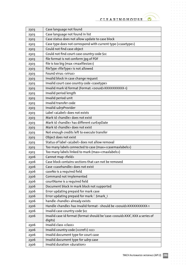

 $\alpha$  ,  $\alpha$  ,  $\alpha$  ,  $\alpha$  ,  $\alpha$  $\alpha$  .  $\alpha$  ,  $\alpha$  $\bar{\phantom{a}}$  $\alpha = \alpha - \alpha - \alpha - \alpha$  $\alpha = \alpha - \alpha = \alpha$ 

 $\alpha$  ,  $\alpha$  ,  $\alpha$  ,  $\alpha$  ,  $\alpha$  ,  $\alpha$ 

 $\sigma$  ,  $\sigma$  ,  $\sigma$  ,  $\sigma$  ,  $\sigma$  $\sigma = \sigma = \sigma = \sigma = \sigma$  $\alpha=\alpha-\alpha-\alpha-\alpha$  $\alpha$  ,  $\alpha$  ,  $\alpha$  ,  $\alpha$  ,  $\alpha$  $\alpha$  ,  $\alpha$  ,  $\alpha$  ,  $\alpha$  ,  $\alpha$  $\frac{1}{2}$  ,  $\frac{1}{2}$  ,  $\frac{1}{2}$  ,  $\frac{1}{2}$  ,  $\frac{1}{2}$  $\alpha$  ,  $\alpha$  ,  $\alpha$  ,  $\alpha$  ,  $\alpha$  $\begin{array}{cccccccccc} . & . & . & . & . & . \\ . & . & . & . & . & . \\ . & . & . & . & . & . \end{array}$  $\alpha=\alpha-\alpha-\alpha-\alpha-\alpha$  $\alpha$  ,  $\alpha$  ,  $\alpha$  ,  $\alpha$  ,  $\alpha$  $\alpha$  ,  $\alpha$  ,  $\alpha$  ,  $\alpha$  ,  $\alpha$  ,  $\alpha$  $\alpha$  ,  $\alpha$  ,  $\alpha$  ,  $\alpha$  ,  $\alpha$  $\alpha=\alpha-\alpha-\alpha-\alpha-\alpha$  $\alpha$  ,  $\alpha$  ,  $\alpha$  ,  $\alpha$  ,  $\alpha$  $\alpha$  ,  $\alpha$  ,  $\alpha$  ,  $\alpha$  ,  $\alpha$  ,  $\alpha$  $\alpha$  ,  $\alpha$  ,  $\alpha$  ,  $\alpha$  ,  $\alpha$  ,  $\alpha$  $\sigma$  ,  $\sigma$  ,  $\sigma$  ,  $\sigma$  ,  $\sigma$  ,  $\sigma$ . . . . . . .  $\sigma$  , and  $\sigma$  , and  $\sigma$  $\alpha = \alpha - \alpha = \alpha - \alpha$  $\alpha$  ,  $\alpha$  ,  $\alpha$  ,  $\alpha$  ,  $\alpha$  ,  $\alpha$  $\alpha$  ,  $\alpha$  ,  $\alpha$  ,  $\alpha$  ,  $\alpha$  $\alpha$  ,  $\alpha$  ,  $\alpha$  ,  $\alpha$  ,  $\alpha$  ,  $\alpha$  $\alpha$  ,  $\alpha$  ,  $\alpha$  ,  $\alpha$  ,  $\alpha$  $\alpha$  ,  $\alpha$  ,  $\alpha$  ,  $\alpha$  ,  $\alpha$  ,  $\alpha$  $\alpha$  ,  $\alpha$  ,  $\alpha$  ,  $\alpha$  ,  $\alpha$  ,  $\alpha$  $\alpha = \alpha - \alpha - \alpha - \alpha$  .  $\alpha$  ,  $\alpha$  ,  $\alpha$  ,  $\alpha$  ,  $\alpha$  ,  $\alpha$ . . . . . . .<br>. . . . . .  $\label{eq:3.1} \begin{array}{lllllllllllllllllll} \alpha & \alpha & \alpha & \alpha & \alpha & \alpha \end{array}$  $\alpha$  ,  $\alpha$  ,  $\alpha$  ,  $\alpha$  ,  $\alpha$  ,  $\alpha$  $\alpha$  ,  $\alpha$  ,  $\alpha$  ,  $\alpha$  ,  $\alpha$  ,  $\alpha$  $\label{eq:3.1} \begin{array}{lllllllllllllllllllll} \alpha_{11} & \alpha_{22} & \alpha_{33} & \alpha_{44} & \alpha_{55} \\ \end{array}$  $\alpha = \alpha - \alpha$  $\alpha = \alpha - \alpha - \alpha - \alpha$  .  $\epsilon = \epsilon$ 

 $\alpha$ 

 $\bullet$ 

| 2303 | Case language not found                                                                          |  |  |
|------|--------------------------------------------------------------------------------------------------|--|--|
| 2303 | Case language not found in list                                                                  |  |  |
| 2303 | Case status does not allow update to case block                                                  |  |  |
| 2303 | Case type does not correspond with current type ( <casetype>)</casetype>                         |  |  |
| 2303 | Could not find case object                                                                       |  |  |
| 2303 | Could not find court case country code \$cc                                                      |  |  |
| 2303 | file format is not conform jpg of PDF                                                            |  |  |
| 2303 | file is too biq (max <maxfilesize>)</maxfilesize>                                                |  |  |
| 2303 | fileType <filetype> is not allowed</filetype>                                                    |  |  |
| 2303 | Found virus: <virus></virus>                                                                     |  |  |
| 2303 | Invalid block in case change request                                                             |  |  |
| 2303 | Invalid court case country code <casetype></casetype>                                            |  |  |
| 2303 | Invalid mark id format (Format: < oouid>XXXXXXXXXX-1)                                            |  |  |
| 2303 | Invalid period length                                                                            |  |  |
| 2303 | Invalid period unit                                                                              |  |  |
| 2303 | Invalid transfer code                                                                            |  |  |
| 2303 | Invalid udrpProvider                                                                             |  |  |
| 2303 | Label <alabel> does not exists</alabel>                                                          |  |  |
| 2303 | Mark id <handle> does not exist</handle>                                                         |  |  |
| 2303 | Mark id <handle> has different curExpDate</handle>                                               |  |  |
| 2303 | Mark id <handle> does not exist</handle>                                                         |  |  |
| 2303 | Not enough credits left to execute transfer                                                      |  |  |
| 2303 | Object does not exist                                                                            |  |  |
| 2303 | Status of label <alabel> does not allow removal</alabel>                                         |  |  |
| 2303 | Too many labels connected to case (max= <casemaxlabels>)</casemaxlabels>                         |  |  |
| 2303 | Too many labels linked to mark (max= <maxlabels>)</maxlabels>                                    |  |  |
| 2306 | Cannot map <field></field>                                                                       |  |  |
| 2306 | Case block contains sections that can not be removed                                             |  |  |
| 2306 | Case <casehandle> does not exist</casehandle>                                                    |  |  |
| 2306 | caseNo is a required field                                                                       |  |  |
| 2306 | Command not implemented                                                                          |  |  |
| 2306 | courtName is a required field                                                                    |  |  |
| 2306 | Document block in mark block not supported                                                       |  |  |
| 2306 | Error updating prepaid for mark case                                                             |  |  |
| 2306 | Error updating prepaid for mark: '. \$mark i                                                     |  |  |
| 2306 | handle <handle> already exists</handle>                                                          |  |  |
| 2306 | Handle <handle> has invalid format - should be <oouid>XXXXXXXXXX-1</oouid></handle>              |  |  |
| 2306 | Invalid case country code \$cc                                                                   |  |  |
| 2306 | Invalid case id format (format should be 'case- <oouid>XXX', XXX a series of<br/>digits)</oouid> |  |  |
| 2306 | Invalid class <class></class>                                                                    |  |  |
| 2306 | Invalid country code ( <ccref>) <cc></cc></ccref>                                                |  |  |
| 2306 | Invalid document type for court case                                                             |  |  |
| 2306 | Invalid document type for udrp case                                                              |  |  |
| 2306 | Invalid duration <duration></duration>                                                           |  |  |

 $\bar{\phantom{a}}$ 

 $\sim$  $\alpha$  ,  $\alpha$  ,  $\alpha$  ,  $\alpha$  ,  $\alpha$  $\sim 10^{-1}$  $\alpha$ 

 $\alpha = \alpha - \alpha = \alpha$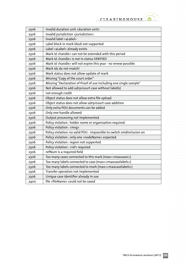

 $\alpha$  ,  $\alpha$  ,  $\alpha$  ,  $\alpha$ 

 $\sigma=\sigma-\sigma-\sigma-\sigma$  $\label{eq:3.1} \alpha = -\alpha = -\alpha = -\alpha = 0$  $\alpha=\alpha-\alpha-\alpha-\alpha$  $\alpha$  ,  $\alpha$  ,  $\alpha$  ,  $\alpha$  ,  $\alpha$  $\alpha$  ,  $\alpha$  ,  $\alpha$  ,  $\alpha$  ,  $\alpha$  $\frac{1}{2}$  ,  $\frac{1}{2}$  ,  $\frac{1}{2}$  ,  $\frac{1}{2}$  ,  $\frac{1}{2}$  $\alpha = \alpha - \alpha - \alpha - \alpha - \alpha$  $\alpha=\alpha-\alpha-\alpha-\alpha-\alpha$  $\alpha$  ,  $\alpha$  ,  $\alpha$  ,  $\alpha$  ,  $\alpha$  $\alpha$  ,  $\alpha$  ,  $\alpha$  ,  $\alpha$  ,  $\alpha$  ,  $\alpha$  $\sigma$  ,  $\sigma$  ,  $\sigma$  ,  $\sigma$  ,  $\sigma$  ,  $\sigma$  $\alpha = \alpha - \alpha = \alpha - \alpha$  $\alpha$  ,  $\alpha$  ,  $\alpha$  ,  $\alpha$  ,  $\alpha$  ,  $\alpha$  $\alpha=\alpha-\alpha-\alpha-\alpha-\alpha$  $\alpha$  ,  $\alpha$  ,  $\alpha$  ,  $\alpha$  ,  $\alpha$  $\alpha$  ,  $\alpha$  ,  $\alpha$  ,  $\alpha$  ,  $\alpha$  ,  $\alpha$  $\sigma_{\rm c}$  ,  $\sigma_{\rm c}$  ,  $\sigma_{\rm c}$  ,  $\sigma_{\rm c}$  ,  $\sigma_{\rm c}$  ,  $\sigma$  $\alpha$  ,  $\alpha$  ,  $\alpha$  ,  $\alpha$  ,  $\alpha$  $\alpha$  ,  $\alpha$  ,  $\alpha$  ,  $\alpha$  ,  $\alpha$  ,  $\alpha$  $\sigma$  ,  $\sigma$  ,  $\sigma$  ,  $\sigma$  ,  $\sigma$  ,  $\sigma$  $\sigma$  , and  $\sigma$  , and  $\sigma$  $\sigma_{\rm{eff}}$  ,  $\sigma_{\rm{eff}}$  ,  $\sigma_{\rm{eff}}$  ,  $\sigma_{\rm{eff}}$  $\alpha$  ,  $\alpha$  ,  $\alpha$  ,  $\alpha$  ,  $\alpha$  ,  $\alpha$  $\sigma$  , and  $\sigma$  , and  $\sigma$  $\alpha = \alpha - \alpha - \alpha - \alpha$  $\alpha$  ,  $\alpha$  ,  $\alpha$  ,  $\alpha$  ,  $\alpha$  $\alpha$  ,  $\alpha$  ,  $\alpha$  ,  $\alpha$  ,  $\alpha$  $\alpha$  ,  $\alpha$  ,  $\alpha$  ,  $\alpha$  ,  $\alpha$  $\alpha$  ,  $\alpha$  ,  $\alpha$  ,  $\alpha$  ,  $\alpha$  $\alpha$  ,  $\alpha$  ,  $\alpha$  ,  $\alpha$  ,  $\alpha$  $\alpha$  ,  $\alpha$  ,  $\alpha$  ,  $\alpha$  ,  $\alpha$  ,  $\alpha$  $\alpha$  ,  $\alpha$  ,  $\alpha$  ,  $\alpha$  ,  $\alpha$  ,  $\alpha$  $\alpha$  ,  $\alpha$  ,  $\alpha$  ,  $\alpha$  ,  $\alpha$  $\alpha$  ,  $\alpha$  ,  $\alpha$  ,  $\alpha$  ,  $\alpha$  ,  $\alpha$  $\alpha$  ,  $\alpha$  ,  $\alpha$  ,  $\alpha$  $\alpha$  ,  $\alpha$  ,  $\alpha$  ,  $\alpha$  ,  $\alpha$  ,  $\alpha$  $\label{eq:3.1} \begin{array}{lllllllllllllllllll} \alpha & \alpha & \alpha & \alpha & \alpha & \alpha \end{array}$  $\alpha$  ,  $\alpha$  ,  $\alpha$  ,  $\alpha$  ,  $\alpha$  ,  $\alpha$  $\mathcal{L}^{\mathcal{A}}$  , and  $\mathcal{L}^{\mathcal{A}}$  , and  $\mathcal{L}^{\mathcal{A}}$  $\alpha = \alpha - \alpha - \alpha - \alpha$  $\alpha = \alpha - \alpha = \alpha - \alpha$  $\bar{\theta}$  $\alpha = \alpha$ 

 $\ddot{\circ}$  $\alpha = \alpha = \alpha$  $\bar{\rm o}$  $\alpha = \alpha - \alpha - \alpha - \alpha$  $\alpha = \alpha = \alpha$  $\alpha$  ,  $\alpha$  ,  $\alpha$  ,  $\alpha$  ,  $\alpha$  ,  $\alpha$  $\alpha$  ,  $\alpha$  ,  $\alpha$  ,  $\alpha$  ,  $\alpha$  $\hat{L}$  , and  $\hat{L}$  , and  $\hat{L}$ 

 $\bullet$ 

| 2306 | Invalid duration unit < duration unit>                                   |  |  |
|------|--------------------------------------------------------------------------|--|--|
| 2306 | Invalid jurisdiction <jurisdiction></jurisdiction>                       |  |  |
| 2306 | Invalid label <alabel></alabel>                                          |  |  |
| 2306 | Label block in mark block not supported                                  |  |  |
| 2306 | Label <alabel> already exists</alabel>                                   |  |  |
| 2306 | Mark id <handle> can not be extended with this period</handle>           |  |  |
| 2306 | Mark id <handle> is not in status VERIFIED</handle>                      |  |  |
| 2306 | Mark id <handle> will not expire this year - no renew possible</handle>  |  |  |
| 2306 | Mark ids do not match!                                                   |  |  |
| 2306 | Mark status does not allow update of mark                                |  |  |
| 2306 | Missing "Copy of the court order"                                        |  |  |
| 2306 | Missing "Declaration of Proof of use including one single sample"        |  |  |
| 2306 | Not allowed to add udrp/court case without label(s)                      |  |  |
| 2306 | not enough credit                                                        |  |  |
| 2306 | Object status does not allow extra file upload                           |  |  |
| 2306 | Object status does not allow udrp/court case addition                    |  |  |
| 2306 | Only extra POU documents can be added                                    |  |  |
| 2306 | Only one handle allowed                                                  |  |  |
| 2306 | Output processing not implemented                                        |  |  |
| 2306 | Policy violation : holder name or organization required                  |  |  |
| 2306 | Policy violation : <msg></msg>                                           |  |  |
| 2306 | Policy violation: no valid POU - impossible to switch smdInclusion on    |  |  |
| 2306 | Policy violation : only one <nodename> expected</nodename>               |  |  |
| 2306 | Policy violation : region not supported                                  |  |  |
| 2306 | Policy violation : < ref> required                                       |  |  |
| 2306 | refNum is a required field                                               |  |  |
| 2306 | Too many cases connected to this mark (max= <maxcases>)</maxcases>       |  |  |
| 2306 | Too many labels connected to case (max= <maxcaselabels>)</maxcaselabels> |  |  |
| 2306 | Too many labels connected to mark (max= <maxcaselabels>)</maxcaselabels> |  |  |
| 2306 | Transfer operation not implemented                                       |  |  |
| 2306 | Unique case identifier already in use                                    |  |  |
| 2400 | file <filename> could not be saved</filename>                            |  |  |

TMCH Automated interface (API 2) **71**

 $\alpha$  $\overline{a}$ 

 $\bar{\phantom{a}}$ 

 $\alpha = \alpha = \alpha = \alpha$ and and  $\alpha$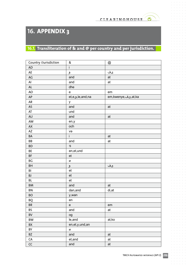$\bullet$ 

 $\alpha$  $\alpha$ 

 $\alpha$  $\sim$ 

 $\alpha$  $\sim$ 

 $\alpha$ 

 $\sim$  $\sim$ 

 $\sim$ 

# **16. APPENDIX 3**

## **16.1.** Transliteration of & and @ per country and per jurisdiction.

| Country /Jurisdiction | &                                 | $^\text{\textregistered}$ |
|-----------------------|-----------------------------------|---------------------------|
| <b>AD</b>             | İ.                                |                           |
| AE                    | و                                 | ىڧ                        |
| $\mathsf{AG}$         | and                               | at                        |
| Al                    | and                               | at                        |
| $\mathsf{AL}$         | dhe                               |                           |
| AO                    | $\mathsf{e}% _{t}\left( t\right)$ | em                        |
| $\sf AP$              | et,e,and,na,و                     | at,ka,یف,em,kwenye        |
| ${\sf AR}$            | у                                 |                           |
| AS                    | and                               | at                        |
| AT                    | und                               |                           |
| AU                    | and                               | at                        |
| AW                    | en,y                              |                           |
| ${\sf AX}$            | och                               |                           |
| AZ                    | və                                |                           |
| $\mathsf{BA}$         | $\mathbf i$                       | at                        |
| BB                    | and                               | at                        |
| <b>BD</b>             | $\mathbb{S}$                      |                           |
| BE                    | en,et,und                         |                           |
| BF                    | et                                |                           |
| BG                    | И                                 |                           |
| BH                    | و                                 | ىڧ                        |
| BI                    | et                                |                           |
| BJ                    | ${\sf et}$                        |                           |
| BL                    | et                                |                           |
| BM                    | and                               | at                        |
| BN                    | dan, and                          | di,at                     |
| BO                    | y,wan                             |                           |
| BQ                    | en                                |                           |
| BR                    | ${\bf e}$                         | em                        |
| BS                    | and                               | at                        |
| BV                    | og                                |                           |
| BW                    | le, and                           | at,ko                     |
| BX                    | en,et,y,und,an                    |                           |
| BY                    | И                                 |                           |
| BZ                    | and                               | at                        |
| ${\sf CA}$            | et, and                           | at                        |
| CC                    | and                               | at                        |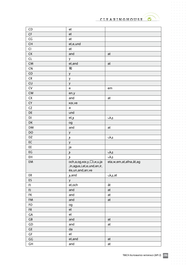$\hat{p}$  ,  $\hat{p}$  ,  $\hat{p}$  ,  $\hat{p}$  ,  $\hat{p}$  $\alpha = \alpha - \alpha - \alpha$ 

 $\alpha$  ,  $\alpha$  ,  $\alpha$  ,  $\alpha$  ,  $\alpha$  ,  $\alpha$ 

 $\sigma$  ,  $\sigma$  ,  $\sigma$  ,  $\sigma$  ,  $\sigma$  $\alpha = \alpha - \alpha - \alpha = 0$  $\alpha=\alpha-\alpha-\alpha-\alpha$  $\alpha$  ,  $\alpha$  ,  $\alpha$  ,  $\alpha$  ,  $\alpha$  $\alpha$  ,  $\alpha$  ,  $\alpha$  ,  $\alpha$  ,  $\alpha$  $\alpha$  ,  $\alpha$  ,  $\alpha$  ,  $\alpha$  ,  $\alpha$  $\begin{array}{cccccccccc} . & . & . & . & . & . \\ . & . & . & . & . & . \\ . & . & . & . & . & . \end{array}$  $\alpha=\alpha-\alpha-\alpha-\alpha-\alpha$  $\sigma$  ,  $\sigma$  ,  $\sigma$  ,  $\sigma$  ,  $\sigma$  $\alpha$  ,  $\alpha$  ,  $\alpha$  ,  $\alpha$  ,  $\alpha$  ,  $\alpha$  $\alpha$  ,  $\alpha$  ,  $\alpha$  ,  $\alpha$  ,  $\alpha$  ,  $\alpha$  $\alpha=\alpha-\alpha-\alpha-\alpha-\alpha$  $\alpha$  ,  $\alpha$  ,  $\alpha$  ,  $\alpha$  ,  $\alpha$  $\alpha$  ,  $\alpha$  ,  $\alpha$  ,  $\alpha$  ,  $\alpha$  ,  $\alpha$  $\alpha$  ,  $\alpha$  ,  $\alpha$  ,  $\alpha$  ,  $\alpha$  ,  $\alpha$  $\alpha$  ,  $\alpha$  ,  $\alpha$  ,  $\alpha$  ,  $\alpha$  ,  $\alpha$ . . . . . . .  $\sigma$  , and  $\sigma$  , and  $\sigma$  $\alpha=\alpha-\alpha-\alpha-\alpha$  $\alpha$  ,  $\alpha$  ,  $\alpha$  ,  $\alpha$  ,  $\alpha$  ,  $\alpha$  $\alpha$  ,  $\alpha$  ,  $\alpha$  ,  $\alpha$  ,  $\alpha$  $\alpha$  ,  $\alpha$  ,  $\alpha$  ,  $\alpha$  ,  $\alpha$  ,  $\alpha$  $\alpha$  ,  $\alpha$  ,  $\alpha$  ,  $\alpha$  ,  $\alpha$  $\alpha$  ,  $\alpha$  ,  $\alpha$  ,  $\alpha$  ,  $\alpha$  ,  $\alpha$  $\alpha$  ,  $\alpha$  ,  $\alpha$  ,  $\alpha$  ,  $\alpha$  ,  $\alpha$  $\label{eq:3.1} \begin{array}{lllllllllllllllllll} \alpha & \alpha & \alpha & \alpha & \alpha & \alpha \end{array}$  $\alpha$  ,  $\alpha$  ,  $\alpha$  ,  $\alpha$  ,  $\alpha$  ,  $\alpha$  $\alpha$  ,  $\alpha$  ,  $\alpha$  ,  $\alpha$  ,  $\alpha$  ,  $\alpha$  $\label{eq:3.1} \begin{array}{lllllllllllllllllllll} \alpha_{11} & \alpha_{22} & \alpha_{33} & \alpha_{44} & \alpha_{55} \\ \end{array}$ 

 $\alpha$ 

 $\bullet$ 

 $\sim$  $\alpha = \alpha - \alpha - \alpha - \alpha$  $\alpha = \alpha - \alpha = \alpha$ 

| CD                     | et                                 |                        |
|------------------------|------------------------------------|------------------------|
| $\mathsf{C}\mathsf{F}$ | et                                 |                        |
| $\mathsf{CG}\xspace$   | et                                 |                        |
| CH                     | et,e,und                           |                        |
| CI                     | et                                 |                        |
| ${\sf C}{\sf K}$       | and                                | at                     |
| CL                     | у                                  |                        |
| ${\sf CM}$             | et,and                             | at                     |
| ${\sf CN}$             | 和                                  |                        |
| ${\sf CO}$             | У                                  |                        |
| ${\sf CR}$             | У                                  |                        |
| CU                     | У                                  |                        |
| ${\sf CV}$             | $\mathsf{e}% _{t}\left( t\right)$  | em                     |
| ${\sf CW}$             | en,y                               |                        |
| ${\sf C}{\sf X}$       | and                                | at                     |
| ${\sf CY}$             | και, νe                            |                        |
| ${\sf CZ}$             | a                                  |                        |
| DE                     | und                                |                        |
| DJ                     | و,et                               | ىڧ                     |
| DK                     | og                                 |                        |
| DM                     | and                                | at                     |
| DO                     | У                                  |                        |
| DZ                     | <u>و</u>                           | ىڧ                     |
| EC                     | У                                  |                        |
| EE                     | ја                                 |                        |
| $\mathsf{E}\mathsf{G}$ | و                                  | ىڧ                     |
| EH                     | و                                  | ىڧ                     |
| EM                     | och,a,og, και, y, Di, и, u, ja     | eta,w,em,at,afna,ät,ag |
|                        | , in, agus, i, et, e, und, en, ir, |                        |
|                        | és, un, and, an, ve                |                        |
| ER                     | and,و                              | at,یف                  |
| ES                     | у                                  |                        |
| F1                     | et, och                            | ät                     |
| FJ                     | and                                | at                     |
| FK                     | and                                | at                     |
| FM                     | and                                | at                     |
| FO                     | og                                 |                        |
| ${\sf FR}$             | et                                 |                        |
| ${\sf GA}$             | et                                 |                        |
| ${\sf GB}$             | and                                | at                     |
| ${\sf GD}$             | and                                | at                     |
| GE                     | da                                 |                        |
| $\mathsf{G}\mathsf{F}$ | et                                 |                        |
| $\mathsf{G}\mathsf{G}$ | et, and                            | at                     |
| GH                     | and                                | at                     |

 $\bar{\phantom{a}}$ 

 $\alpha$ 

and a state  $\alpha = \alpha - \alpha - \alpha - \alpha - \alpha$  $\alpha = \alpha = \alpha$  $\sim$ 

 $\alpha$  ,  $\alpha$  ,  $\alpha$  ,  $\alpha$  ,  $\alpha$  $\alpha = \alpha - \alpha - \alpha - \alpha$  $\sim 10^{-1}$  and  $\sim 10^{-1}$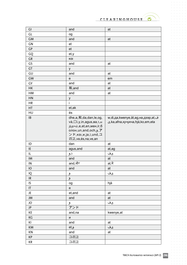$\bullet$ 

 $\hat{p}$  ,  $\hat{p}$  ,  $\hat{p}$  ,  $\hat{p}$  ,  $\hat{p}$  $\alpha$  ,  $\alpha$  ,  $\alpha$  ,  $\alpha$  ,  $\alpha$  $\sigma$  ,  $\sigma$  ,  $\sigma$  ,  $\sigma$  ,  $\sigma$  $\alpha = \alpha - \alpha - \alpha = \alpha$  $\alpha$  ,  $\alpha$  ,  $\alpha$  ,  $\alpha$  ,  $\alpha$  ,  $\alpha$ 

 $\alpha$  ,  $\alpha$  ,  $\alpha$  ,  $\alpha$  ,  $\alpha$  ,  $\alpha$ 

 $\alpha$  ,  $\alpha$  ,  $\alpha$  ,  $\alpha$  ,  $\alpha$  ,  $\alpha$  $\begin{array}{cccccccccc} . & . & . & . & . & . \\ . & . & . & . & . & . \\ . & . & . & . & . & . \end{array}$  $\alpha$  ,  $\alpha$  ,  $\alpha$  ,  $\alpha$  ,  $\alpha$  ,  $\alpha$  $\sigma$  ,  $\sigma$  ,  $\sigma$  ,  $\sigma$  ,  $\sigma$  $\alpha$  ,  $\alpha$  ,  $\alpha$  ,  $\alpha$  ,  $\alpha$  ,  $\alpha$ 

 $\alpha=\alpha-\alpha-\alpha-\alpha-\alpha$  $\alpha$  ,  $\alpha$  ,  $\alpha$  ,  $\alpha$  ,  $\alpha$  ,  $\alpha$ 

 $\alpha$  ,  $\alpha$  ,  $\alpha$  ,  $\alpha$  ,  $\alpha$  ,  $\alpha$  $\frac{1}{2}$  $\sigma$  , and  $\sigma$  , and  $\sigma$  $\alpha=\alpha-\alpha-\alpha-\alpha$  $\alpha$  ,  $\alpha$  ,  $\alpha$  ,  $\alpha$  ,  $\alpha$  ,  $\alpha$ 

 $\alpha$  ,  $\alpha$  ,  $\alpha$  ,  $\alpha$  ,  $\alpha$  ,  $\alpha$  $\begin{array}{cccccccccc} . & . & . & . & . & . \\ . & . & . & . & . & . \\ . & . & . & . & . & . \end{array}$  $\alpha$  ,  $\alpha$  ,  $\alpha$  ,  $\alpha$  ,  $\alpha$  ,  $\alpha$ 

 $\alpha$  ,  $\alpha$  ,  $\alpha$  ,  $\alpha$  ,  $\alpha$  ,  $\alpha$  $\alpha$  ,  $\alpha$  ,  $\alpha$  ,  $\alpha$  ,  $\alpha$  ,  $\alpha$ 

 $\alpha$  ,  $\alpha$  ,  $\alpha$  ,  $\alpha$  $\alpha$  ,  $\alpha$  ,  $\alpha$  ,  $\alpha$  ,  $\alpha$  ,  $\alpha$  $\alpha = \alpha - \alpha - \alpha$  .

 $\alpha$  ,  $\alpha$  ,  $\alpha$  ,  $\alpha$  ,  $\alpha$ 

 $\begin{array}{ccc} \bullet & \bullet & \bullet & \bullet & \bullet \\ \bullet & \bullet & \bullet & \bullet & \bullet \end{array}$ 

 $\alpha$ 

 $\circ$ 

| GI         | and                                                                                                                            | at                                                                  |
|------------|--------------------------------------------------------------------------------------------------------------------------------|---------------------------------------------------------------------|
| GL         | og                                                                                                                             |                                                                     |
| <b>GM</b>  | and                                                                                                                            | at                                                                  |
| GN         | et                                                                                                                             |                                                                     |
| GP         | et                                                                                                                             |                                                                     |
| GQ         | et,y                                                                                                                           |                                                                     |
| ${\sf GR}$ | και                                                                                                                            |                                                                     |
| GS         | and                                                                                                                            | at                                                                  |
| GT         | у                                                                                                                              |                                                                     |
| GU         | and                                                                                                                            | at                                                                  |
| GW         | $\mathsf{e}% _{t}\left( t\right)$                                                                                              | em                                                                  |
| GY         | and                                                                                                                            | at                                                                  |
| HK         | 和,and                                                                                                                          | at                                                                  |
| HM         | and                                                                                                                            | at                                                                  |
| HN         | У                                                                                                                              |                                                                     |
| <b>HR</b>  | İ                                                                                                                              |                                                                     |
| HT         | et,ak                                                                                                                          |                                                                     |
| HU         | és                                                                                                                             |                                                                     |
| IB         | dhe,a,和,da,dan,le,og,<br>và, $\square$ i, y, in, agus, Ba, ו, ו<br>$\dot{p}$ றும்,e,et,en,мен,ir,б<br>олон, un, and, och, 9, 7 | w,di,да,kwenye,ät,ag,на,дээр,at,<br>ع,ka,afna,кучукча,hjá,ko,em,eta |
|            | ンド, και, и, ja, i, und, ユ                                                                                                      |                                                                     |
| ID         | 리고, və, és, na, ve, an<br>dan                                                                                                  | at                                                                  |
| IE         |                                                                                                                                |                                                                     |
| IL         | agus, and                                                                                                                      | at,ag                                                               |
| IM         | ٦, و<br>and                                                                                                                    | ىڧ<br>at                                                            |
| IN         |                                                                                                                                |                                                                     |
|            | and,और                                                                                                                         | at,में                                                              |
| IO         | and                                                                                                                            | at                                                                  |
| IQ<br>IR   | و                                                                                                                              | ىڧ                                                                  |
| IS         | و                                                                                                                              |                                                                     |
| $\sf IT$   | og<br>${\bf e}$                                                                                                                | hjá                                                                 |
| JE         | et, and                                                                                                                        | at                                                                  |
| JM         | and                                                                                                                            | at                                                                  |
| JO         |                                                                                                                                | ىڧ                                                                  |
| JP         | <u>و</u><br>アンド                                                                                                                |                                                                     |
| KE         | and, na                                                                                                                        | kwenye, at                                                          |
| KG         | И                                                                                                                              |                                                                     |
| KI         | and                                                                                                                            | at                                                                  |
| KM         | et,9                                                                                                                           | ىڧ                                                                  |
| KN         | and                                                                                                                            | at                                                                  |
| KP         | 그리고                                                                                                                            |                                                                     |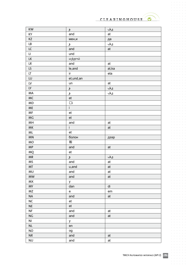| KW                     | و            | ىڧ    |
|------------------------|--------------|-------|
| KY                     | and          | at    |
| KZ                     | мен,и        | да    |
| ${\sf LB}$             | و            | ىڧ    |
| ${\sf LC}$             | and          | at    |
| $\mathsf{L}\mathsf{L}$ | und          |       |
| ${\sf LK}$             | மற்றும்      |       |
| ${\sf LR}$             | and          | at    |
| LS                     | le, and      | at,ka |
| $\mathsf{LT}\xspace$   | $\sf{ir}$    | eta   |
| LU                     | et, und, an  |       |
| ${\sf LV}$             | un           | at    |
| LY                     | و            | ىڧ    |
| MA                     | و            | ىڧ    |
| MC                     | et           |       |
| <b>MD</b>              | $\Box$ i     |       |
| $\sf ME$               | $\mathbf{i}$ |       |
| $\mathsf{MF}\xspace$   | et           |       |
| <b>MG</b>              | et           |       |
| MH                     | and          | at    |
| MK                     | İ.           | at    |
| $\sf ML$               | et           |       |
| <b>MN</b>              | болон        | дээр  |
| <b>MO</b>              | 和            |       |
| <b>MP</b>              | and          | at    |
| MQ                     | et           |       |
| ${\sf MR}$             | و            | ىڧ    |
| MS                     | and          | at    |
| MT                     | u,and        | at    |
| MU                     | and          | at    |
| <b>MW</b>              | and          | at    |
| <b>MX</b>              | у            |       |
| <b>MY</b>              | dan          | di    |
| MZ                     | e            | em    |
| $\sf NA$               | and          | at    |
| $NC$                   | et           |       |
| $\sf NE$               | et           |       |
| <b>NF</b>              | and          | at    |
| $\mathsf{NG}$          | and          | at    |
| N <sub>l</sub>         | у            |       |
| NL                     | en           |       |
| <b>NO</b>              | og           |       |
| $\sf NR$               | and          | at    |
| <b>NU</b>              | and          | at    |
|                        |              |       |

 $\bullet$ 

 $\hat{a}$  ,  $\hat{a}$  ,  $\hat{a}$  ,  $\hat{a}$  ,  $\hat{a}$  $\alpha$  ,  $\alpha$  ,  $\alpha$  ,  $\alpha$  ,  $\alpha$  $\sigma$  ,  $\sigma$  ,  $\sigma$  ,  $\sigma$  ,  $\sigma$  $\alpha = \alpha - \alpha - \alpha = \alpha$  $\alpha$  ,  $\alpha$  ,  $\alpha$  ,  $\alpha$  ,  $\alpha$  ,  $\alpha$ 

 $\alpha$  ,  $\alpha$  ,  $\alpha$  ,  $\alpha$  ,  $\alpha$  ,  $\alpha$ 

 $\alpha$  ,  $\alpha$  ,  $\alpha$  ,  $\alpha$  ,  $\alpha$  ,  $\alpha$  $\begin{array}{cccccccccc} . & . & . & . & . & . \\ . & . & . & . & . & . \\ . & . & . & . & . & . \end{array}$  $\alpha$  ,  $\alpha$  ,  $\alpha$  ,  $\alpha$  ,  $\alpha$  ,  $\alpha$  $\sigma$  ,  $\sigma$  ,  $\sigma$  ,  $\sigma$  ,  $\sigma$  $\alpha$  ,  $\alpha$  ,  $\alpha$  ,  $\alpha$  ,  $\alpha$  ,  $\alpha$ 

 $\alpha=\alpha-\alpha-\alpha-\alpha-\alpha$  $\alpha$  ,  $\alpha$  ,  $\alpha$  ,  $\alpha$  ,  $\alpha$  ,  $\alpha$ 

 $\alpha$  ,  $\alpha$  ,  $\alpha$  ,  $\alpha$  ,  $\alpha$  ,  $\alpha$  $\frac{1}{2}$  $\sigma$  , and  $\sigma$  , and  $\sigma$ 

 $\alpha$  ,  $\alpha$  ,  $\alpha$  ,  $\alpha$  ,  $\alpha$  ,  $\alpha$  $\begin{array}{cccccccccc} . & . & . & . & . & . \\ . & . & . & . & . & . \\ . & . & . & . & . & . \end{array}$  $\alpha$  ,  $\alpha$  ,  $\alpha$  ,  $\alpha$  ,  $\alpha$  ,  $\alpha$ 

 $\alpha$  ,  $\alpha$  ,  $\alpha$  ,  $\alpha$  ,  $\alpha$  ,  $\alpha$  $\sigma=\sigma-\sigma-\sigma-\sigma-\sigma$  $\alpha$  , and  $\alpha$  , and  $\alpha$  $\label{eq:3.1} \begin{array}{lllllllllllllllllll} \alpha & \alpha & \alpha & \alpha & \alpha & \alpha \end{array}$  $\alpha = \alpha - \alpha = \alpha$ 

 $\alpha$  ,  $\alpha$  ,  $\alpha$  ,  $\alpha$  ,  $\alpha$  $\begin{array}{ccc} \bullet & \bullet & \bullet & \bullet & \bullet \\ \bullet & \bullet & \bullet & \bullet & \bullet \end{array}$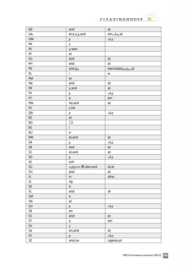$\hat{p}$  ,  $\hat{p}$  ,  $\hat{p}$  ,  $\hat{p}$  ,  $\hat{p}$  $\alpha = \alpha - \alpha - \alpha$ 

 $\alpha$  ,  $\alpha$  ,  $\alpha$  ,  $\alpha$  ,  $\alpha$  ,  $\alpha$ 

 $\sigma_{\rm c}$  ,  $\sigma_{\rm c}$  ,  $\sigma_{\rm c}$  ,  $\sigma_{\rm c}$  ,  $\sigma_{\rm c}$  $\alpha = \alpha - \alpha - \alpha = 0$  $\alpha=\alpha-\alpha-\alpha-\alpha$  $\alpha$  ,  $\alpha$  ,  $\alpha$  ,  $\alpha$  ,  $\alpha$  $\alpha$  ,  $\alpha$  ,  $\alpha$  ,  $\alpha$  ,  $\alpha$  $\alpha$  ,  $\alpha$  ,  $\alpha$  ,  $\alpha$  ,  $\alpha$  $\begin{array}{cccccccccc} . & . & . & . & . & . \\ . & . & . & . & . & . \\ . & . & . & . & . & . \end{array}$  $\alpha = \alpha - \alpha - \alpha - \alpha - \alpha$  $\sigma$  ,  $\sigma$  ,  $\sigma$  ,  $\sigma$  ,  $\sigma$  $\alpha$  ,  $\alpha$  ,  $\alpha$  ,  $\alpha$  ,  $\alpha$  ,  $\alpha$  $\alpha$  ,  $\alpha$  ,  $\alpha$  ,  $\alpha$  ,  $\alpha$  ,  $\alpha$  $\alpha=\alpha-\alpha-\alpha-\alpha-\alpha$  $\alpha$  ,  $\alpha$  ,  $\alpha$  ,  $\alpha$  ,  $\alpha$  $\alpha$  ,  $\alpha$  ,  $\alpha$  ,  $\alpha$  ,  $\alpha$  ,  $\alpha$  $\alpha$  ,  $\alpha$  ,  $\alpha$  ,  $\alpha$  ,  $\alpha$  ,  $\alpha$  $\alpha$  ,  $\alpha$  ,  $\alpha$  ,  $\alpha$  ,  $\alpha$  ,  $\alpha$ . . . . . . .  $\sigma$  , and  $\sigma$  , and  $\sigma$  $\alpha=\alpha-\alpha-\alpha-\alpha$  $\alpha$  ,  $\alpha$  ,  $\alpha$  ,  $\alpha$  ,  $\alpha$  ,  $\alpha$  $\alpha$  ,  $\alpha$  ,  $\alpha$  ,  $\alpha$  ,  $\alpha$  $\alpha$  ,  $\alpha$  ,  $\alpha$  ,  $\alpha$  ,  $\alpha$  ,  $\alpha$  $\alpha$  ,  $\alpha$  ,  $\alpha$  ,  $\alpha$  ,  $\alpha$  $\alpha$  ,  $\alpha$  ,  $\alpha$  ,  $\alpha$  ,  $\alpha$  ,  $\alpha$  $\alpha$  ,  $\alpha$  ,  $\alpha$  ,  $\alpha$  ,  $\alpha$  ,  $\alpha$  $\alpha$  , and  $\alpha$  , and  $\alpha$  $\hat{a}$  ,  $\hat{a}$  ,  $\hat{a}$  ,  $\hat{a}$  ,  $\hat{a}$  ,  $\hat{a}$  $\label{eq:3.1} \begin{array}{lllllllllllllllllll} \alpha & \alpha & \alpha & \alpha & \alpha & \alpha \end{array}$  $\alpha$  ,  $\alpha$  ,  $\alpha$  ,  $\alpha$  ,  $\alpha$  ,  $\alpha$  $\alpha$  ,  $\alpha$  ,  $\alpha$  ,  $\alpha$  ,  $\alpha$  ,  $\alpha$  $\label{eq:3.1} \begin{array}{lllllllllllllllllll} \alpha & \alpha & \alpha & \alpha & \alpha & \alpha \end{array}$ 

 $\alpha$ 

 $\bullet$ 

 $\sim$  $\alpha = \alpha - \alpha - \alpha - \alpha$  $\alpha = \alpha - \alpha = \alpha$ 

| $\sf{N}Z$            | and                               | at              |
|----------------------|-----------------------------------|-----------------|
| OA                   | et,e,y,and                        | .atجفem         |
| OM                   | <u>و</u>                          | ىڧ              |
| PA                   | у                                 |                 |
| PE                   | y,wan                             |                 |
| $\mathsf{PF}$        | et                                |                 |
| PG                   | and                               | at              |
| PH                   | and                               | at              |
| PK                   | and,ای                            | .bamutabiq,ںی م |
| PL                   | i.                                | W               |
| PM                   | et                                |                 |
| PN                   | and                               | at              |
| PR                   | y, and                            | at              |
| PS                   | و                                 | ىڧ              |
| PT                   | $\mathsf{e}% _{t}\left( t\right)$ | $\mathsf{em}$   |
| PW                   | ha, and                           | at              |
| PY                   | y,ha                              |                 |
| QA                   | و                                 | ىڧ              |
| $\mathsf{RE}$        | et                                |                 |
| <b>RO</b>            | $\Box$ i                          |                 |
| <b>RS</b>            | $\mathbf i$                       |                 |
| <b>RU</b>            | И                                 |                 |
| <b>RW</b>            | et,and                            | at              |
| ${\sf SA}$           | و                                 | ىڧ              |
| ${\sf SB}$           | and                               | at              |
| SC                   | et,and                            | at              |
| <b>SD</b>            | و                                 | ىڧ              |
| SE                   | och                               |                 |
| SG                   | மற்றும்,和,dan,and                 | di,at           |
| <b>SH</b>            | and                               | at              |
| SI                   | in                                | afna            |
| SJ                   | og                                |                 |
| ${\sf SK}$           | $\mathsf{a}$                      |                 |
| <b>SL</b>            | and                               | at              |
| SM                   | $\mathbf{e}$                      |                 |
| SN                   | et                                |                 |
| $\mathsf{SO}\xspace$ | و                                 | ىڧ              |
| ${\sf SR}$           | en                                |                 |
| SS                   | and                               | at              |
| $\sf ST$             | $\mathbf{e}$                      | em              |
| $\textsf{SV}$        | y                                 |                 |
| ${\sf SX}$           | en, and                           | at              |
| SY                   | ر                                 | ىڧ              |
| SZ                   | and, na                           | ngama,at        |

 $\bar{\phantom{a}}$ 

 $\alpha$ 

and a state  $\alpha = \alpha - \alpha - \alpha - \alpha - \alpha$  $\alpha = \alpha = \alpha$  $\sim$ 

 $\alpha$  ,  $\alpha$  ,  $\alpha$  ,  $\alpha$  ,  $\alpha$  $\alpha$  ,  $\alpha$  ,  $\alpha$  ,  $\alpha$  ,  $\alpha$  $\sim 10^{-1}$  and  $\sim 10^{-1}$